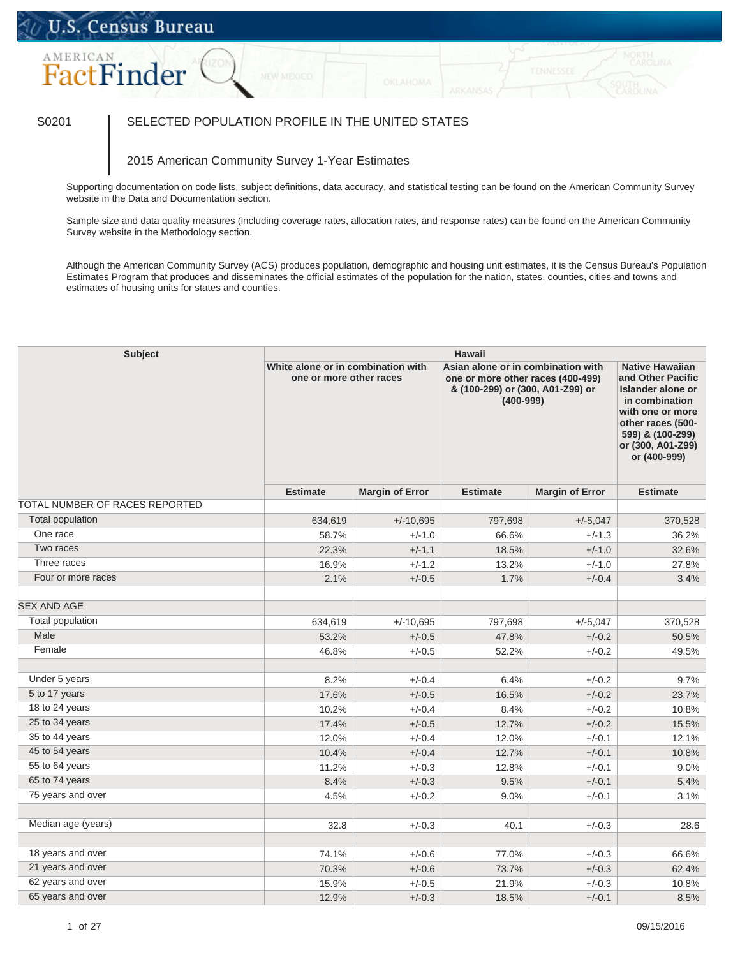## U.S. Census Bureau

# AMERICAN FactFinder

### S0201 SELECTED POPULATION PROFILE IN THE UNITED STATES

#### 2015 American Community Survey 1-Year Estimates

Supporting documentation on code lists, subject definitions, data accuracy, and statistical testing can be found on the American Community Survey website in the Data and Documentation section.

Sample size and data quality measures (including coverage rates, allocation rates, and response rates) can be found on the American Community Survey website in the Methodology section.

Although the American Community Survey (ACS) produces population, demographic and housing unit estimates, it is the Census Bureau's Population Estimates Program that produces and disseminates the official estimates of the population for the nation, states, counties, cities and towns and estimates of housing units for states and counties.

| <b>Subject</b>                 | <b>Hawaii</b>                                                 |                        |                                                                                                                              |                        |                                                                                                                                                                                      |  |  |
|--------------------------------|---------------------------------------------------------------|------------------------|------------------------------------------------------------------------------------------------------------------------------|------------------------|--------------------------------------------------------------------------------------------------------------------------------------------------------------------------------------|--|--|
|                                | White alone or in combination with<br>one or more other races |                        | Asian alone or in combination with<br>one or more other races (400-499)<br>& (100-299) or (300, A01-Z99) or<br>$(400 - 999)$ |                        | <b>Native Hawaiian</b><br>and Other Pacific<br>Islander alone or<br>in combination<br>with one or more<br>other races (500-<br>599) & (100-299)<br>or (300, A01-Z99)<br>or (400-999) |  |  |
|                                | <b>Estimate</b>                                               | <b>Margin of Error</b> | <b>Estimate</b>                                                                                                              | <b>Margin of Error</b> | <b>Estimate</b>                                                                                                                                                                      |  |  |
| TOTAL NUMBER OF RACES REPORTED |                                                               |                        |                                                                                                                              |                        |                                                                                                                                                                                      |  |  |
| <b>Total population</b>        | 634,619                                                       | $+/-10,695$            | 797,698                                                                                                                      | $+/-5,047$             | 370,528                                                                                                                                                                              |  |  |
| One race                       | 58.7%                                                         | $+/-1.0$               | 66.6%                                                                                                                        | $+/-1.3$               | 36.2%                                                                                                                                                                                |  |  |
| Two races                      | 22.3%                                                         | $+/-1.1$               | 18.5%                                                                                                                        | $+/-1.0$               | 32.6%                                                                                                                                                                                |  |  |
| Three races                    | 16.9%                                                         | $+/-1.2$               | 13.2%                                                                                                                        | $+/-1.0$               | 27.8%                                                                                                                                                                                |  |  |
| Four or more races             | 2.1%                                                          | $+/-0.5$               | 1.7%                                                                                                                         | $+/-0.4$               | 3.4%                                                                                                                                                                                 |  |  |
| <b>SEX AND AGE</b>             |                                                               |                        |                                                                                                                              |                        |                                                                                                                                                                                      |  |  |
| Total population               | 634,619                                                       | $+/-10,695$            | 797,698                                                                                                                      | $+/-5,047$             | 370,528                                                                                                                                                                              |  |  |
| Male                           | 53.2%                                                         | $+/-0.5$               | 47.8%                                                                                                                        | $+/-0.2$               | 50.5%                                                                                                                                                                                |  |  |
| Female                         | 46.8%                                                         | $+/-0.5$               | 52.2%                                                                                                                        | $+/-0.2$               | 49.5%                                                                                                                                                                                |  |  |
| Under 5 years                  | 8.2%                                                          | $+/-0.4$               | 6.4%                                                                                                                         | $+/-0.2$               | 9.7%                                                                                                                                                                                 |  |  |
| 5 to 17 years                  | 17.6%                                                         | $+/-0.5$               | 16.5%                                                                                                                        | $+/-0.2$               | 23.7%                                                                                                                                                                                |  |  |
| 18 to 24 years                 | 10.2%                                                         | $+/-0.4$               | 8.4%                                                                                                                         | $+/-0.2$               | 10.8%                                                                                                                                                                                |  |  |
| 25 to 34 years                 | 17.4%                                                         | $+/-0.5$               | 12.7%                                                                                                                        | $+/-0.2$               | 15.5%                                                                                                                                                                                |  |  |
| 35 to 44 years                 | 12.0%                                                         | $+/-0.4$               | 12.0%                                                                                                                        | $+/-0.1$               | 12.1%                                                                                                                                                                                |  |  |
| 45 to 54 years                 | 10.4%                                                         | $+/-0.4$               | 12.7%                                                                                                                        | $+/-0.1$               | 10.8%                                                                                                                                                                                |  |  |
| 55 to 64 years                 | 11.2%                                                         | $+/-0.3$               | 12.8%                                                                                                                        | $+/-0.1$               | 9.0%                                                                                                                                                                                 |  |  |
| 65 to 74 years                 | 8.4%                                                          | $+/-0.3$               | 9.5%                                                                                                                         | $+/-0.1$               | 5.4%                                                                                                                                                                                 |  |  |
| 75 years and over              | 4.5%                                                          | $+/-0.2$               | 9.0%                                                                                                                         | $+/-0.1$               | 3.1%                                                                                                                                                                                 |  |  |
| Median age (years)             | 32.8                                                          | $+/-0.3$               | 40.1                                                                                                                         | $+/-0.3$               | 28.6                                                                                                                                                                                 |  |  |
| 18 years and over              | 74.1%                                                         | $+/-0.6$               | 77.0%                                                                                                                        | $+/-0.3$               | 66.6%                                                                                                                                                                                |  |  |
| 21 years and over              | 70.3%                                                         | $+/-0.6$               | 73.7%                                                                                                                        | $+/-0.3$               | 62.4%                                                                                                                                                                                |  |  |
| 62 years and over              | 15.9%                                                         | $+/-0.5$               | 21.9%                                                                                                                        | $+/-0.3$               | 10.8%                                                                                                                                                                                |  |  |
| 65 years and over              | 12.9%                                                         | $+/-0.3$               | 18.5%                                                                                                                        | $+/-0.1$               | 8.5%                                                                                                                                                                                 |  |  |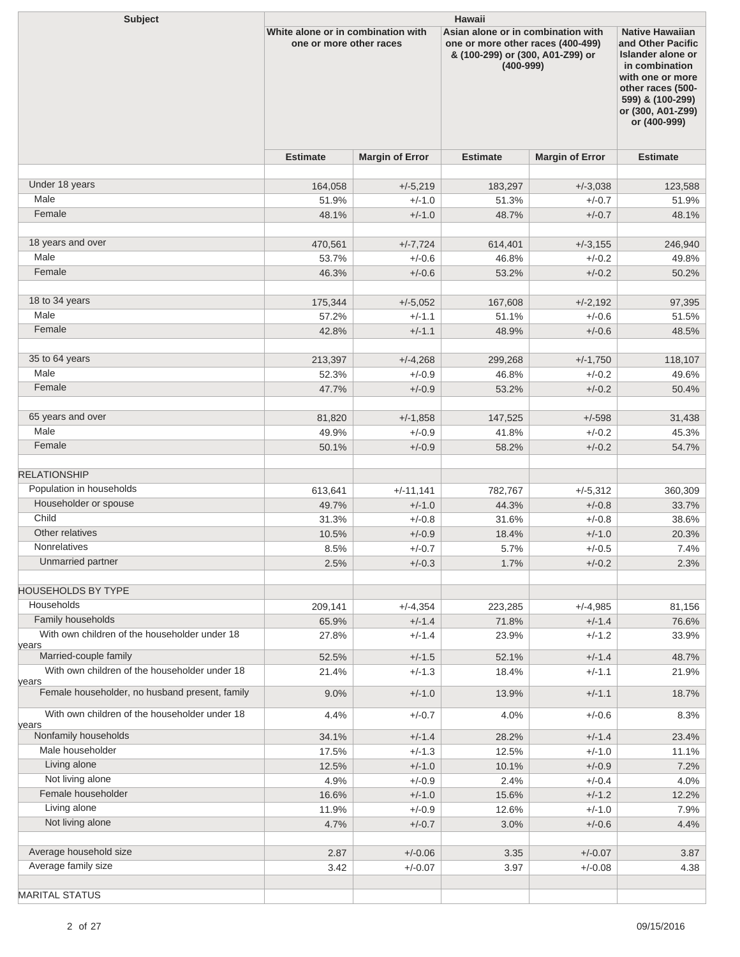| <b>Subject</b>                                         | <b>Hawaii</b>                                                 |                        |                                                                                                                              |                        |                                                                                                                                                                                      |  |  |
|--------------------------------------------------------|---------------------------------------------------------------|------------------------|------------------------------------------------------------------------------------------------------------------------------|------------------------|--------------------------------------------------------------------------------------------------------------------------------------------------------------------------------------|--|--|
|                                                        | White alone or in combination with<br>one or more other races |                        | Asian alone or in combination with<br>one or more other races (400-499)<br>& (100-299) or (300, A01-Z99) or<br>$(400 - 999)$ |                        | <b>Native Hawaiian</b><br>and Other Pacific<br>Islander alone or<br>in combination<br>with one or more<br>other races (500-<br>599) & (100-299)<br>or (300, A01-Z99)<br>or (400-999) |  |  |
|                                                        | <b>Estimate</b>                                               | <b>Margin of Error</b> | <b>Estimate</b>                                                                                                              | <b>Margin of Error</b> | <b>Estimate</b>                                                                                                                                                                      |  |  |
| Under 18 years                                         | 164,058                                                       | $+/-5,219$             | 183,297                                                                                                                      | $+/-3,038$             | 123,588                                                                                                                                                                              |  |  |
| Male                                                   | 51.9%                                                         | $+/-1.0$               | 51.3%                                                                                                                        | $+/-0.7$               | 51.9%                                                                                                                                                                                |  |  |
| Female                                                 | 48.1%                                                         | $+/-1.0$               | 48.7%                                                                                                                        | $+/-0.7$               | 48.1%                                                                                                                                                                                |  |  |
|                                                        |                                                               |                        |                                                                                                                              |                        |                                                                                                                                                                                      |  |  |
| 18 years and over                                      | 470,561                                                       | $+/-7,724$             | 614,401                                                                                                                      | $+/-3,155$             | 246,940                                                                                                                                                                              |  |  |
| Male                                                   | 53.7%                                                         | $+/-0.6$               | 46.8%                                                                                                                        | $+/-0.2$               | 49.8%                                                                                                                                                                                |  |  |
| Female                                                 | 46.3%                                                         | $+/-0.6$               | 53.2%                                                                                                                        | $+/-0.2$               | 50.2%                                                                                                                                                                                |  |  |
|                                                        |                                                               |                        |                                                                                                                              |                        |                                                                                                                                                                                      |  |  |
| 18 to 34 years                                         | 175,344                                                       | $+/-5,052$             | 167,608                                                                                                                      | $+/-2,192$             | 97,395                                                                                                                                                                               |  |  |
| Male                                                   | 57.2%                                                         | $+/-1.1$               | 51.1%                                                                                                                        | $+/-0.6$               | 51.5%                                                                                                                                                                                |  |  |
| Female                                                 | 42.8%                                                         | $+/-1.1$               | 48.9%                                                                                                                        | $+/-0.6$               | 48.5%                                                                                                                                                                                |  |  |
|                                                        |                                                               |                        |                                                                                                                              |                        |                                                                                                                                                                                      |  |  |
| 35 to 64 years                                         | 213,397                                                       | $+/-4,268$             | 299,268                                                                                                                      | $+/-1,750$             | 118,107                                                                                                                                                                              |  |  |
| Male                                                   | 52.3%                                                         | $+/-0.9$               | 46.8%                                                                                                                        | $+/-0.2$               | 49.6%                                                                                                                                                                                |  |  |
| Female                                                 | 47.7%                                                         | $+/-0.9$               | 53.2%                                                                                                                        | $+/-0.2$               | 50.4%                                                                                                                                                                                |  |  |
| 65 years and over                                      | 81,820                                                        | $+/-1,858$             | 147,525                                                                                                                      | $+/-598$               | 31,438                                                                                                                                                                               |  |  |
| Male                                                   | 49.9%                                                         | $+/-0.9$               | 41.8%                                                                                                                        | $+/-0.2$               | 45.3%                                                                                                                                                                                |  |  |
| Female                                                 | 50.1%                                                         | $+/-0.9$               | 58.2%                                                                                                                        | $+/-0.2$               | 54.7%                                                                                                                                                                                |  |  |
|                                                        |                                                               |                        |                                                                                                                              |                        |                                                                                                                                                                                      |  |  |
| <b>RELATIONSHIP</b>                                    |                                                               |                        |                                                                                                                              |                        |                                                                                                                                                                                      |  |  |
| Population in households                               | 613,641                                                       | $+/-11,141$            | 782,767                                                                                                                      | $+/-5,312$             | 360,309                                                                                                                                                                              |  |  |
| Householder or spouse                                  | 49.7%                                                         | $+/-1.0$               | 44.3%                                                                                                                        | $+/-0.8$               | 33.7%                                                                                                                                                                                |  |  |
| Child                                                  | 31.3%                                                         | $+/-0.8$               | 31.6%                                                                                                                        | $+/-0.8$               | 38.6%                                                                                                                                                                                |  |  |
| Other relatives                                        | 10.5%                                                         | $+/-0.9$               | 18.4%                                                                                                                        | $+/-1.0$               | 20.3%                                                                                                                                                                                |  |  |
| Nonrelatives                                           | 8.5%                                                          | $+/-0.7$               | 5.7%                                                                                                                         | $+/-0.5$               | 7.4%                                                                                                                                                                                 |  |  |
| Unmarried partner                                      | 2.5%                                                          | $+/-0.3$               | 1.7%                                                                                                                         | $+/-0.2$               | 2.3%                                                                                                                                                                                 |  |  |
| <b>HOUSEHOLDS BY TYPE</b>                              |                                                               |                        |                                                                                                                              |                        |                                                                                                                                                                                      |  |  |
| Households                                             | 209,141                                                       | $+/-4,354$             | 223,285                                                                                                                      | $+/-4,985$             | 81,156                                                                                                                                                                               |  |  |
| Family households                                      | 65.9%                                                         | $+/-1.4$               | 71.8%                                                                                                                        | $+/-1.4$               | 76.6%                                                                                                                                                                                |  |  |
| With own children of the householder under 18          | 27.8%                                                         | $+/-1.4$               | 23.9%                                                                                                                        | $+/-1.2$               | 33.9%                                                                                                                                                                                |  |  |
| years                                                  |                                                               |                        |                                                                                                                              |                        |                                                                                                                                                                                      |  |  |
| Married-couple family                                  | 52.5%                                                         | $+/-1.5$               | 52.1%                                                                                                                        | $+/-1.4$               | 48.7%                                                                                                                                                                                |  |  |
| With own children of the householder under 18<br>years | 21.4%                                                         | $+/-1.3$               | 18.4%                                                                                                                        | $+/-1.1$               | 21.9%                                                                                                                                                                                |  |  |
| Female householder, no husband present, family         | 9.0%                                                          | $+/-1.0$               | 13.9%                                                                                                                        | $+/-1.1$               | 18.7%                                                                                                                                                                                |  |  |
| With own children of the householder under 18          | 4.4%                                                          | $+/-0.7$               | 4.0%                                                                                                                         | $+/-0.6$               | 8.3%                                                                                                                                                                                 |  |  |
| years<br>Nonfamily households                          |                                                               | $+/-1.4$               |                                                                                                                              |                        |                                                                                                                                                                                      |  |  |
| Male householder                                       | 34.1%<br>17.5%                                                | $+/-1.3$               | 28.2%<br>12.5%                                                                                                               | $+/-1.4$<br>$+/-1.0$   | 23.4%<br>11.1%                                                                                                                                                                       |  |  |
| Living alone                                           | 12.5%                                                         | $+/-1.0$               | 10.1%                                                                                                                        | $+/-0.9$               | 7.2%                                                                                                                                                                                 |  |  |
| Not living alone                                       | 4.9%                                                          | $+/-0.9$               | 2.4%                                                                                                                         | $+/-0.4$               | 4.0%                                                                                                                                                                                 |  |  |
| Female householder                                     | 16.6%                                                         | $+/-1.0$               | 15.6%                                                                                                                        | $+/-1.2$               | 12.2%                                                                                                                                                                                |  |  |
| Living alone                                           | 11.9%                                                         | $+/-0.9$               | 12.6%                                                                                                                        | $+/-1.0$               | 7.9%                                                                                                                                                                                 |  |  |
| Not living alone                                       | 4.7%                                                          | $+/-0.7$               | 3.0%                                                                                                                         | $+/-0.6$               | 4.4%                                                                                                                                                                                 |  |  |
|                                                        |                                                               |                        |                                                                                                                              |                        |                                                                                                                                                                                      |  |  |
| Average household size                                 | 2.87                                                          | $+/-0.06$              | 3.35                                                                                                                         | $+/-0.07$              | 3.87                                                                                                                                                                                 |  |  |
| Average family size                                    | 3.42                                                          | $+/-0.07$              | 3.97                                                                                                                         | $+/-0.08$              | 4.38                                                                                                                                                                                 |  |  |
|                                                        |                                                               |                        |                                                                                                                              |                        |                                                                                                                                                                                      |  |  |
| <b>MARITAL STATUS</b>                                  |                                                               |                        |                                                                                                                              |                        |                                                                                                                                                                                      |  |  |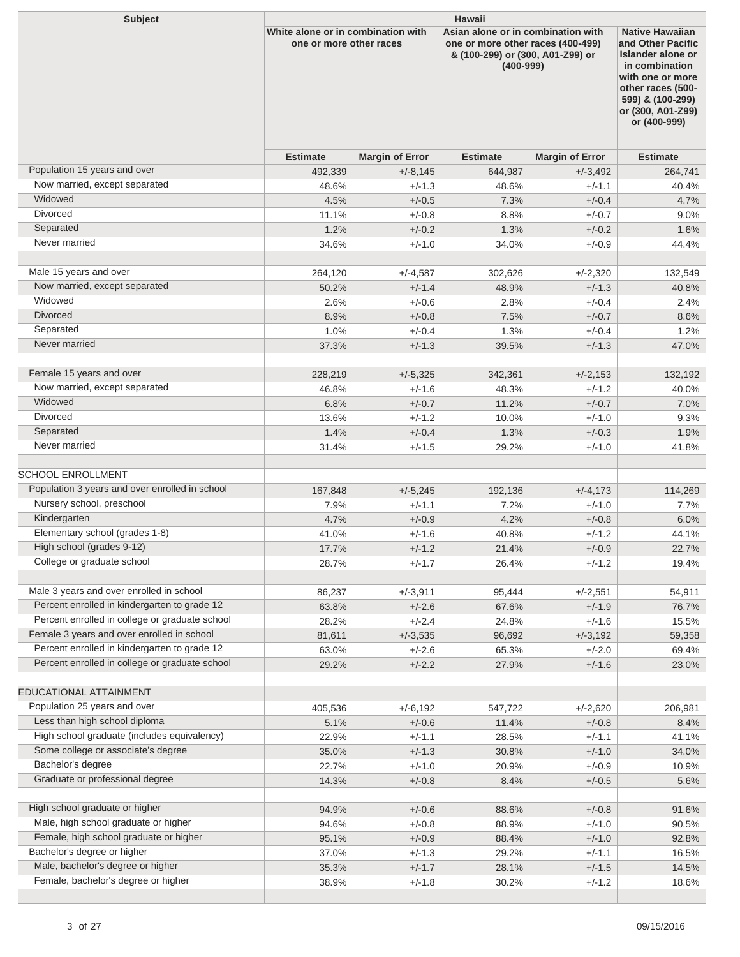| <b>Subject</b>                                                              | <b>Hawaii</b>                                                 |                        |                                                                                                                              |                        |                                                                                                                                                                                      |  |  |
|-----------------------------------------------------------------------------|---------------------------------------------------------------|------------------------|------------------------------------------------------------------------------------------------------------------------------|------------------------|--------------------------------------------------------------------------------------------------------------------------------------------------------------------------------------|--|--|
|                                                                             | White alone or in combination with<br>one or more other races |                        | Asian alone or in combination with<br>one or more other races (400-499)<br>& (100-299) or (300, A01-Z99) or<br>$(400 - 999)$ |                        | <b>Native Hawaiian</b><br>and Other Pacific<br>Islander alone or<br>in combination<br>with one or more<br>other races (500-<br>599) & (100-299)<br>or (300, A01-Z99)<br>or (400-999) |  |  |
|                                                                             | <b>Estimate</b>                                               | <b>Margin of Error</b> | <b>Estimate</b>                                                                                                              | <b>Margin of Error</b> | <b>Estimate</b>                                                                                                                                                                      |  |  |
| Population 15 years and over                                                | 492,339                                                       | $+/-8,145$             | 644,987                                                                                                                      | $+/-3,492$             | 264,741                                                                                                                                                                              |  |  |
| Now married, except separated                                               | 48.6%                                                         | $+/-1.3$               | 48.6%                                                                                                                        | $+/-1.1$               | 40.4%                                                                                                                                                                                |  |  |
| Widowed                                                                     | 4.5%                                                          | $+/-0.5$               | 7.3%                                                                                                                         | $+/-0.4$               | 4.7%                                                                                                                                                                                 |  |  |
| <b>Divorced</b>                                                             | 11.1%                                                         | $+/-0.8$               | 8.8%                                                                                                                         | $+/-0.7$               | $9.0\%$                                                                                                                                                                              |  |  |
| Separated                                                                   | 1.2%                                                          | $+/-0.2$               | 1.3%                                                                                                                         | $+/-0.2$               | 1.6%                                                                                                                                                                                 |  |  |
| Never married                                                               | 34.6%                                                         | $+/-1.0$               | 34.0%                                                                                                                        | $+/-0.9$               | 44.4%                                                                                                                                                                                |  |  |
| Male 15 years and over                                                      | 264,120                                                       | $+/-4,587$             | 302,626                                                                                                                      | $+/-2,320$             | 132,549                                                                                                                                                                              |  |  |
| Now married, except separated                                               | 50.2%                                                         | $+/-1.4$               | 48.9%                                                                                                                        | $+/-1.3$               | 40.8%                                                                                                                                                                                |  |  |
| Widowed                                                                     | 2.6%                                                          | $+/-0.6$               | 2.8%                                                                                                                         | $+/-0.4$               | 2.4%                                                                                                                                                                                 |  |  |
| <b>Divorced</b>                                                             | 8.9%                                                          | $+/-0.8$               | 7.5%                                                                                                                         | $+/-0.7$               | 8.6%                                                                                                                                                                                 |  |  |
| Separated                                                                   | 1.0%                                                          | $+/-0.4$               | 1.3%                                                                                                                         | $+/-0.4$               | 1.2%                                                                                                                                                                                 |  |  |
| Never married                                                               | 37.3%                                                         | $+/-1.3$               | 39.5%                                                                                                                        | $+/-1.3$               | 47.0%                                                                                                                                                                                |  |  |
|                                                                             |                                                               |                        |                                                                                                                              |                        |                                                                                                                                                                                      |  |  |
| Female 15 years and over                                                    | 228,219                                                       | $+/-5,325$             | 342,361                                                                                                                      | $+/-2,153$             | 132,192                                                                                                                                                                              |  |  |
| Now married, except separated                                               | 46.8%                                                         | $+/-1.6$               | 48.3%                                                                                                                        | $+/-1.2$               | 40.0%                                                                                                                                                                                |  |  |
| Widowed                                                                     | 6.8%                                                          | $+/-0.7$               | 11.2%                                                                                                                        | $+/-0.7$               | $7.0\%$                                                                                                                                                                              |  |  |
| <b>Divorced</b>                                                             | 13.6%                                                         | $+/-1.2$               | 10.0%                                                                                                                        | $+/-1.0$               | 9.3%                                                                                                                                                                                 |  |  |
| Separated                                                                   | 1.4%                                                          | $+/-0.4$               | 1.3%                                                                                                                         | $+/-0.3$               | 1.9%                                                                                                                                                                                 |  |  |
| Never married                                                               | 31.4%                                                         | $+/-1.5$               | 29.2%                                                                                                                        | $+/-1.0$               | 41.8%                                                                                                                                                                                |  |  |
|                                                                             |                                                               |                        |                                                                                                                              |                        |                                                                                                                                                                                      |  |  |
| <b>SCHOOL ENROLLMENT</b>                                                    |                                                               |                        |                                                                                                                              |                        |                                                                                                                                                                                      |  |  |
| Population 3 years and over enrolled in school<br>Nursery school, preschool | 167,848                                                       | $+/-5,245$             | 192,136                                                                                                                      | $+/-4,173$             | 114,269                                                                                                                                                                              |  |  |
|                                                                             | 7.9%                                                          | $+/-1.1$               | 7.2%                                                                                                                         | $+/-1.0$               | 7.7%                                                                                                                                                                                 |  |  |
| Kindergarten<br>Elementary school (grades 1-8)                              | 4.7%                                                          | $+/-0.9$               | 4.2%                                                                                                                         | $+/-0.8$               | 6.0%                                                                                                                                                                                 |  |  |
| High school (grades 9-12)                                                   | 41.0%                                                         | $+/-1.6$               | 40.8%                                                                                                                        | $+/-1.2$               | 44.1%                                                                                                                                                                                |  |  |
| College or graduate school                                                  | 17.7%                                                         | $+/-1.2$               | 21.4%                                                                                                                        | $+/-0.9$               | 22.7%                                                                                                                                                                                |  |  |
|                                                                             | 28.7%                                                         | $+/-1.7$               | 26.4%                                                                                                                        | $+/-1.2$               | 19.4%                                                                                                                                                                                |  |  |
| Male 3 years and over enrolled in school                                    | 86,237                                                        | $+/-3,911$             | 95,444                                                                                                                       | $+/-2,551$             | 54,911                                                                                                                                                                               |  |  |
| Percent enrolled in kindergarten to grade 12                                | 63.8%                                                         | $+/-2.6$               | 67.6%                                                                                                                        | $+/-1.9$               | 76.7%                                                                                                                                                                                |  |  |
| Percent enrolled in college or graduate school                              | 28.2%                                                         | $+/-2.4$               | 24.8%                                                                                                                        | $+/-1.6$               | 15.5%                                                                                                                                                                                |  |  |
| Female 3 years and over enrolled in school                                  | 81,611                                                        | $+/-3,535$             | 96,692                                                                                                                       | $+/-3,192$             | 59,358                                                                                                                                                                               |  |  |
| Percent enrolled in kindergarten to grade 12                                | 63.0%                                                         | $+/-2.6$               | 65.3%                                                                                                                        | $+/-2.0$               | 69.4%                                                                                                                                                                                |  |  |
| Percent enrolled in college or graduate school                              | 29.2%                                                         | $+/-2.2$               | 27.9%                                                                                                                        | $+/-1.6$               | 23.0%                                                                                                                                                                                |  |  |
| EDUCATIONAL ATTAINMENT                                                      |                                                               |                        |                                                                                                                              |                        |                                                                                                                                                                                      |  |  |
| Population 25 years and over                                                | 405,536                                                       | $+/-6,192$             | 547,722                                                                                                                      | $+/-2,620$             | 206,981                                                                                                                                                                              |  |  |
| Less than high school diploma                                               | 5.1%                                                          | $+/-0.6$               | 11.4%                                                                                                                        | $+/-0.8$               | 8.4%                                                                                                                                                                                 |  |  |
| High school graduate (includes equivalency)                                 | 22.9%                                                         | $+/-1.1$               | 28.5%                                                                                                                        | $+/-1.1$               | 41.1%                                                                                                                                                                                |  |  |
| Some college or associate's degree                                          | 35.0%                                                         | $+/-1.3$               | 30.8%                                                                                                                        | $+/-1.0$               | 34.0%                                                                                                                                                                                |  |  |
| Bachelor's degree                                                           | 22.7%                                                         | $+/-1.0$               | 20.9%                                                                                                                        | $+/-0.9$               | 10.9%                                                                                                                                                                                |  |  |
| Graduate or professional degree                                             | 14.3%                                                         | $+/-0.8$               | 8.4%                                                                                                                         | $+/-0.5$               | 5.6%                                                                                                                                                                                 |  |  |
| High school graduate or higher                                              | 94.9%                                                         | $+/-0.6$               | 88.6%                                                                                                                        | $+/-0.8$               | 91.6%                                                                                                                                                                                |  |  |
| Male, high school graduate or higher                                        | 94.6%                                                         | $+/-0.8$               | 88.9%                                                                                                                        | $+/-1.0$               | 90.5%                                                                                                                                                                                |  |  |
| Female, high school graduate or higher                                      | 95.1%                                                         | $+/-0.9$               | 88.4%                                                                                                                        | $+/-1.0$               | 92.8%                                                                                                                                                                                |  |  |
| Bachelor's degree or higher                                                 | 37.0%                                                         | $+/-1.3$               | 29.2%                                                                                                                        | $+/-1.1$               | 16.5%                                                                                                                                                                                |  |  |
| Male, bachelor's degree or higher                                           | 35.3%                                                         | $+/-1.7$               | 28.1%                                                                                                                        | $+/-1.5$               | 14.5%                                                                                                                                                                                |  |  |
| Female, bachelor's degree or higher                                         | 38.9%                                                         | $+/-1.8$               | 30.2%                                                                                                                        | $+/-1.2$               | 18.6%                                                                                                                                                                                |  |  |
|                                                                             |                                                               |                        |                                                                                                                              |                        |                                                                                                                                                                                      |  |  |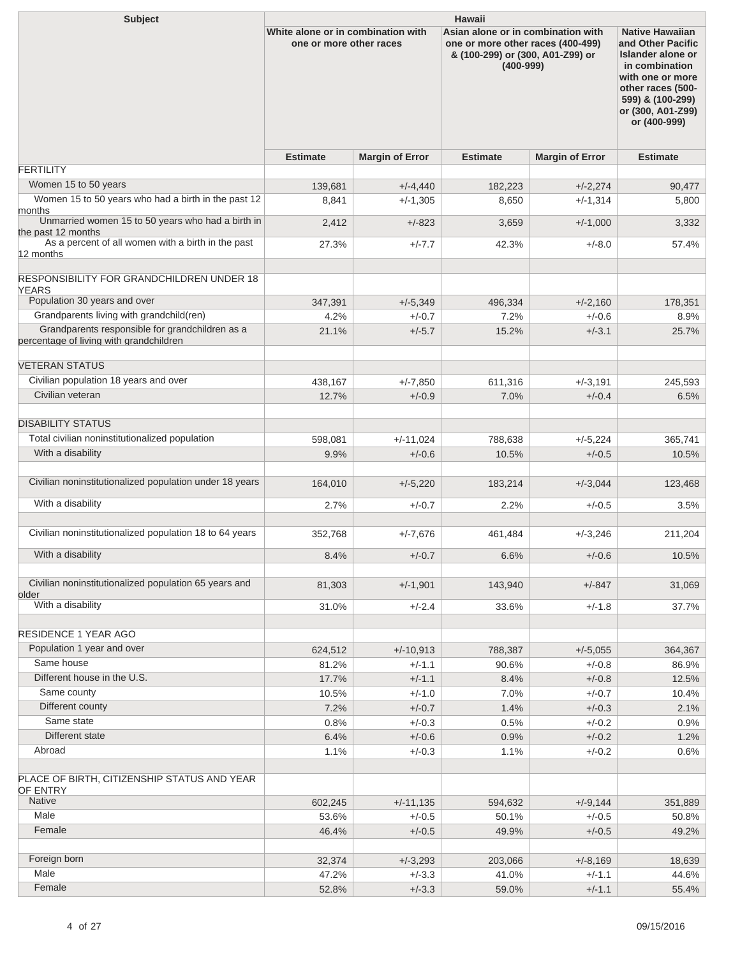| <b>Subject</b>                                                                             | <b>Hawaii</b>                                                 |                        |                                                                                                                              |                        |                                                                                                                                                                                      |  |  |
|--------------------------------------------------------------------------------------------|---------------------------------------------------------------|------------------------|------------------------------------------------------------------------------------------------------------------------------|------------------------|--------------------------------------------------------------------------------------------------------------------------------------------------------------------------------------|--|--|
|                                                                                            | White alone or in combination with<br>one or more other races |                        | Asian alone or in combination with<br>one or more other races (400-499)<br>& (100-299) or (300, A01-Z99) or<br>$(400 - 999)$ |                        | <b>Native Hawaiian</b><br>and Other Pacific<br>Islander alone or<br>in combination<br>with one or more<br>other races (500-<br>599) & (100-299)<br>or (300, A01-Z99)<br>or (400-999) |  |  |
|                                                                                            | <b>Estimate</b>                                               | <b>Margin of Error</b> | <b>Estimate</b>                                                                                                              | <b>Margin of Error</b> | <b>Estimate</b>                                                                                                                                                                      |  |  |
| <b>FERTILITY</b>                                                                           |                                                               |                        |                                                                                                                              |                        |                                                                                                                                                                                      |  |  |
| Women 15 to 50 years                                                                       | 139,681                                                       | $+/-4,440$             | 182,223                                                                                                                      | $+/-2,274$             | 90,477                                                                                                                                                                               |  |  |
| Women 15 to 50 years who had a birth in the past 12<br>months                              | 8,841                                                         | $+/-1,305$             | 8,650                                                                                                                        | $+/-1,314$             | 5,800                                                                                                                                                                                |  |  |
| Unmarried women 15 to 50 years who had a birth in<br>the past 12 months                    | 2,412                                                         | $+/-823$               | 3,659                                                                                                                        | $+/-1,000$             | 3,332                                                                                                                                                                                |  |  |
| As a percent of all women with a birth in the past<br>12 months                            | 27.3%                                                         | $+/-7.7$               | 42.3%                                                                                                                        | $+/-8.0$               | 57.4%                                                                                                                                                                                |  |  |
|                                                                                            |                                                               |                        |                                                                                                                              |                        |                                                                                                                                                                                      |  |  |
| <b>RESPONSIBILITY FOR GRANDCHILDREN UNDER 18</b><br><b>YEARS</b>                           |                                                               |                        |                                                                                                                              |                        |                                                                                                                                                                                      |  |  |
| Population 30 years and over                                                               | 347,391                                                       | $+/-5,349$             | 496,334                                                                                                                      | $+/-2,160$             | 178,351                                                                                                                                                                              |  |  |
| Grandparents living with grandchild(ren)                                                   | 4.2%                                                          | $+/-0.7$               | 7.2%                                                                                                                         | $+/-0.6$               | 8.9%                                                                                                                                                                                 |  |  |
| Grandparents responsible for grandchildren as a<br>percentage of living with grandchildren | 21.1%                                                         | $+/-5.7$               | 15.2%                                                                                                                        | $+/-3.1$               | 25.7%                                                                                                                                                                                |  |  |
| <b>VETERAN STATUS</b>                                                                      |                                                               |                        |                                                                                                                              |                        |                                                                                                                                                                                      |  |  |
| Civilian population 18 years and over                                                      | 438,167                                                       | $+/-7,850$             | 611,316                                                                                                                      | $+/-3,191$             | 245,593                                                                                                                                                                              |  |  |
| Civilian veteran                                                                           | 12.7%                                                         | $+/-0.9$               | 7.0%                                                                                                                         | $+/-0.4$               | 6.5%                                                                                                                                                                                 |  |  |
| <b>DISABILITY STATUS</b>                                                                   |                                                               |                        |                                                                                                                              |                        |                                                                                                                                                                                      |  |  |
| Total civilian noninstitutionalized population                                             | 598,081                                                       | $+/-11,024$            | 788,638                                                                                                                      | $+/-5,224$             | 365,741                                                                                                                                                                              |  |  |
| With a disability                                                                          | 9.9%                                                          | $+/-0.6$               | 10.5%                                                                                                                        | $+/-0.5$               | 10.5%                                                                                                                                                                                |  |  |
| Civilian noninstitutionalized population under 18 years                                    | 164,010                                                       | $+/-5,220$             | 183,214                                                                                                                      | $+/-3,044$             | 123,468                                                                                                                                                                              |  |  |
| With a disability                                                                          | 2.7%                                                          | $+/-0.7$               | 2.2%                                                                                                                         | $+/-0.5$               | 3.5%                                                                                                                                                                                 |  |  |
| Civilian noninstitutionalized population 18 to 64 years                                    | 352,768                                                       | $+/-7,676$             | 461,484                                                                                                                      | $+/-3,246$             | 211,204                                                                                                                                                                              |  |  |
| With a disability                                                                          | 8.4%                                                          | $+/-0.7$               | 6.6%                                                                                                                         | $+/-0.6$               | 10.5%                                                                                                                                                                                |  |  |
| Civilian noninstitutionalized population 65 years and                                      | 81,303                                                        | $+/-1,901$             | 143,940                                                                                                                      | $+/-847$               | 31,069                                                                                                                                                                               |  |  |
| older<br>With a disability                                                                 | 31.0%                                                         | $+/-2.4$               | 33.6%                                                                                                                        | $+/-1.8$               | 37.7%                                                                                                                                                                                |  |  |
|                                                                                            |                                                               |                        |                                                                                                                              |                        |                                                                                                                                                                                      |  |  |
| <b>RESIDENCE 1 YEAR AGO</b>                                                                |                                                               |                        |                                                                                                                              |                        |                                                                                                                                                                                      |  |  |
| Population 1 year and over<br>Same house                                                   | 624,512                                                       | $+/-10,913$            | 788,387                                                                                                                      | $+/-5,055$             | 364,367                                                                                                                                                                              |  |  |
| Different house in the U.S.                                                                | 81.2%                                                         | $+/-1.1$               | 90.6%                                                                                                                        | $+/-0.8$               | 86.9%                                                                                                                                                                                |  |  |
| Same county                                                                                | 17.7%                                                         | $+/-1.1$               | 8.4%                                                                                                                         | $+/-0.8$               | 12.5%                                                                                                                                                                                |  |  |
| Different county                                                                           | 10.5%                                                         | $+/-1.0$               | 7.0%                                                                                                                         | $+/-0.7$               | 10.4%                                                                                                                                                                                |  |  |
| Same state                                                                                 | 7.2%<br>0.8%                                                  | $+/-0.7$<br>$+/-0.3$   | 1.4%<br>0.5%                                                                                                                 | $+/-0.3$<br>$+/-0.2$   | 2.1%<br>0.9%                                                                                                                                                                         |  |  |
| Different state                                                                            | 6.4%                                                          | $+/-0.6$               | 0.9%                                                                                                                         | $+/-0.2$               |                                                                                                                                                                                      |  |  |
| Abroad                                                                                     | 1.1%                                                          | $+/-0.3$               | 1.1%                                                                                                                         | $+/-0.2$               | 1.2%<br>0.6%                                                                                                                                                                         |  |  |
| PLACE OF BIRTH, CITIZENSHIP STATUS AND YEAR                                                |                                                               |                        |                                                                                                                              |                        |                                                                                                                                                                                      |  |  |
| OF ENTRY<br><b>Native</b>                                                                  | 602,245                                                       | $+/-11,135$            | 594,632                                                                                                                      | $+/-9,144$             | 351,889                                                                                                                                                                              |  |  |
| Male                                                                                       | 53.6%                                                         | $+/-0.5$               | 50.1%                                                                                                                        | $+/-0.5$               | 50.8%                                                                                                                                                                                |  |  |
| Female                                                                                     | 46.4%                                                         | $+/-0.5$               | 49.9%                                                                                                                        | $+/-0.5$               | 49.2%                                                                                                                                                                                |  |  |
|                                                                                            |                                                               |                        |                                                                                                                              |                        |                                                                                                                                                                                      |  |  |
| Foreign born                                                                               | 32,374                                                        | $+/-3,293$             | 203,066                                                                                                                      | $+/-8,169$             | 18,639                                                                                                                                                                               |  |  |
| Male                                                                                       | 47.2%                                                         | $+/-3.3$               | 41.0%                                                                                                                        | $+/-1.1$               | 44.6%                                                                                                                                                                                |  |  |
| Female                                                                                     | 52.8%                                                         | $+/-3.3$               | 59.0%                                                                                                                        | $+/-1.1$               | 55.4%                                                                                                                                                                                |  |  |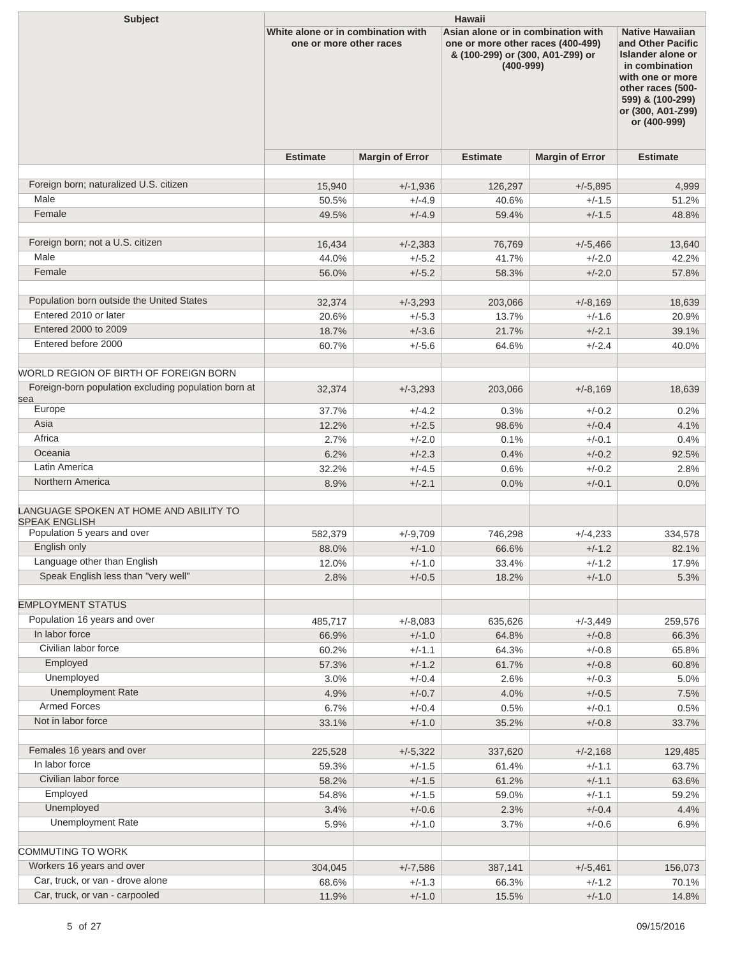| <b>Subject</b>                                                                                | <b>Hawaii</b>                                                 |                        |                                                                                                                              |                        |                                                                                                                                                                                      |  |  |
|-----------------------------------------------------------------------------------------------|---------------------------------------------------------------|------------------------|------------------------------------------------------------------------------------------------------------------------------|------------------------|--------------------------------------------------------------------------------------------------------------------------------------------------------------------------------------|--|--|
|                                                                                               | White alone or in combination with<br>one or more other races |                        | Asian alone or in combination with<br>one or more other races (400-499)<br>& (100-299) or (300, A01-Z99) or<br>$(400 - 999)$ |                        | <b>Native Hawaiian</b><br>and Other Pacific<br>Islander alone or<br>in combination<br>with one or more<br>other races (500-<br>599) & (100-299)<br>or (300, A01-Z99)<br>or (400-999) |  |  |
|                                                                                               | <b>Estimate</b>                                               | <b>Margin of Error</b> | <b>Estimate</b>                                                                                                              | <b>Margin of Error</b> | <b>Estimate</b>                                                                                                                                                                      |  |  |
| Foreign born; naturalized U.S. citizen                                                        | 15,940                                                        | $+/-1,936$             | 126,297                                                                                                                      | $+/-5,895$             | 4,999                                                                                                                                                                                |  |  |
| Male                                                                                          | 50.5%                                                         | $+/-4.9$               | 40.6%                                                                                                                        | $+/-1.5$               | 51.2%                                                                                                                                                                                |  |  |
| Female                                                                                        | 49.5%                                                         | $+/-4.9$               | 59.4%                                                                                                                        | $+/-1.5$               | 48.8%                                                                                                                                                                                |  |  |
|                                                                                               |                                                               |                        |                                                                                                                              |                        |                                                                                                                                                                                      |  |  |
| Foreign born; not a U.S. citizen                                                              | 16,434                                                        | $+/-2,383$             | 76,769                                                                                                                       | $+/-5,466$             | 13,640                                                                                                                                                                               |  |  |
| Male                                                                                          | 44.0%                                                         | $+/-5.2$               | 41.7%                                                                                                                        | $+/-2.0$               | 42.2%                                                                                                                                                                                |  |  |
| Female                                                                                        | 56.0%                                                         | $+/-5.2$               | 58.3%                                                                                                                        | $+/-2.0$               | 57.8%                                                                                                                                                                                |  |  |
|                                                                                               |                                                               |                        |                                                                                                                              |                        |                                                                                                                                                                                      |  |  |
| Population born outside the United States                                                     | 32,374                                                        | $+/-3,293$             | 203,066                                                                                                                      | $+/-8,169$             | 18,639                                                                                                                                                                               |  |  |
| Entered 2010 or later                                                                         | 20.6%                                                         | $+/-5.3$               | 13.7%                                                                                                                        | $+/-1.6$               | 20.9%                                                                                                                                                                                |  |  |
| Entered 2000 to 2009                                                                          | 18.7%                                                         | $+/-3.6$               | 21.7%                                                                                                                        | $+/-2.1$               | 39.1%                                                                                                                                                                                |  |  |
| Entered before 2000                                                                           | 60.7%                                                         | $+/-5.6$               | 64.6%                                                                                                                        | $+/-2.4$               | 40.0%                                                                                                                                                                                |  |  |
|                                                                                               |                                                               |                        |                                                                                                                              |                        |                                                                                                                                                                                      |  |  |
| WORLD REGION OF BIRTH OF FOREIGN BORN                                                         |                                                               |                        |                                                                                                                              |                        |                                                                                                                                                                                      |  |  |
| Foreign-born population excluding population born at                                          | 32,374                                                        | $+/-3,293$             | 203,066                                                                                                                      | $+/-8,169$             | 18,639                                                                                                                                                                               |  |  |
| sea<br>Europe                                                                                 | 37.7%                                                         | $+/-4.2$               | 0.3%                                                                                                                         | $+/-0.2$               | $0.2\%$                                                                                                                                                                              |  |  |
| Asia                                                                                          | 12.2%                                                         | $+/-2.5$               | 98.6%                                                                                                                        | $+/-0.4$               | 4.1%                                                                                                                                                                                 |  |  |
| Africa                                                                                        | 2.7%                                                          | $+/-2.0$               | 0.1%                                                                                                                         | $+/-0.1$               | 0.4%                                                                                                                                                                                 |  |  |
| Oceania                                                                                       | 6.2%                                                          | $+/-2.3$               | 0.4%                                                                                                                         | $+/-0.2$               | 92.5%                                                                                                                                                                                |  |  |
| Latin America                                                                                 | 32.2%                                                         | $+/-4.5$               | 0.6%                                                                                                                         | $+/-0.2$               | 2.8%                                                                                                                                                                                 |  |  |
| Northern America                                                                              | 8.9%                                                          | $+/-2.1$               | 0.0%                                                                                                                         | $+/-0.1$               | 0.0%                                                                                                                                                                                 |  |  |
| LANGUAGE SPOKEN AT HOME AND ABILITY TO<br><b>SPEAK ENGLISH</b><br>Population 5 years and over | 582,379                                                       | $+/-9,709$             | 746,298                                                                                                                      | $+/-4,233$             | 334,578                                                                                                                                                                              |  |  |
| English only                                                                                  | 88.0%                                                         | $+/-1.0$               | 66.6%                                                                                                                        | $+/-1.2$               | 82.1%                                                                                                                                                                                |  |  |
| Language other than English                                                                   | 12.0%                                                         | $+/-1.0$               | 33.4%                                                                                                                        | $+/-1.2$               | 17.9%                                                                                                                                                                                |  |  |
| Speak English less than "very well"                                                           | 2.8%                                                          | $+/-0.5$               | 18.2%                                                                                                                        | $+/-1.0$               | 5.3%                                                                                                                                                                                 |  |  |
| <b>EMPLOYMENT STATUS</b>                                                                      |                                                               |                        |                                                                                                                              |                        |                                                                                                                                                                                      |  |  |
| Population 16 years and over                                                                  | 485,717                                                       | $+/-8,083$             | 635,626                                                                                                                      | $+/-3,449$             | 259,576                                                                                                                                                                              |  |  |
| In labor force                                                                                | 66.9%                                                         | $+/-1.0$               | 64.8%                                                                                                                        | $+/-0.8$               | 66.3%                                                                                                                                                                                |  |  |
| Civilian labor force                                                                          | 60.2%                                                         | $+/-1.1$               | 64.3%                                                                                                                        | $+/-0.8$               | 65.8%                                                                                                                                                                                |  |  |
| Employed                                                                                      | 57.3%                                                         | $+/-1.2$               | 61.7%                                                                                                                        | $+/-0.8$               | 60.8%                                                                                                                                                                                |  |  |
| Unemployed                                                                                    | 3.0%                                                          | $+/-0.4$               | 2.6%                                                                                                                         | $+/-0.3$               | 5.0%                                                                                                                                                                                 |  |  |
| <b>Unemployment Rate</b>                                                                      | 4.9%                                                          | $+/-0.7$               | 4.0%                                                                                                                         | $+/-0.5$               | 7.5%                                                                                                                                                                                 |  |  |
| <b>Armed Forces</b>                                                                           | 6.7%                                                          | $+/-0.4$               | 0.5%                                                                                                                         | $+/-0.1$               | 0.5%                                                                                                                                                                                 |  |  |
| Not in labor force                                                                            | 33.1%                                                         | $+/-1.0$               | 35.2%                                                                                                                        | $+/-0.8$               | 33.7%                                                                                                                                                                                |  |  |
|                                                                                               |                                                               |                        |                                                                                                                              |                        |                                                                                                                                                                                      |  |  |
| Females 16 years and over                                                                     | 225,528                                                       | $+/-5,322$             | 337,620                                                                                                                      | $+/-2,168$             | 129,485                                                                                                                                                                              |  |  |
| In labor force                                                                                | 59.3%                                                         | $+/-1.5$               | 61.4%                                                                                                                        | $+/-1.1$               | 63.7%                                                                                                                                                                                |  |  |
| Civilian labor force                                                                          | 58.2%                                                         | $+/-1.5$               | 61.2%                                                                                                                        | $+/-1.1$               | 63.6%                                                                                                                                                                                |  |  |
| Employed                                                                                      | 54.8%                                                         | $+/-1.5$               | 59.0%                                                                                                                        | $+/-1.1$               | 59.2%                                                                                                                                                                                |  |  |
| Unemployed                                                                                    | 3.4%                                                          | $+/-0.6$               | 2.3%                                                                                                                         | $+/-0.4$               | 4.4%                                                                                                                                                                                 |  |  |
| Unemployment Rate                                                                             | 5.9%                                                          | $+/-1.0$               | 3.7%                                                                                                                         | $+/-0.6$               | 6.9%                                                                                                                                                                                 |  |  |
| <b>COMMUTING TO WORK</b>                                                                      |                                                               |                        |                                                                                                                              |                        |                                                                                                                                                                                      |  |  |
| Workers 16 years and over                                                                     | 304,045                                                       | $+/-7,586$             | 387,141                                                                                                                      | $+/-5,461$             | 156,073                                                                                                                                                                              |  |  |
| Car, truck, or van - drove alone                                                              | 68.6%                                                         | $+/-1.3$               | 66.3%                                                                                                                        | $+/-1.2$               | 70.1%                                                                                                                                                                                |  |  |
| Car, truck, or van - carpooled                                                                | 11.9%                                                         | $+/-1.0$               | 15.5%                                                                                                                        | $+/-1.0$               | 14.8%                                                                                                                                                                                |  |  |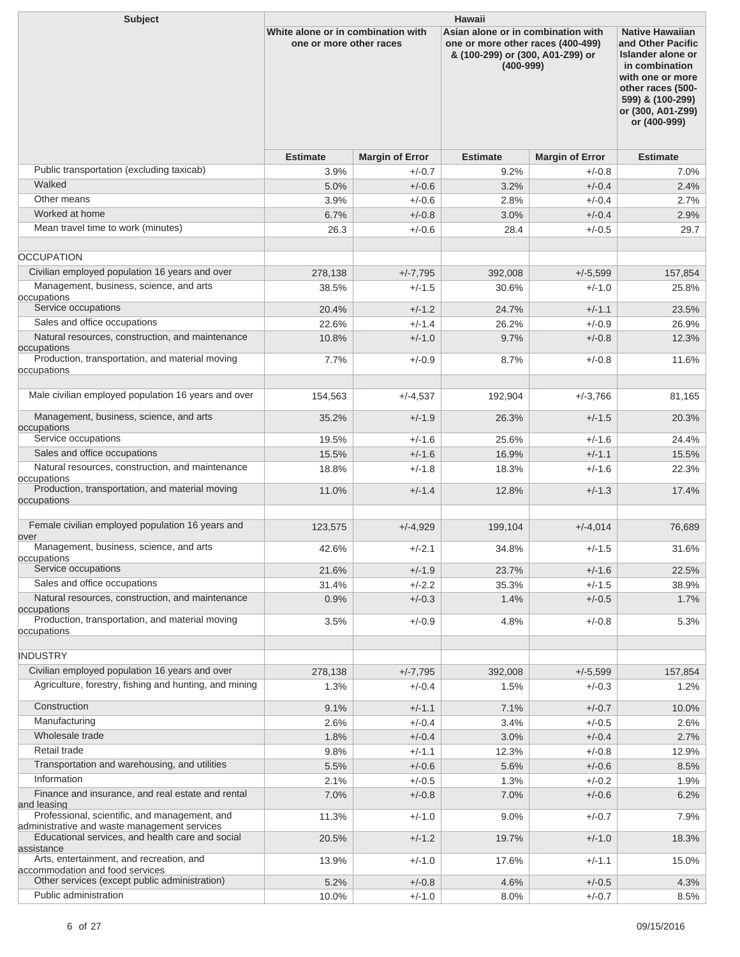| <b>Subject</b>                                                                                | <b>Hawaii</b>                                                 |                        |                                                                                                                              |                        |                                                                                                                                                                                      |  |  |
|-----------------------------------------------------------------------------------------------|---------------------------------------------------------------|------------------------|------------------------------------------------------------------------------------------------------------------------------|------------------------|--------------------------------------------------------------------------------------------------------------------------------------------------------------------------------------|--|--|
|                                                                                               | White alone or in combination with<br>one or more other races |                        | Asian alone or in combination with<br>one or more other races (400-499)<br>& (100-299) or (300, A01-Z99) or<br>$(400 - 999)$ |                        | <b>Native Hawaiian</b><br>and Other Pacific<br>Islander alone or<br>in combination<br>with one or more<br>other races (500-<br>599) & (100-299)<br>or (300, A01-Z99)<br>or (400-999) |  |  |
|                                                                                               | <b>Estimate</b>                                               | <b>Margin of Error</b> | <b>Estimate</b>                                                                                                              | <b>Margin of Error</b> | <b>Estimate</b>                                                                                                                                                                      |  |  |
| Public transportation (excluding taxicab)                                                     | 3.9%                                                          | $+/-0.7$               | 9.2%                                                                                                                         | $+/-0.8$               | 7.0%                                                                                                                                                                                 |  |  |
| Walked                                                                                        | 5.0%                                                          | $+/-0.6$               | 3.2%                                                                                                                         | $+/-0.4$               | 2.4%                                                                                                                                                                                 |  |  |
| Other means                                                                                   | 3.9%                                                          | $+/-0.6$               | 2.8%                                                                                                                         | $+/-0.4$               | 2.7%                                                                                                                                                                                 |  |  |
| Worked at home                                                                                | 6.7%                                                          | $+/-0.8$               | 3.0%                                                                                                                         | $+/-0.4$               | 2.9%                                                                                                                                                                                 |  |  |
| Mean travel time to work (minutes)                                                            | 26.3                                                          | $+/-0.6$               | 28.4                                                                                                                         | $+/-0.5$               | 29.7                                                                                                                                                                                 |  |  |
| <b>OCCUPATION</b>                                                                             |                                                               |                        |                                                                                                                              |                        |                                                                                                                                                                                      |  |  |
| Civilian employed population 16 years and over                                                | 278,138                                                       | $+/-7,795$             | 392,008                                                                                                                      | $+/-5,599$             | 157,854                                                                                                                                                                              |  |  |
| Management, business, science, and arts<br>occupations                                        | 38.5%                                                         | $+/-1.5$               | 30.6%                                                                                                                        | $+/-1.0$               | 25.8%                                                                                                                                                                                |  |  |
| Service occupations                                                                           | 20.4%                                                         | $+/-1.2$               | 24.7%                                                                                                                        | $+/-1.1$               | 23.5%                                                                                                                                                                                |  |  |
| Sales and office occupations                                                                  | 22.6%                                                         | $+/-1.4$               | 26.2%                                                                                                                        | $+/-0.9$               | 26.9%                                                                                                                                                                                |  |  |
| Natural resources, construction, and maintenance<br>occupations                               | 10.8%                                                         | $+/-1.0$               | 9.7%                                                                                                                         | $+/-0.8$               | 12.3%                                                                                                                                                                                |  |  |
| Production, transportation, and material moving<br>occupations                                | 7.7%                                                          | $+/-0.9$               | 8.7%                                                                                                                         | $+/-0.8$               | 11.6%                                                                                                                                                                                |  |  |
| Male civilian employed population 16 years and over                                           | 154,563                                                       | $+/-4,537$             | 192,904                                                                                                                      | $+/-3,766$             | 81,165                                                                                                                                                                               |  |  |
| Management, business, science, and arts<br>occupations                                        | 35.2%                                                         | $+/-1.9$               | 26.3%                                                                                                                        | $+/-1.5$               | 20.3%                                                                                                                                                                                |  |  |
| Service occupations                                                                           | 19.5%                                                         | $+/-1.6$               | 25.6%                                                                                                                        | $+/-1.6$               | 24.4%                                                                                                                                                                                |  |  |
| Sales and office occupations                                                                  | 15.5%                                                         | $+/-1.6$               | 16.9%                                                                                                                        | $+/-1.1$               | 15.5%                                                                                                                                                                                |  |  |
| Natural resources, construction, and maintenance                                              | 18.8%                                                         | $+/-1.8$               | 18.3%                                                                                                                        | $+/-1.6$               | 22.3%                                                                                                                                                                                |  |  |
| occupations<br>Production, transportation, and material moving                                | 11.0%                                                         | $+/-1.4$               | 12.8%                                                                                                                        | $+/-1.3$               | 17.4%                                                                                                                                                                                |  |  |
| occupations                                                                                   |                                                               |                        |                                                                                                                              |                        |                                                                                                                                                                                      |  |  |
| Female civilian employed population 16 years and                                              | 123,575                                                       | $+/-4,929$             | 199,104                                                                                                                      | $+/-4,014$             | 76,689                                                                                                                                                                               |  |  |
| over<br>Management, business, science, and arts                                               | 42.6%                                                         | $+/-2.1$               | 34.8%                                                                                                                        | $+/-1.5$               | 31.6%                                                                                                                                                                                |  |  |
| occupations<br>Service occupations                                                            | 21.6%                                                         | $+/-1.9$               | 23.7%                                                                                                                        | $+/-1.6$               | 22.5%                                                                                                                                                                                |  |  |
| Sales and office occupations                                                                  | 31.4%                                                         | $+/-2.2$               | 35.3%                                                                                                                        | $+/-1.5$               | 38.9%                                                                                                                                                                                |  |  |
| Natural resources, construction, and maintenance<br>occupations                               | 0.9%                                                          | $+/-0.3$               | 1.4%                                                                                                                         | $+/-0.5$               | 1.7%                                                                                                                                                                                 |  |  |
| Production, transportation, and material moving                                               | 3.5%                                                          | $+/-0.9$               | 4.8%                                                                                                                         | $+/-0.8$               | 5.3%                                                                                                                                                                                 |  |  |
| occupations                                                                                   |                                                               |                        |                                                                                                                              |                        |                                                                                                                                                                                      |  |  |
| <b>INDUSTRY</b>                                                                               |                                                               |                        |                                                                                                                              |                        |                                                                                                                                                                                      |  |  |
| Civilian employed population 16 years and over                                                | 278,138                                                       | $+/-7,795$             | 392,008                                                                                                                      | $+/-5,599$             | 157,854                                                                                                                                                                              |  |  |
| Agriculture, forestry, fishing and hunting, and mining                                        | 1.3%                                                          | $+/-0.4$               | 1.5%                                                                                                                         | $+/-0.3$               | 1.2%                                                                                                                                                                                 |  |  |
| Construction                                                                                  | 9.1%                                                          | $+/-1.1$               | 7.1%                                                                                                                         | $+/-0.7$               | 10.0%                                                                                                                                                                                |  |  |
| Manufacturing                                                                                 | 2.6%                                                          | $+/-0.4$               | 3.4%                                                                                                                         | $+/-0.5$               | 2.6%                                                                                                                                                                                 |  |  |
| Wholesale trade                                                                               | 1.8%                                                          | $+/-0.4$               | 3.0%                                                                                                                         | $+/-0.4$               | 2.7%                                                                                                                                                                                 |  |  |
| Retail trade                                                                                  | 9.8%                                                          | $+/-1.1$               | 12.3%                                                                                                                        | $+/-0.8$               | 12.9%                                                                                                                                                                                |  |  |
| Transportation and warehousing, and utilities                                                 | 5.5%                                                          | $+/-0.6$               | 5.6%                                                                                                                         | $+/-0.6$               | 8.5%                                                                                                                                                                                 |  |  |
| Information                                                                                   | 2.1%                                                          | $+/-0.5$               | 1.3%                                                                                                                         | $+/-0.2$               | 1.9%                                                                                                                                                                                 |  |  |
| Finance and insurance, and real estate and rental<br>and leasing                              | 7.0%                                                          | $+/-0.8$               | 7.0%                                                                                                                         | $+/-0.6$               | 6.2%                                                                                                                                                                                 |  |  |
| Professional, scientific, and management, and<br>administrative and waste management services | 11.3%                                                         | $+/-1.0$               | 9.0%                                                                                                                         | $+/-0.7$               | 7.9%                                                                                                                                                                                 |  |  |
| Educational services, and health care and social<br>assistance                                | 20.5%                                                         | $+/-1.2$               | 19.7%                                                                                                                        | $+/-1.0$               | 18.3%                                                                                                                                                                                |  |  |
| Arts, entertainment, and recreation, and<br>accommodation and food services                   | 13.9%                                                         | $+/-1.0$               | 17.6%                                                                                                                        | $+/-1.1$               | 15.0%                                                                                                                                                                                |  |  |
| Other services (except public administration)                                                 | 5.2%                                                          | $+/-0.8$               | 4.6%                                                                                                                         | $+/-0.5$               | 4.3%                                                                                                                                                                                 |  |  |
| Public administration                                                                         | 10.0%                                                         | $+/-1.0$               | 8.0%                                                                                                                         | $+/-0.7$               | 8.5%                                                                                                                                                                                 |  |  |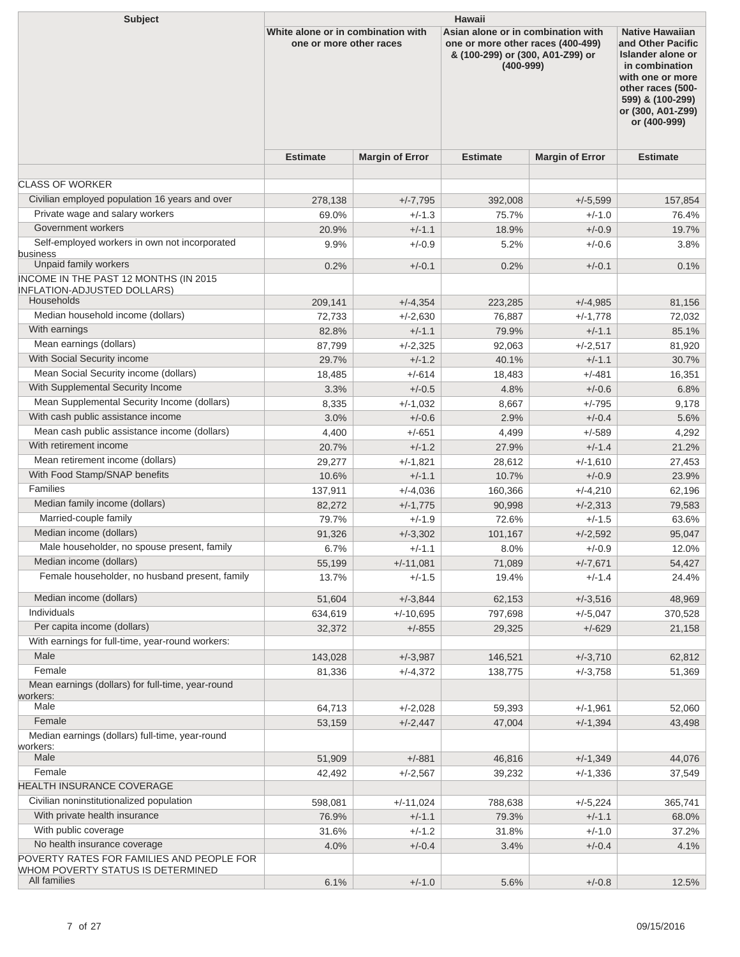| <b>Subject</b>                                                                 | <b>Hawaii</b>                                                 |                        |                                                                                                                              |                        |                                                                                                                                                                                      |  |  |
|--------------------------------------------------------------------------------|---------------------------------------------------------------|------------------------|------------------------------------------------------------------------------------------------------------------------------|------------------------|--------------------------------------------------------------------------------------------------------------------------------------------------------------------------------------|--|--|
|                                                                                | White alone or in combination with<br>one or more other races |                        | Asian alone or in combination with<br>one or more other races (400-499)<br>& (100-299) or (300, A01-Z99) or<br>$(400 - 999)$ |                        | <b>Native Hawaiian</b><br>and Other Pacific<br>Islander alone or<br>in combination<br>with one or more<br>other races (500-<br>599) & (100-299)<br>or (300, A01-Z99)<br>or (400-999) |  |  |
|                                                                                | <b>Estimate</b>                                               | <b>Margin of Error</b> | <b>Estimate</b>                                                                                                              | <b>Margin of Error</b> | <b>Estimate</b>                                                                                                                                                                      |  |  |
|                                                                                |                                                               |                        |                                                                                                                              |                        |                                                                                                                                                                                      |  |  |
| <b>CLASS OF WORKER</b>                                                         |                                                               |                        |                                                                                                                              |                        |                                                                                                                                                                                      |  |  |
| Civilian employed population 16 years and over                                 | 278,138                                                       | $+/-7,795$             | 392,008                                                                                                                      | $+/-5.599$             | 157,854                                                                                                                                                                              |  |  |
| Private wage and salary workers<br>Government workers                          | 69.0%                                                         | $+/-1.3$               | 75.7%                                                                                                                        | $+/-1.0$               | 76.4%                                                                                                                                                                                |  |  |
| Self-employed workers in own not incorporated                                  | 20.9%                                                         | $+/-1.1$               | 18.9%                                                                                                                        | $+/-0.9$               | 19.7%                                                                                                                                                                                |  |  |
| business<br>Unpaid family workers                                              | 9.9%<br>0.2%                                                  | $+/-0.9$<br>$+/-0.1$   | 5.2%<br>0.2%                                                                                                                 | $+/-0.6$<br>$+/-0.1$   | 3.8%<br>0.1%                                                                                                                                                                         |  |  |
| INCOME IN THE PAST 12 MONTHS (IN 2015                                          |                                                               |                        |                                                                                                                              |                        |                                                                                                                                                                                      |  |  |
| <b>INFLATION-ADJUSTED DOLLARS)</b>                                             |                                                               |                        |                                                                                                                              |                        |                                                                                                                                                                                      |  |  |
| Households                                                                     | 209,141                                                       | $+/-4,354$             | 223,285                                                                                                                      | $+/-4,985$             | 81,156                                                                                                                                                                               |  |  |
| Median household income (dollars)                                              | 72,733                                                        | $+/-2,630$             | 76,887                                                                                                                       | $+/-1.778$             | 72,032                                                                                                                                                                               |  |  |
| With earnings                                                                  | 82.8%                                                         | $+/-1.1$               | 79.9%                                                                                                                        | $+/-1.1$               | 85.1%                                                                                                                                                                                |  |  |
| Mean earnings (dollars)<br>With Social Security income                         | 87,799                                                        | $+/-2,325$             | 92,063                                                                                                                       | $+/-2,517$             | 81,920                                                                                                                                                                               |  |  |
| Mean Social Security income (dollars)                                          | 29.7%                                                         | $+/-1.2$               | 40.1%                                                                                                                        | $+/-1.1$               | 30.7%                                                                                                                                                                                |  |  |
| With Supplemental Security Income                                              | 18,485<br>3.3%                                                | $+/-614$<br>$+/-0.5$   | 18,483<br>4.8%                                                                                                               | $+/-481$<br>$+/-0.6$   | 16,351<br>6.8%                                                                                                                                                                       |  |  |
| Mean Supplemental Security Income (dollars)                                    | 8,335                                                         | $+/-1,032$             | 8,667                                                                                                                        | $+/-795$               | 9,178                                                                                                                                                                                |  |  |
| With cash public assistance income                                             | 3.0%                                                          | $+/-0.6$               | 2.9%                                                                                                                         | $+/-0.4$               | 5.6%                                                                                                                                                                                 |  |  |
| Mean cash public assistance income (dollars)                                   | 4,400                                                         | $+/-651$               | 4,499                                                                                                                        | $+/-589$               | 4,292                                                                                                                                                                                |  |  |
| With retirement income                                                         | 20.7%                                                         | $+/-1.2$               | 27.9%                                                                                                                        | $+/-1.4$               | 21.2%                                                                                                                                                                                |  |  |
| Mean retirement income (dollars)                                               | 29,277                                                        | $+/-1,821$             | 28,612                                                                                                                       | $+/-1,610$             | 27,453                                                                                                                                                                               |  |  |
| With Food Stamp/SNAP benefits                                                  | 10.6%                                                         | $+/-1.1$               | 10.7%                                                                                                                        | $+/-0.9$               | 23.9%                                                                                                                                                                                |  |  |
| Families                                                                       | 137,911                                                       | $+/-4,036$             | 160,366                                                                                                                      | $+/-4,210$             | 62,196                                                                                                                                                                               |  |  |
| Median family income (dollars)                                                 | 82,272                                                        | $+/-1,775$             | 90,998                                                                                                                       | $+/-2,313$             | 79,583                                                                                                                                                                               |  |  |
| Married-couple family                                                          | 79.7%                                                         | $+/-1.9$               | 72.6%                                                                                                                        | $+/-1.5$               | 63.6%                                                                                                                                                                                |  |  |
| Median income (dollars)                                                        | 91,326                                                        | $+/-3,302$             | 101,167                                                                                                                      | $+/-2,592$             | 95,047                                                                                                                                                                               |  |  |
| Male householder, no spouse present, family                                    | 6.7%                                                          | $+/-1.1$               | 8.0%                                                                                                                         | $+/-0.9$               | 12.0%                                                                                                                                                                                |  |  |
| Median income (dollars)                                                        | 55,199                                                        | $+/-11,081$            | 71,089                                                                                                                       | $+/-7,671$             | 54,427                                                                                                                                                                               |  |  |
| Female householder, no husband present, family                                 | 13.7%                                                         | $+/-1.5$               | 19.4%                                                                                                                        | $+/-1.4$               | 24.4%                                                                                                                                                                                |  |  |
| Median income (dollars)                                                        | 51,604                                                        | $+/-3,844$             | 62,153                                                                                                                       | $+/-3,516$             | 48,969                                                                                                                                                                               |  |  |
| Individuals                                                                    | 634,619                                                       | $+/-10,695$            | 797,698                                                                                                                      | $+/-5,047$             | 370,528                                                                                                                                                                              |  |  |
| Per capita income (dollars)                                                    | 32,372                                                        | $+/-855$               | 29,325                                                                                                                       | $+/-629$               | 21,158                                                                                                                                                                               |  |  |
| With earnings for full-time, year-round workers:                               |                                                               |                        |                                                                                                                              |                        |                                                                                                                                                                                      |  |  |
| Male                                                                           | 143,028                                                       | $+/-3,987$             | 146,521                                                                                                                      | $+/-3,710$             | 62,812                                                                                                                                                                               |  |  |
| Female                                                                         | 81,336                                                        | $+/-4,372$             | 138,775                                                                                                                      | $+/-3,758$             | 51,369                                                                                                                                                                               |  |  |
| Mean earnings (dollars) for full-time, year-round<br>workers:<br>Male          | 64,713                                                        | $+/-2,028$             | 59,393                                                                                                                       | $+/-1,961$             | 52,060                                                                                                                                                                               |  |  |
| Female                                                                         | 53,159                                                        | $+/-2,447$             | 47,004                                                                                                                       | $+/-1,394$             | 43,498                                                                                                                                                                               |  |  |
| Median earnings (dollars) full-time, year-round<br>workers:                    |                                                               |                        |                                                                                                                              |                        |                                                                                                                                                                                      |  |  |
| Male                                                                           | 51,909                                                        | $+/-881$               | 46,816                                                                                                                       | $+/-1,349$             | 44,076                                                                                                                                                                               |  |  |
| Female                                                                         | 42,492                                                        | $+/-2,567$             | 39,232                                                                                                                       | $+/-1,336$             | 37,549                                                                                                                                                                               |  |  |
| HEALTH INSURANCE COVERAGE                                                      |                                                               |                        |                                                                                                                              |                        |                                                                                                                                                                                      |  |  |
| Civilian noninstitutionalized population                                       | 598,081                                                       | $+/-11,024$            | 788,638                                                                                                                      | $+/-5,224$             | 365,741                                                                                                                                                                              |  |  |
| With private health insurance                                                  | 76.9%                                                         | $+/-1.1$               | 79.3%                                                                                                                        | $+/-1.1$               | 68.0%                                                                                                                                                                                |  |  |
| With public coverage                                                           | 31.6%                                                         | $+/-1.2$               | 31.8%                                                                                                                        | $+/-1.0$               | 37.2%                                                                                                                                                                                |  |  |
| No health insurance coverage                                                   | 4.0%                                                          | $+/-0.4$               | 3.4%                                                                                                                         | $+/-0.4$               | 4.1%                                                                                                                                                                                 |  |  |
| POVERTY RATES FOR FAMILIES AND PEOPLE FOR<br>WHOM POVERTY STATUS IS DETERMINED |                                                               |                        |                                                                                                                              |                        |                                                                                                                                                                                      |  |  |
| All families                                                                   | 6.1%                                                          | $+/-1.0$               | 5.6%                                                                                                                         | $+/-0.8$               | 12.5%                                                                                                                                                                                |  |  |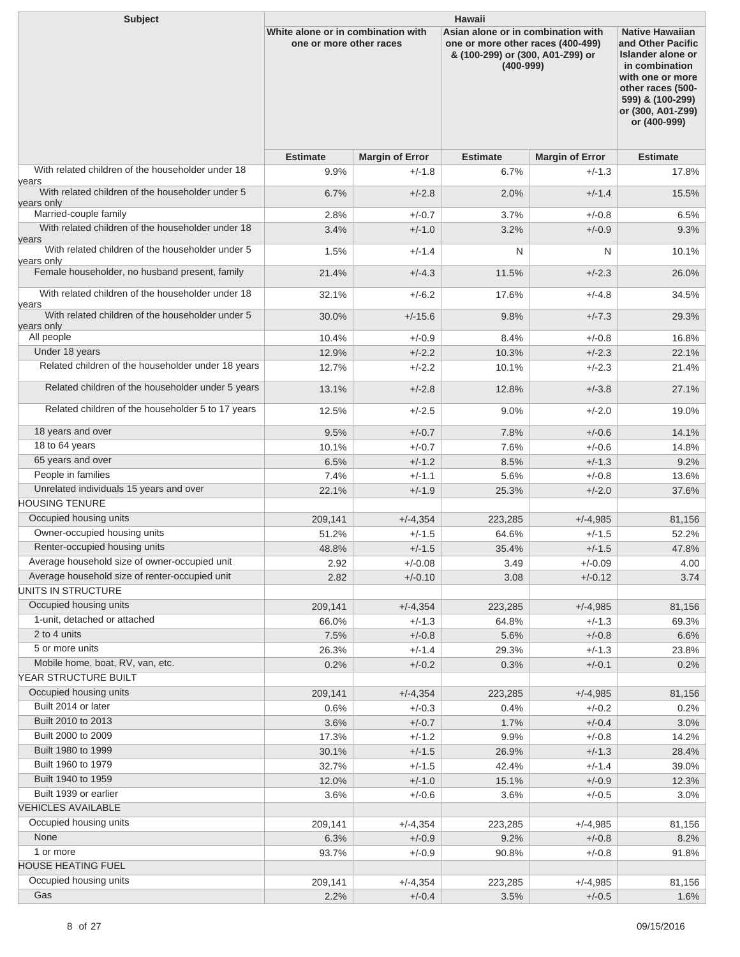| <b>Subject</b>                                                          | <b>Hawaii</b>                                                 |                        |                                                                                                                              |                        |                                                                                                                                                                                      |  |  |
|-------------------------------------------------------------------------|---------------------------------------------------------------|------------------------|------------------------------------------------------------------------------------------------------------------------------|------------------------|--------------------------------------------------------------------------------------------------------------------------------------------------------------------------------------|--|--|
|                                                                         | White alone or in combination with<br>one or more other races |                        | Asian alone or in combination with<br>one or more other races (400-499)<br>& (100-299) or (300, A01-Z99) or<br>$(400 - 999)$ |                        | <b>Native Hawaiian</b><br>and Other Pacific<br>Islander alone or<br>in combination<br>with one or more<br>other races (500-<br>599) & (100-299)<br>or (300, A01-Z99)<br>or (400-999) |  |  |
|                                                                         | <b>Estimate</b>                                               | <b>Margin of Error</b> | <b>Estimate</b>                                                                                                              | <b>Margin of Error</b> | <b>Estimate</b>                                                                                                                                                                      |  |  |
| With related children of the householder under 18                       | 9.9%                                                          | $+/-1.8$               | 6.7%                                                                                                                         | $+/-1.3$               | 17.8%                                                                                                                                                                                |  |  |
| vears<br>With related children of the householder under 5<br>vears only | 6.7%                                                          | $+/-2.8$               | 2.0%                                                                                                                         | $+/-1.4$               | 15.5%                                                                                                                                                                                |  |  |
| Married-couple family                                                   | 2.8%                                                          | $+/-0.7$               | 3.7%                                                                                                                         | $+/-0.8$               | $6.5\%$                                                                                                                                                                              |  |  |
| With related children of the householder under 18                       | 3.4%                                                          | $+/-1.0$               | 3.2%                                                                                                                         | $+/-0.9$               | 9.3%                                                                                                                                                                                 |  |  |
| vears<br>With related children of the householder under 5               | 1.5%                                                          | $+/-1.4$               | N                                                                                                                            | N                      | 10.1%                                                                                                                                                                                |  |  |
| vears only<br>Female householder, no husband present, family            |                                                               |                        |                                                                                                                              |                        |                                                                                                                                                                                      |  |  |
|                                                                         | 21.4%                                                         | $+/-4.3$               | 11.5%                                                                                                                        | $+/-2.3$               | 26.0%                                                                                                                                                                                |  |  |
| With related children of the householder under 18<br>vears              | 32.1%                                                         | $+/-6.2$               | 17.6%                                                                                                                        | $+/-4.8$               | 34.5%                                                                                                                                                                                |  |  |
| With related children of the householder under 5                        | 30.0%                                                         | $+/-15.6$              | 9.8%                                                                                                                         | $+/-7.3$               | 29.3%                                                                                                                                                                                |  |  |
| vears only<br>All people                                                |                                                               |                        |                                                                                                                              |                        |                                                                                                                                                                                      |  |  |
| Under 18 years                                                          | 10.4%<br>12.9%                                                | $+/-0.9$<br>$+/-2.2$   | 8.4%<br>10.3%                                                                                                                | $+/-0.8$<br>$+/-2.3$   | 16.8%<br>22.1%                                                                                                                                                                       |  |  |
| Related children of the householder under 18 years                      | 12.7%                                                         | $+/-2.2$               | 10.1%                                                                                                                        | $+/-2.3$               | 21.4%                                                                                                                                                                                |  |  |
| Related children of the householder under 5 years                       | 13.1%                                                         | $+/-2.8$               | 12.8%                                                                                                                        | $+/-3.8$               | 27.1%                                                                                                                                                                                |  |  |
| Related children of the householder 5 to 17 years                       | 12.5%                                                         | $+/-2.5$               |                                                                                                                              | $+/-2.0$               |                                                                                                                                                                                      |  |  |
|                                                                         |                                                               |                        | 9.0%                                                                                                                         |                        | 19.0%                                                                                                                                                                                |  |  |
| 18 years and over                                                       | 9.5%                                                          | $+/-0.7$               | 7.8%                                                                                                                         | $+/-0.6$               | 14.1%                                                                                                                                                                                |  |  |
| 18 to 64 years                                                          | 10.1%                                                         | $+/-0.7$               | 7.6%                                                                                                                         | $+/-0.6$               | 14.8%                                                                                                                                                                                |  |  |
| 65 years and over                                                       | 6.5%                                                          | $+/-1.2$               | 8.5%                                                                                                                         | $+/-1.3$               | 9.2%                                                                                                                                                                                 |  |  |
| People in families                                                      | 7.4%                                                          | $+/-1.1$               | 5.6%                                                                                                                         | $+/-0.8$               | 13.6%                                                                                                                                                                                |  |  |
| Unrelated individuals 15 years and over<br><b>HOUSING TENURE</b>        | 22.1%                                                         | $+/-1.9$               | 25.3%                                                                                                                        | $+/-2.0$               | 37.6%                                                                                                                                                                                |  |  |
|                                                                         |                                                               |                        |                                                                                                                              |                        |                                                                                                                                                                                      |  |  |
| Occupied housing units<br>Owner-occupied housing units                  | 209,141                                                       | $+/-4,354$             | 223,285                                                                                                                      | $+/-4,985$             | 81,156                                                                                                                                                                               |  |  |
| Renter-occupied housing units                                           | 51.2%                                                         | $+/-1.5$               | 64.6%                                                                                                                        | $+/-1.5$               | 52.2%                                                                                                                                                                                |  |  |
| Average household size of owner-occupied unit                           | 48.8%<br>2.92                                                 | $+/-1.5$<br>$+/-0.08$  | 35.4%<br>3.49                                                                                                                | $+/-1.5$<br>$+/-0.09$  | 47.8%<br>4.00                                                                                                                                                                        |  |  |
| Average household size of renter-occupied unit                          | 2.82                                                          | $+/-0.10$              | 3.08                                                                                                                         | $+/-0.12$              | 3.74                                                                                                                                                                                 |  |  |
| UNITS IN STRUCTURE                                                      |                                                               |                        |                                                                                                                              |                        |                                                                                                                                                                                      |  |  |
| Occupied housing units                                                  | 209,141                                                       | $+/-4,354$             | 223,285                                                                                                                      | $+/-4,985$             | 81,156                                                                                                                                                                               |  |  |
| 1-unit, detached or attached                                            | 66.0%                                                         | $+/-1.3$               | 64.8%                                                                                                                        | $+/-1.3$               | 69.3%                                                                                                                                                                                |  |  |
| 2 to 4 units                                                            | 7.5%                                                          | $+/-0.8$               | 5.6%                                                                                                                         | $+/-0.8$               | 6.6%                                                                                                                                                                                 |  |  |
| 5 or more units                                                         | 26.3%                                                         | $+/-1.4$               | 29.3%                                                                                                                        | $+/-1.3$               | 23.8%                                                                                                                                                                                |  |  |
| Mobile home, boat, RV, van, etc.                                        | 0.2%                                                          | $+/-0.2$               | 0.3%                                                                                                                         | $+/-0.1$               | 0.2%                                                                                                                                                                                 |  |  |
| YEAR STRUCTURE BUILT                                                    |                                                               |                        |                                                                                                                              |                        |                                                                                                                                                                                      |  |  |
| Occupied housing units                                                  | 209,141                                                       | $+/-4,354$             | 223,285                                                                                                                      | $+/-4,985$             | 81,156                                                                                                                                                                               |  |  |
| Built 2014 or later                                                     | 0.6%                                                          | $+/-0.3$               | 0.4%                                                                                                                         | $+/-0.2$               | 0.2%                                                                                                                                                                                 |  |  |
| Built 2010 to 2013                                                      | 3.6%                                                          | $+/-0.7$               | 1.7%                                                                                                                         | $+/-0.4$               | 3.0%                                                                                                                                                                                 |  |  |
| Built 2000 to 2009                                                      | 17.3%                                                         | $+/-1.2$               | 9.9%                                                                                                                         | $+/-0.8$               | 14.2%                                                                                                                                                                                |  |  |
| Built 1980 to 1999                                                      | 30.1%                                                         | $+/-1.5$               | 26.9%                                                                                                                        | $+/-1.3$               | 28.4%                                                                                                                                                                                |  |  |
| Built 1960 to 1979                                                      | 32.7%                                                         | $+/-1.5$               | 42.4%                                                                                                                        | $+/-1.4$               | 39.0%                                                                                                                                                                                |  |  |
| Built 1940 to 1959                                                      | 12.0%                                                         | $+/-1.0$               | 15.1%                                                                                                                        | $+/-0.9$               | 12.3%                                                                                                                                                                                |  |  |
| Built 1939 or earlier                                                   | 3.6%                                                          | $+/-0.6$               | 3.6%                                                                                                                         | $+/-0.5$               | 3.0%                                                                                                                                                                                 |  |  |
| <b>VEHICLES AVAILABLE</b>                                               |                                                               |                        |                                                                                                                              |                        |                                                                                                                                                                                      |  |  |
| Occupied housing units<br>None                                          | 209,141                                                       | $+/-4,354$             | 223,285                                                                                                                      | $+/-4,985$             | 81,156                                                                                                                                                                               |  |  |
| 1 or more                                                               | 6.3%                                                          | $+/-0.9$               | 9.2%                                                                                                                         | $+/-0.8$               | 8.2%                                                                                                                                                                                 |  |  |
| HOUSE HEATING FUEL                                                      | 93.7%                                                         | $+/-0.9$               | 90.8%                                                                                                                        | $+/-0.8$               | 91.8%                                                                                                                                                                                |  |  |
| Occupied housing units                                                  | 209,141                                                       | $+/-4,354$             | 223,285                                                                                                                      | $+/-4,985$             | 81,156                                                                                                                                                                               |  |  |
| Gas                                                                     | 2.2%                                                          | $+/-0.4$               | 3.5%                                                                                                                         | $+/-0.5$               | 1.6%                                                                                                                                                                                 |  |  |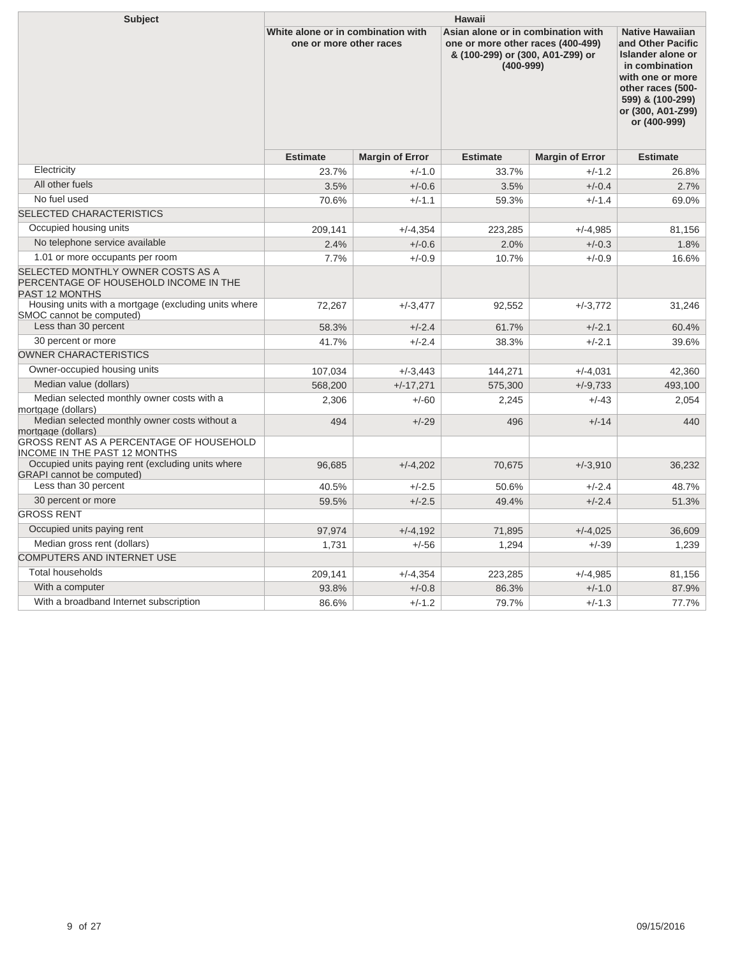| <b>Subject</b>                                                                                                                                              | Hawaii                                                        |                        |                                                                                                                              |                                                                                                                                                                                             |                 |  |  |
|-------------------------------------------------------------------------------------------------------------------------------------------------------------|---------------------------------------------------------------|------------------------|------------------------------------------------------------------------------------------------------------------------------|---------------------------------------------------------------------------------------------------------------------------------------------------------------------------------------------|-----------------|--|--|
|                                                                                                                                                             | White alone or in combination with<br>one or more other races |                        | Asian alone or in combination with<br>one or more other races (400-499)<br>& (100-299) or (300, A01-Z99) or<br>$(400 - 999)$ | <b>Native Hawaiian</b><br>and Other Pacific<br><b>Islander alone or</b><br>in combination<br>with one or more<br>other races (500-<br>599) & (100-299)<br>or (300, A01-Z99)<br>or (400-999) |                 |  |  |
|                                                                                                                                                             | <b>Estimate</b>                                               | <b>Margin of Error</b> | <b>Estimate</b>                                                                                                              | <b>Margin of Error</b>                                                                                                                                                                      | <b>Estimate</b> |  |  |
| Electricity                                                                                                                                                 | 23.7%                                                         | $+/-1.0$               | 33.7%                                                                                                                        | $+/-1.2$                                                                                                                                                                                    | 26.8%           |  |  |
| All other fuels                                                                                                                                             | 3.5%                                                          | $+/-0.6$               | 3.5%                                                                                                                         | $+/-0.4$                                                                                                                                                                                    | 2.7%            |  |  |
| No fuel used                                                                                                                                                | 70.6%                                                         | $+/-1.1$               | 59.3%                                                                                                                        | $+/-1.4$                                                                                                                                                                                    | 69.0%           |  |  |
| <b>SELECTED CHARACTERISTICS</b>                                                                                                                             |                                                               |                        |                                                                                                                              |                                                                                                                                                                                             |                 |  |  |
| Occupied housing units                                                                                                                                      | 209,141                                                       | $+/-4,354$             | 223,285                                                                                                                      | $+/-4,985$                                                                                                                                                                                  | 81,156          |  |  |
| No telephone service available                                                                                                                              | 2.4%                                                          | $+/-0.6$               | 2.0%                                                                                                                         | $+/-0.3$                                                                                                                                                                                    | 1.8%            |  |  |
| 1.01 or more occupants per room                                                                                                                             | 7.7%                                                          | $+/-0.9$               | 10.7%                                                                                                                        | $+/-0.9$                                                                                                                                                                                    | 16.6%           |  |  |
| SELECTED MONTHLY OWNER COSTS AS A<br>PERCENTAGE OF HOUSEHOLD INCOME IN THE<br><b>PAST 12 MONTHS</b><br>Housing units with a mortgage (excluding units where |                                                               |                        |                                                                                                                              |                                                                                                                                                                                             |                 |  |  |
| SMOC cannot be computed)                                                                                                                                    | 72,267                                                        | $+/-3,477$             | 92,552                                                                                                                       | $+/-3,772$                                                                                                                                                                                  | 31,246          |  |  |
| Less than 30 percent                                                                                                                                        | 58.3%                                                         | $+/-2.4$               | 61.7%                                                                                                                        | $+/-2.1$                                                                                                                                                                                    | 60.4%           |  |  |
| 30 percent or more                                                                                                                                          | 41.7%                                                         | $+/-2.4$               | 38.3%                                                                                                                        | $+/-2.1$                                                                                                                                                                                    | 39.6%           |  |  |
| <b>OWNER CHARACTERISTICS</b>                                                                                                                                |                                                               |                        |                                                                                                                              |                                                                                                                                                                                             |                 |  |  |
| Owner-occupied housing units                                                                                                                                | 107,034                                                       | $+/-3,443$             | 144,271                                                                                                                      | $+/-4,031$                                                                                                                                                                                  | 42,360          |  |  |
| Median value (dollars)                                                                                                                                      | 568,200                                                       | $+/-17,271$            | 575,300                                                                                                                      | $+/-9.733$                                                                                                                                                                                  | 493,100         |  |  |
| Median selected monthly owner costs with a<br>mortgage (dollars)                                                                                            | 2,306                                                         | $+/-60$                | 2,245                                                                                                                        | $+/-43$                                                                                                                                                                                     | 2,054           |  |  |
| Median selected monthly owner costs without a<br>mortgage (dollars)                                                                                         | 494                                                           | $+/-29$                | 496                                                                                                                          | $+/-14$                                                                                                                                                                                     | 440             |  |  |
| GROSS RENT AS A PERCENTAGE OF HOUSEHOLD<br>INCOME IN THE PAST 12 MONTHS                                                                                     |                                                               |                        |                                                                                                                              |                                                                                                                                                                                             |                 |  |  |
| Occupied units paying rent (excluding units where<br><b>GRAPI</b> cannot be computed)                                                                       | 96,685                                                        | $+/-4,202$             | 70,675                                                                                                                       | $+/-3,910$                                                                                                                                                                                  | 36,232          |  |  |
| Less than 30 percent                                                                                                                                        | 40.5%                                                         | $+/-2.5$               | 50.6%                                                                                                                        | $+/-2.4$                                                                                                                                                                                    | 48.7%           |  |  |
| 30 percent or more                                                                                                                                          | 59.5%                                                         | $+/-2.5$               | 49.4%                                                                                                                        | $+/-2.4$                                                                                                                                                                                    | 51.3%           |  |  |
| <b>GROSS RENT</b>                                                                                                                                           |                                                               |                        |                                                                                                                              |                                                                                                                                                                                             |                 |  |  |
| Occupied units paying rent                                                                                                                                  | 97,974                                                        | $+/-4.192$             | 71.895                                                                                                                       | $+/-4.025$                                                                                                                                                                                  | 36.609          |  |  |
| Median gross rent (dollars)                                                                                                                                 | 1.731                                                         | $+/-56$                | 1.294                                                                                                                        | $+/-39$                                                                                                                                                                                     | 1.239           |  |  |
| <b>COMPUTERS AND INTERNET USE</b>                                                                                                                           |                                                               |                        |                                                                                                                              |                                                                                                                                                                                             |                 |  |  |
| Total households                                                                                                                                            | 209,141                                                       | $+/-4,354$             | 223,285                                                                                                                      | $+/-4,985$                                                                                                                                                                                  | 81,156          |  |  |
| With a computer                                                                                                                                             | 93.8%                                                         | $+/-0.8$               | 86.3%                                                                                                                        | $+/-1.0$                                                                                                                                                                                    | 87.9%           |  |  |
| With a broadband Internet subscription                                                                                                                      | 86.6%                                                         | $+/-1.2$               | 79.7%                                                                                                                        | $+/-1.3$                                                                                                                                                                                    | 77.7%           |  |  |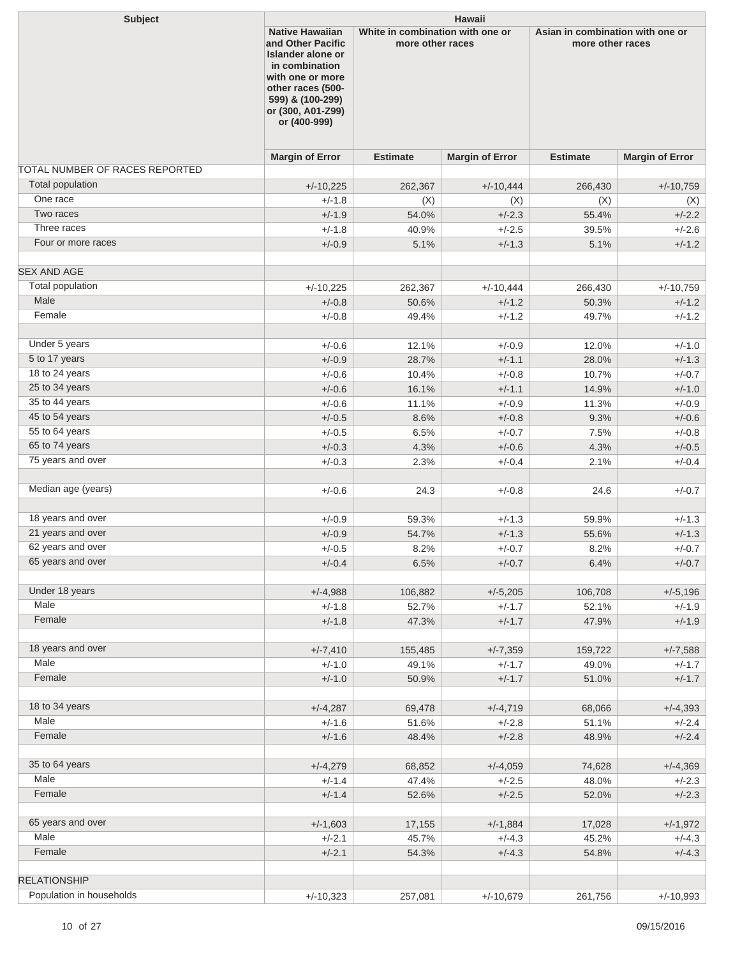| <b>Subject</b>                 | <b>Hawaii</b>                                                                                                                                                                        |                                                      |                        |                                                      |                        |  |
|--------------------------------|--------------------------------------------------------------------------------------------------------------------------------------------------------------------------------------|------------------------------------------------------|------------------------|------------------------------------------------------|------------------------|--|
|                                | <b>Native Hawaiian</b><br>and Other Pacific<br>Islander alone or<br>in combination<br>with one or more<br>other races (500-<br>599) & (100-299)<br>or (300, A01-Z99)<br>or (400-999) | White in combination with one or<br>more other races |                        | Asian in combination with one or<br>more other races |                        |  |
|                                | <b>Margin of Error</b>                                                                                                                                                               | <b>Estimate</b>                                      | <b>Margin of Error</b> | <b>Estimate</b>                                      | <b>Margin of Error</b> |  |
| TOTAL NUMBER OF RACES REPORTED |                                                                                                                                                                                      |                                                      |                        |                                                      |                        |  |
| <b>Total population</b>        | $+/-10,225$                                                                                                                                                                          | 262,367                                              | $+/-10,444$            | 266,430                                              | $+/-10,759$            |  |
| One race                       | $+/-1.8$                                                                                                                                                                             | (X)                                                  | (X)                    | (X)                                                  | (X)                    |  |
| Two races                      | $+/-1.9$                                                                                                                                                                             | 54.0%                                                | $+/-2.3$               | 55.4%                                                | $+/-2.2$               |  |
| Three races                    | $+/-1.8$                                                                                                                                                                             | 40.9%                                                | $+/-2.5$               | 39.5%                                                | $+/-2.6$               |  |
| Four or more races             | $+/-0.9$                                                                                                                                                                             | 5.1%                                                 | $+/-1.3$               | 5.1%                                                 | $+/-1.2$               |  |
| <b>SEX AND AGE</b>             |                                                                                                                                                                                      |                                                      |                        |                                                      |                        |  |
| Total population               | $+/-10,225$                                                                                                                                                                          | 262,367                                              | $+/-10,444$            | 266,430                                              | $+/-10,759$            |  |
| Male                           | $+/-0.8$                                                                                                                                                                             | 50.6%                                                | $+/-1.2$               | 50.3%                                                | $+/-1.2$               |  |
| Female                         | $+/-0.8$                                                                                                                                                                             | 49.4%                                                | $+/-1.2$               | 49.7%                                                | $+/-1.2$               |  |
| Under 5 years                  | $+/-0.6$                                                                                                                                                                             | 12.1%                                                | $+/-0.9$               | 12.0%                                                | $+/-1.0$               |  |
| 5 to 17 years                  | $+/-0.9$                                                                                                                                                                             | 28.7%                                                | $+/-1.1$               | 28.0%                                                | $+/-1.3$               |  |
| 18 to 24 years                 | $+/-0.6$                                                                                                                                                                             | 10.4%                                                | $+/-0.8$               | 10.7%                                                | $+/-0.7$               |  |
| 25 to 34 years                 | $+/-0.6$                                                                                                                                                                             | 16.1%                                                | $+/-1.1$               | 14.9%                                                | $+/-1.0$               |  |
| 35 to 44 years                 | $+/-0.6$                                                                                                                                                                             | 11.1%                                                | $+/-0.9$               | 11.3%                                                | $+/-0.9$               |  |
| 45 to 54 years                 | $+/-0.5$                                                                                                                                                                             | 8.6%                                                 | $+/-0.8$               | 9.3%                                                 | $+/-0.6$               |  |
| 55 to 64 years                 | $+/-0.5$                                                                                                                                                                             | 6.5%                                                 | $+/-0.7$               | 7.5%                                                 | $+/-0.8$               |  |
| 65 to 74 years                 | $+/-0.3$                                                                                                                                                                             | 4.3%                                                 | $+/-0.6$               | 4.3%                                                 | $+/-0.5$               |  |
| 75 years and over              | $+/-0.3$                                                                                                                                                                             | 2.3%                                                 | $+/-0.4$               | 2.1%                                                 | $+/-0.4$               |  |
| Median age (years)             | $+/-0.6$                                                                                                                                                                             | 24.3                                                 | $+/-0.8$               | 24.6                                                 | $+/-0.7$               |  |
| 18 years and over              | $+/-0.9$                                                                                                                                                                             | 59.3%                                                | $+/-1.3$               | 59.9%                                                | $+/-1.3$               |  |
| 21 years and over              | $+/-0.9$                                                                                                                                                                             | 54.7%                                                | $+/-1.3$               | 55.6%                                                | $+/-1.3$               |  |
| 62 years and over              | $+/-0.5$                                                                                                                                                                             | 8.2%                                                 | $+/-0.7$               | 8.2%                                                 | $+/-0.7$               |  |
| 65 years and over              | $+/-0.4$                                                                                                                                                                             | 6.5%                                                 | $+/-0.7$               | 6.4%                                                 | $+/-0.7$               |  |
| Under 18 years                 | $+/-4,988$                                                                                                                                                                           | 106,882                                              | $+/-5,205$             | 106,708                                              | $+/-5,196$             |  |
| Male                           | $+/-1.8$                                                                                                                                                                             | 52.7%                                                | $+/-1.7$               | 52.1%                                                | $+/-1.9$               |  |
| Female                         | $+/-1.8$                                                                                                                                                                             | 47.3%                                                | $+/-1.7$               | 47.9%                                                | $+/-1.9$               |  |
| 18 years and over              | $+/-7,410$                                                                                                                                                                           | 155,485                                              | $+/-7,359$             | 159,722                                              | $+/-7,588$             |  |
| Male                           | $+/-1.0$                                                                                                                                                                             | 49.1%                                                | $+/-1.7$               | 49.0%                                                | $+/-1.7$               |  |
| Female                         | $+/-1.0$                                                                                                                                                                             | 50.9%                                                | $+/-1.7$               | 51.0%                                                | $+/-1.7$               |  |
| 18 to 34 years                 | $+/-4,287$                                                                                                                                                                           | 69,478                                               | $+/-4,719$             | 68,066                                               | $+/-4,393$             |  |
| Male                           | $+/-1.6$                                                                                                                                                                             | 51.6%                                                | $+/-2.8$               | 51.1%                                                | $+/-2.4$               |  |
| Female                         | $+/-1.6$                                                                                                                                                                             | 48.4%                                                | $+/-2.8$               | 48.9%                                                | $+/-2.4$               |  |
|                                |                                                                                                                                                                                      |                                                      |                        |                                                      |                        |  |
| 35 to 64 years                 | $+/-4,279$                                                                                                                                                                           | 68,852                                               | $+/-4,059$             | 74,628                                               | $+/-4,369$             |  |
| Male                           | $+/-1.4$                                                                                                                                                                             | 47.4%                                                | $+/-2.5$               | 48.0%                                                | $+/-2.3$               |  |
| Female                         | $+/-1.4$                                                                                                                                                                             | 52.6%                                                | $+/-2.5$               | 52.0%                                                | $+/-2.3$               |  |
| 65 years and over              | $+/-1,603$                                                                                                                                                                           | 17,155                                               | $+/-1,884$             | 17,028                                               | $+/-1,972$             |  |
| Male                           | $+/-2.1$                                                                                                                                                                             | 45.7%                                                | $+/-4.3$               | 45.2%                                                | $+/-4.3$               |  |
| Female                         | $+/-2.1$                                                                                                                                                                             | 54.3%                                                | $+/-4.3$               | 54.8%                                                | $+/-4.3$               |  |
| <b>RELATIONSHIP</b>            |                                                                                                                                                                                      |                                                      |                        |                                                      |                        |  |
| Population in households       | $+/-10,323$                                                                                                                                                                          | 257,081                                              | $+/-10,679$            | 261,756                                              | $+/-10,993$            |  |
|                                |                                                                                                                                                                                      |                                                      |                        |                                                      |                        |  |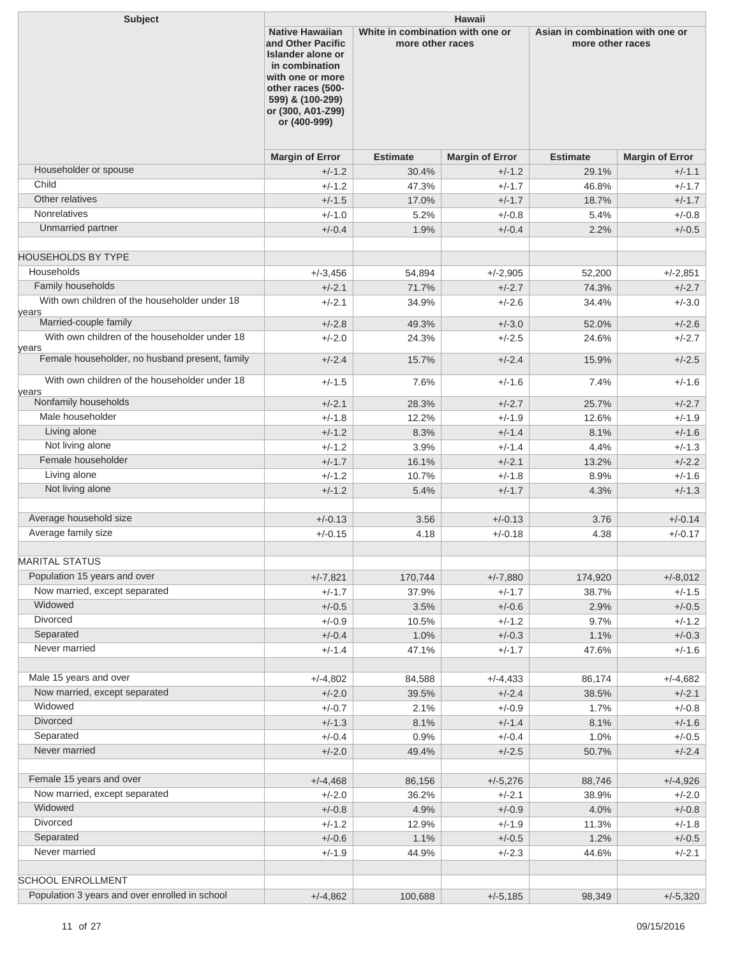| <b>Subject</b>                                         | <b>Hawaii</b>                                                                                                                                              |                                                                                |                        |                 |                                                      |  |
|--------------------------------------------------------|------------------------------------------------------------------------------------------------------------------------------------------------------------|--------------------------------------------------------------------------------|------------------------|-----------------|------------------------------------------------------|--|
|                                                        | and Other Pacific<br>Islander alone or<br>in combination<br>with one or more<br>other races (500-<br>599) & (100-299)<br>or (300, A01-Z99)<br>or (400-999) | <b>Native Hawaiian</b><br>White in combination with one or<br>more other races |                        |                 | Asian in combination with one or<br>more other races |  |
|                                                        | <b>Margin of Error</b>                                                                                                                                     | <b>Estimate</b>                                                                | <b>Margin of Error</b> | <b>Estimate</b> | <b>Margin of Error</b>                               |  |
| Householder or spouse                                  | $+/-1.2$                                                                                                                                                   | 30.4%                                                                          | $+/-1.2$               | 29.1%           | $+/-1.1$                                             |  |
| Child                                                  | $+/-1.2$                                                                                                                                                   | 47.3%                                                                          | $+/-1.7$               | 46.8%           | $+/-1.7$                                             |  |
| Other relatives                                        | $+/-1.5$                                                                                                                                                   | 17.0%                                                                          | $+/-1.7$               | 18.7%           | $+/-1.7$                                             |  |
| <b>Nonrelatives</b>                                    | $+/-1.0$                                                                                                                                                   | 5.2%                                                                           | $+/-0.8$               | 5.4%            | $+/-0.8$                                             |  |
| Unmarried partner                                      | $+/-0.4$                                                                                                                                                   | 1.9%                                                                           | $+/-0.4$               | 2.2%            | $+/-0.5$                                             |  |
| <b>HOUSEHOLDS BY TYPE</b>                              |                                                                                                                                                            |                                                                                |                        |                 |                                                      |  |
| Households                                             | $+/-3,456$                                                                                                                                                 | 54,894                                                                         | $+/-2,905$             | 52,200          | $+/-2.851$                                           |  |
| Family households                                      | $+/-2.1$                                                                                                                                                   | 71.7%                                                                          | $+/-2.7$               | 74.3%           | $+/-2.7$                                             |  |
| With own children of the householder under 18          | $+/-2.1$                                                                                                                                                   | 34.9%                                                                          | $+/-2.6$               | 34.4%           | $+/-3.0$                                             |  |
| years<br>Married-couple family                         | $+/-2.8$                                                                                                                                                   |                                                                                |                        |                 |                                                      |  |
| With own children of the householder under 18          |                                                                                                                                                            | 49.3%                                                                          | $+/-3.0$               | 52.0%           | $+/-2.6$                                             |  |
| years                                                  | $+/-2.0$                                                                                                                                                   | 24.3%                                                                          | $+/-2.5$               | 24.6%           | $+/-2.7$                                             |  |
| Female householder, no husband present, family         | $+/-2.4$                                                                                                                                                   | 15.7%                                                                          | $+/-2.4$               | 15.9%           | $+/-2.5$                                             |  |
| With own children of the householder under 18<br>years | $+/-1.5$                                                                                                                                                   | 7.6%                                                                           | $+/-1.6$               | 7.4%            | $+/-1.6$                                             |  |
| Nonfamily households                                   | $+/-2.1$                                                                                                                                                   | 28.3%                                                                          | $+/-2.7$               | 25.7%           | $+/-2.7$                                             |  |
| Male householder                                       | $+/-1.8$                                                                                                                                                   | 12.2%                                                                          | $+/-1.9$               | 12.6%           | $+/-1.9$                                             |  |
| Living alone                                           | $+/-1.2$                                                                                                                                                   | 8.3%                                                                           | $+/-1.4$               | 8.1%            | $+/-1.6$                                             |  |
| Not living alone                                       | $+/-1.2$                                                                                                                                                   | 3.9%                                                                           | $+/-1.4$               | 4.4%            | $+/-1.3$                                             |  |
| Female householder                                     | $+/-1.7$                                                                                                                                                   | 16.1%                                                                          | $+/-2.1$               | 13.2%           | $+/-2.2$                                             |  |
| Living alone                                           | $+/-1.2$                                                                                                                                                   | 10.7%                                                                          | $+/-1.8$               | 8.9%            | $+/-1.6$                                             |  |
| Not living alone                                       | $+/-1.2$                                                                                                                                                   | 5.4%                                                                           | $+/-1.7$               | 4.3%            | $+/-1.3$                                             |  |
| Average household size                                 | $+/-0.13$                                                                                                                                                  | 3.56                                                                           | $+/-0.13$              | 3.76            | $+/-0.14$                                            |  |
| Average family size                                    | $+/-0.15$                                                                                                                                                  | 4.18                                                                           | $+/-0.18$              | 4.38            | $+/-0.17$                                            |  |
|                                                        |                                                                                                                                                            |                                                                                |                        |                 |                                                      |  |
| <b>MARITAL STATUS</b>                                  |                                                                                                                                                            |                                                                                |                        |                 |                                                      |  |
| Population 15 years and over                           | $+/-7,821$                                                                                                                                                 | 170,744                                                                        | $+/-7,880$             | 174,920         | $+/-8,012$                                           |  |
| Now married, except separated                          | $+/-1.7$                                                                                                                                                   | 37.9%                                                                          | $+/-1.7$               | 38.7%           | $+/-1.5$                                             |  |
| Widowed                                                | $+/-0.5$                                                                                                                                                   | 3.5%                                                                           | $+/-0.6$               | 2.9%            | $+/-0.5$                                             |  |
| Divorced                                               | $+/-0.9$                                                                                                                                                   | 10.5%                                                                          | $+/-1.2$               | 9.7%            | $+/-1.2$                                             |  |
| Separated                                              | $+/-0.4$                                                                                                                                                   | 1.0%                                                                           | $+/-0.3$               | 1.1%            | $+/-0.3$                                             |  |
| Never married                                          | $+/-1.4$                                                                                                                                                   | 47.1%                                                                          | $+/-1.7$               | 47.6%           | $+/-1.6$                                             |  |
| Male 15 years and over                                 | $+/-4,802$                                                                                                                                                 | 84,588                                                                         | $+/-4,433$             | 86,174          | $+/-4,682$                                           |  |
| Now married, except separated                          | $+/-2.0$                                                                                                                                                   | 39.5%                                                                          | $+/-2.4$               | 38.5%           | $+/-2.1$                                             |  |
| Widowed                                                | $+/-0.7$                                                                                                                                                   | 2.1%                                                                           | $+/-0.9$               | 1.7%            | $+/-0.8$                                             |  |
| Divorced                                               | $+/-1.3$                                                                                                                                                   | 8.1%                                                                           | $+/-1.4$               | 8.1%            | $+/-1.6$                                             |  |
| Separated                                              | $+/-0.4$                                                                                                                                                   | 0.9%                                                                           | $+/-0.4$               | 1.0%            | $+/-0.5$                                             |  |
| Never married                                          | $+/-2.0$                                                                                                                                                   | 49.4%                                                                          | $+/-2.5$               | 50.7%           | $+/-2.4$                                             |  |
|                                                        |                                                                                                                                                            |                                                                                |                        |                 |                                                      |  |
| Female 15 years and over                               | $+/-4,468$                                                                                                                                                 | 86,156                                                                         | $+/-5,276$             | 88,746          | $+/-4,926$                                           |  |
| Now married, except separated                          | $+/-2.0$                                                                                                                                                   | 36.2%                                                                          | $+/-2.1$               | 38.9%           | $+/-2.0$                                             |  |
| Widowed                                                | $+/-0.8$                                                                                                                                                   | 4.9%                                                                           | $+/-0.9$               | 4.0%            | $+/-0.8$                                             |  |
| Divorced                                               | $+/-1.2$                                                                                                                                                   | 12.9%                                                                          | $+/-1.9$               | 11.3%           | $+/-1.8$                                             |  |
| Separated                                              | $+/-0.6$                                                                                                                                                   | 1.1%                                                                           | $+/-0.5$               | 1.2%            | $+/-0.5$                                             |  |
| Never married                                          | $+/-1.9$                                                                                                                                                   | 44.9%                                                                          | $+/-2.3$               | 44.6%           | $+/-2.1$                                             |  |
| <b>SCHOOL ENROLLMENT</b>                               |                                                                                                                                                            |                                                                                |                        |                 |                                                      |  |
| Population 3 years and over enrolled in school         | $+/-4,862$                                                                                                                                                 | 100,688                                                                        | $+/-5,185$             | 98,349          | $+/-5,320$                                           |  |
|                                                        |                                                                                                                                                            |                                                                                |                        |                 |                                                      |  |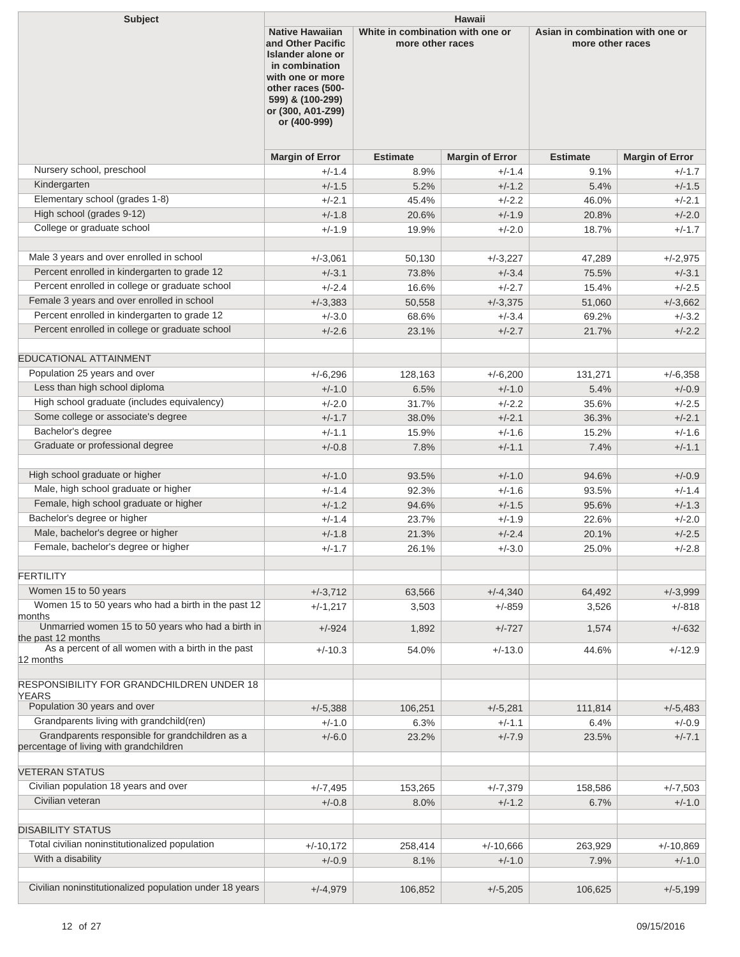| <b>Subject</b>                                                                             | Hawaii                                                                                                                                                                               |                                                      |                        |                 |                                                      |  |  |
|--------------------------------------------------------------------------------------------|--------------------------------------------------------------------------------------------------------------------------------------------------------------------------------------|------------------------------------------------------|------------------------|-----------------|------------------------------------------------------|--|--|
|                                                                                            | <b>Native Hawaiian</b><br>and Other Pacific<br>Islander alone or<br>in combination<br>with one or more<br>other races (500-<br>599) & (100-299)<br>or (300, A01-Z99)<br>or (400-999) | White in combination with one or<br>more other races |                        |                 | Asian in combination with one or<br>more other races |  |  |
|                                                                                            | <b>Margin of Error</b>                                                                                                                                                               | <b>Estimate</b>                                      | <b>Margin of Error</b> | <b>Estimate</b> | <b>Margin of Error</b>                               |  |  |
| Nursery school, preschool                                                                  | $+/-1.4$                                                                                                                                                                             | 8.9%                                                 | $+/-1.4$               | 9.1%            | $+/-1.7$                                             |  |  |
| Kindergarten                                                                               | $+/-1.5$                                                                                                                                                                             | 5.2%                                                 | $+/-1.2$               | 5.4%            | $+/-1.5$                                             |  |  |
| Elementary school (grades 1-8)                                                             | $+/-2.1$                                                                                                                                                                             | 45.4%                                                | $+/-2.2$               | 46.0%           | $+/-2.1$                                             |  |  |
| High school (grades 9-12)                                                                  | $+/-1.8$                                                                                                                                                                             | 20.6%                                                | $+/-1.9$               | 20.8%           | $+/-2.0$                                             |  |  |
| College or graduate school                                                                 | $+/-1.9$                                                                                                                                                                             | 19.9%                                                | $+/-2.0$               | 18.7%           | $+/-1.7$                                             |  |  |
| Male 3 years and over enrolled in school                                                   |                                                                                                                                                                                      |                                                      |                        |                 |                                                      |  |  |
| Percent enrolled in kindergarten to grade 12                                               | $+/-3,061$                                                                                                                                                                           | 50,130                                               | $+/-3,227$             | 47,289          | $+/-2,975$                                           |  |  |
| Percent enrolled in college or graduate school                                             | $+/-3.1$                                                                                                                                                                             | 73.8%                                                | $+/-3.4$               | 75.5%           | $+/-3.1$                                             |  |  |
| Female 3 years and over enrolled in school                                                 | $+/-2.4$                                                                                                                                                                             | 16.6%                                                | $+/-2.7$               | 15.4%           | $+/-2.5$                                             |  |  |
| Percent enrolled in kindergarten to grade 12                                               | $+/-3,383$                                                                                                                                                                           | 50,558                                               | $+/-3,375$             | 51,060          | $+/-3,662$                                           |  |  |
| Percent enrolled in college or graduate school                                             | $+/-3.0$                                                                                                                                                                             | 68.6%                                                | $+/-3.4$               | 69.2%           | $+/-3.2$                                             |  |  |
|                                                                                            | $+/-2.6$                                                                                                                                                                             | 23.1%                                                | $+/-2.7$               | 21.7%           | $+/-2.2$                                             |  |  |
| EDUCATIONAL ATTAINMENT                                                                     |                                                                                                                                                                                      |                                                      |                        |                 |                                                      |  |  |
| Population 25 years and over                                                               | $+/-6,296$                                                                                                                                                                           | 128,163                                              | $+/-6,200$             | 131,271         | $+/-6,358$                                           |  |  |
| Less than high school diploma                                                              | $+/-1.0$                                                                                                                                                                             | 6.5%                                                 | $+/-1.0$               | 5.4%            | $+/-0.9$                                             |  |  |
| High school graduate (includes equivalency)                                                | $+/-2.0$                                                                                                                                                                             | 31.7%                                                | $+/-2.2$               | 35.6%           | $+/-2.5$                                             |  |  |
| Some college or associate's degree                                                         | $+/-1.7$                                                                                                                                                                             | 38.0%                                                | $+/-2.1$               | 36.3%           | $+/-2.1$                                             |  |  |
| Bachelor's degree                                                                          | $+/-1.1$                                                                                                                                                                             | 15.9%                                                | $+/-1.6$               | 15.2%           | $+/-1.6$                                             |  |  |
| Graduate or professional degree                                                            | $+/-0.8$                                                                                                                                                                             | 7.8%                                                 | $+/-1.1$               | 7.4%            | $+/-1.1$                                             |  |  |
| High school graduate or higher                                                             | $+/-1.0$                                                                                                                                                                             | 93.5%                                                | $+/-1.0$               | 94.6%           | $+/-0.9$                                             |  |  |
| Male, high school graduate or higher                                                       | $+/-1.4$                                                                                                                                                                             | 92.3%                                                | $+/-1.6$               | 93.5%           | $+/-1.4$                                             |  |  |
| Female, high school graduate or higher                                                     | $+/-1.2$                                                                                                                                                                             | 94.6%                                                | $+/-1.5$               | 95.6%           | $+/-1.3$                                             |  |  |
| Bachelor's degree or higher                                                                | $+/-1.4$                                                                                                                                                                             | 23.7%                                                | $+/-1.9$               | 22.6%           | $+/-2.0$                                             |  |  |
| Male, bachelor's degree or higher                                                          | $+/-1.8$                                                                                                                                                                             | 21.3%                                                | $+/-2.4$               | 20.1%           | $+/-2.5$                                             |  |  |
| Female, bachelor's degree or higher                                                        | $+/-1.7$                                                                                                                                                                             | 26.1%                                                | $+/-3.0$               | 25.0%           | $+/-2.8$                                             |  |  |
|                                                                                            |                                                                                                                                                                                      |                                                      |                        |                 |                                                      |  |  |
| <b>FERTILITY</b>                                                                           |                                                                                                                                                                                      |                                                      |                        |                 |                                                      |  |  |
| Women 15 to 50 years                                                                       | $+/-3,712$                                                                                                                                                                           | 63,566                                               | $+/-4,340$             | 64,492          | $+/-3,999$                                           |  |  |
| Women 15 to 50 years who had a birth in the past 12<br>months                              | $+/-1,217$                                                                                                                                                                           | 3,503                                                | $+/-859$               | 3,526           | $+/-818$                                             |  |  |
| Unmarried women 15 to 50 years who had a birth in<br>the past 12 months                    | $+/-924$                                                                                                                                                                             | 1,892                                                | $+/-727$               | 1,574           | $+/-632$                                             |  |  |
| As a percent of all women with a birth in the past<br>12 months                            | $+/-10.3$                                                                                                                                                                            | 54.0%                                                | $+/-13.0$              | 44.6%           | $+/-12.9$                                            |  |  |
|                                                                                            |                                                                                                                                                                                      |                                                      |                        |                 |                                                      |  |  |
| <b>RESPONSIBILITY FOR GRANDCHILDREN UNDER 18</b><br><b>YEARS</b>                           |                                                                                                                                                                                      |                                                      |                        |                 |                                                      |  |  |
| Population 30 years and over                                                               | $+/-5,388$                                                                                                                                                                           | 106,251                                              | $+/-5,281$             | 111,814         | $+/-5,483$                                           |  |  |
| Grandparents living with grandchild(ren)                                                   | $+/-1.0$                                                                                                                                                                             | 6.3%                                                 | $+/-1.1$               | 6.4%            | $+/-0.9$                                             |  |  |
| Grandparents responsible for grandchildren as a<br>percentage of living with grandchildren | $+/-6.0$                                                                                                                                                                             | 23.2%                                                | $+/-7.9$               | 23.5%           | $+/-7.1$                                             |  |  |
| <b>VETERAN STATUS</b>                                                                      |                                                                                                                                                                                      |                                                      |                        |                 |                                                      |  |  |
| Civilian population 18 years and over                                                      | $+/-7,495$                                                                                                                                                                           | 153,265                                              | $+/-7,379$             | 158,586         | $+/-7,503$                                           |  |  |
| Civilian veteran                                                                           | $+/-0.8$                                                                                                                                                                             | 8.0%                                                 | $+/-1.2$               | 6.7%            | $+/-1.0$                                             |  |  |
|                                                                                            |                                                                                                                                                                                      |                                                      |                        |                 |                                                      |  |  |
| <b>DISABILITY STATUS</b>                                                                   |                                                                                                                                                                                      |                                                      |                        |                 |                                                      |  |  |
| Total civilian noninstitutionalized population                                             | $+/-10,172$                                                                                                                                                                          | 258,414                                              | $+/-10,666$            | 263,929         | $+/-10,869$                                          |  |  |
| With a disability                                                                          | $+/-0.9$                                                                                                                                                                             | 8.1%                                                 | $+/-1.0$               | 7.9%            | $+/-1.0$                                             |  |  |
| Civilian noninstitutionalized population under 18 years                                    |                                                                                                                                                                                      |                                                      |                        |                 |                                                      |  |  |
|                                                                                            | $+/-4,979$                                                                                                                                                                           | 106,852                                              | $+/-5,205$             | 106,625         | $+/-5,199$                                           |  |  |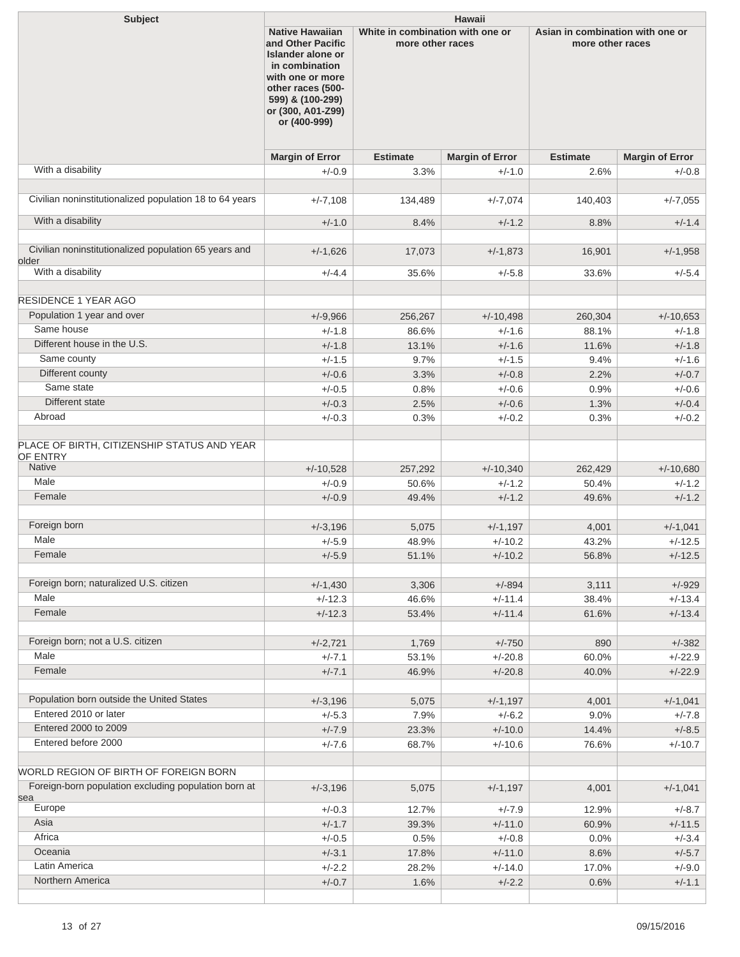| <b>Subject</b>                                                           | <b>Hawaii</b>                                                                                                                                                                               |                                                                                                              |                        |                 |                        |
|--------------------------------------------------------------------------|---------------------------------------------------------------------------------------------------------------------------------------------------------------------------------------------|--------------------------------------------------------------------------------------------------------------|------------------------|-----------------|------------------------|
|                                                                          | <b>Native Hawaiian</b><br>and Other Pacific<br><b>Islander alone or</b><br>in combination<br>with one or more<br>other races (500-<br>599) & (100-299)<br>or (300, A01-Z99)<br>or (400-999) | White in combination with one or<br>Asian in combination with one or<br>more other races<br>more other races |                        |                 |                        |
|                                                                          | <b>Margin of Error</b>                                                                                                                                                                      | <b>Estimate</b>                                                                                              | <b>Margin of Error</b> | <b>Estimate</b> | <b>Margin of Error</b> |
| With a disability                                                        | $+/-0.9$                                                                                                                                                                                    | 3.3%                                                                                                         | $+/-1.0$               | 2.6%            | $+/-0.8$               |
| Civilian noninstitutionalized population 18 to 64 years                  | $+/-7,108$                                                                                                                                                                                  | 134,489                                                                                                      | $+/-7,074$             | 140,403         | $+/-7,055$             |
| With a disability                                                        | $+/-1.0$                                                                                                                                                                                    | 8.4%                                                                                                         | $+/-1.2$               | 8.8%            | $+/-1.4$               |
|                                                                          |                                                                                                                                                                                             |                                                                                                              |                        |                 |                        |
| Civilian noninstitutionalized population 65 years and                    | $+/-1,626$                                                                                                                                                                                  | 17,073                                                                                                       | $+/-1,873$             | 16,901          | $+/-1,958$             |
| older<br>With a disability                                               | $+/-4.4$                                                                                                                                                                                    | 35.6%                                                                                                        | $+/-5.8$               | 33.6%           | $+/-5.4$               |
|                                                                          |                                                                                                                                                                                             |                                                                                                              |                        |                 |                        |
| <b>RESIDENCE 1 YEAR AGO</b>                                              |                                                                                                                                                                                             |                                                                                                              |                        |                 |                        |
| Population 1 year and over                                               | $+/-9,966$                                                                                                                                                                                  | 256,267                                                                                                      | $+/-10,498$            | 260,304         | $+/-10,653$            |
| Same house                                                               | $+/-1.8$                                                                                                                                                                                    | 86.6%                                                                                                        | $+/-1.6$               | 88.1%           | $+/-1.8$               |
| Different house in the U.S.                                              | $+/-1.8$                                                                                                                                                                                    | 13.1%                                                                                                        | $+/-1.6$               | 11.6%           | $+/-1.8$               |
| Same county                                                              | $+/-1.5$                                                                                                                                                                                    | 9.7%                                                                                                         | $+/-1.5$               | 9.4%            | $+/-1.6$               |
| Different county                                                         | $+/-0.6$                                                                                                                                                                                    | 3.3%                                                                                                         | $+/-0.8$               | 2.2%            | $+/-0.7$               |
| Same state                                                               | $+/-0.5$                                                                                                                                                                                    | 0.8%                                                                                                         | $+/-0.6$               | 0.9%            | $+/-0.6$               |
| Different state                                                          | $+/-0.3$                                                                                                                                                                                    | 2.5%                                                                                                         | $+/-0.6$               | 1.3%            | $+/-0.4$               |
| Abroad                                                                   | $+/-0.3$                                                                                                                                                                                    | 0.3%                                                                                                         | $+/-0.2$               | 0.3%            | $+/-0.2$               |
| PLACE OF BIRTH, CITIZENSHIP STATUS AND YEAR<br>OF ENTRY<br><b>Native</b> |                                                                                                                                                                                             |                                                                                                              |                        |                 |                        |
| Male                                                                     | $+/-10,528$                                                                                                                                                                                 | 257,292                                                                                                      | $+/-10,340$            | 262,429         | $+/-10,680$            |
| Female                                                                   | $+/-0.9$                                                                                                                                                                                    | 50.6%                                                                                                        | $+/-1.2$               | 50.4%           | $+/-1.2$               |
|                                                                          | $+/-0.9$                                                                                                                                                                                    | 49.4%                                                                                                        | $+/-1.2$               | 49.6%           | $+/-1.2$               |
| Foreign born                                                             | $+/-3.196$                                                                                                                                                                                  | 5,075                                                                                                        | $+/-1,197$             | 4,001           | $+/-1,041$             |
| Male                                                                     | $+/-5.9$                                                                                                                                                                                    | 48.9%                                                                                                        | $+/-10.2$              | 43.2%           | $+/-12.5$              |
| Female                                                                   | $+/-5.9$                                                                                                                                                                                    | 51.1%                                                                                                        | $+/-10.2$              | 56.8%           | $+/-12.5$              |
|                                                                          |                                                                                                                                                                                             |                                                                                                              |                        |                 |                        |
| Foreign born; naturalized U.S. citizen                                   | $+/-1,430$                                                                                                                                                                                  | 3,306                                                                                                        | $+/-894$               | 3,111           | $+/-929$               |
| Male                                                                     | $+/-12.3$                                                                                                                                                                                   | 46.6%                                                                                                        | $+/-11.4$              | 38.4%           | $+/-13.4$              |
| Female                                                                   | $+/-12.3$                                                                                                                                                                                   | 53.4%                                                                                                        | $+/-11.4$              | 61.6%           | $+/-13.4$              |
|                                                                          |                                                                                                                                                                                             |                                                                                                              |                        |                 |                        |
| Foreign born; not a U.S. citizen                                         | $+/-2,721$                                                                                                                                                                                  | 1,769                                                                                                        | $+/-750$               | 890             | $+/-382$               |
| Male                                                                     | $+/-7.1$                                                                                                                                                                                    | 53.1%                                                                                                        | $+/-20.8$              | 60.0%           | $+/-22.9$              |
| Female                                                                   | $+/-7.1$                                                                                                                                                                                    | 46.9%                                                                                                        | $+/-20.8$              | 40.0%           | $+/-22.9$              |
|                                                                          |                                                                                                                                                                                             |                                                                                                              |                        |                 |                        |
| Population born outside the United States                                | $+/-3,196$                                                                                                                                                                                  | 5,075                                                                                                        | $+/-1,197$             | 4,001           | $+/-1,041$             |
| Entered 2010 or later                                                    | $+/-5.3$                                                                                                                                                                                    | 7.9%                                                                                                         | $+/-6.2$               | 9.0%            | $+/-7.8$               |
| Entered 2000 to 2009<br>Entered before 2000                              | $+/-7.9$                                                                                                                                                                                    | 23.3%                                                                                                        | $+/-10.0$              | 14.4%           | $+/-8.5$               |
|                                                                          | $+/-7.6$                                                                                                                                                                                    | 68.7%                                                                                                        | $+/-10.6$              | 76.6%           | $+/-10.7$              |
| WORLD REGION OF BIRTH OF FOREIGN BORN                                    |                                                                                                                                                                                             |                                                                                                              |                        |                 |                        |
| Foreign-born population excluding population born at                     | $+/-3,196$                                                                                                                                                                                  | 5,075                                                                                                        | $+/-1,197$             | 4,001           | $+/-1,041$             |
| sea                                                                      |                                                                                                                                                                                             |                                                                                                              |                        |                 |                        |
| Europe                                                                   | $+/-0.3$                                                                                                                                                                                    | 12.7%                                                                                                        | $+/-7.9$               | 12.9%           | $+/-8.7$               |
| Asia<br>Africa                                                           | $+/-1.7$                                                                                                                                                                                    | 39.3%                                                                                                        | $+/-11.0$              | 60.9%           | $+/-11.5$              |
|                                                                          | $+/-0.5$                                                                                                                                                                                    | 0.5%                                                                                                         | $+/-0.8$               | 0.0%            | $+/-3.4$               |
| Oceania<br>Latin America                                                 | $+/-3.1$                                                                                                                                                                                    | 17.8%                                                                                                        | $+/-11.0$              | 8.6%            | $+/-5.7$               |
| Northern America                                                         | $+/-2.2$                                                                                                                                                                                    | 28.2%                                                                                                        | $+/-14.0$              | 17.0%           | $+/-9.0$               |
|                                                                          | $+/-0.7$                                                                                                                                                                                    | 1.6%                                                                                                         | $+/-2.2$               | 0.6%            | $+/-1.1$               |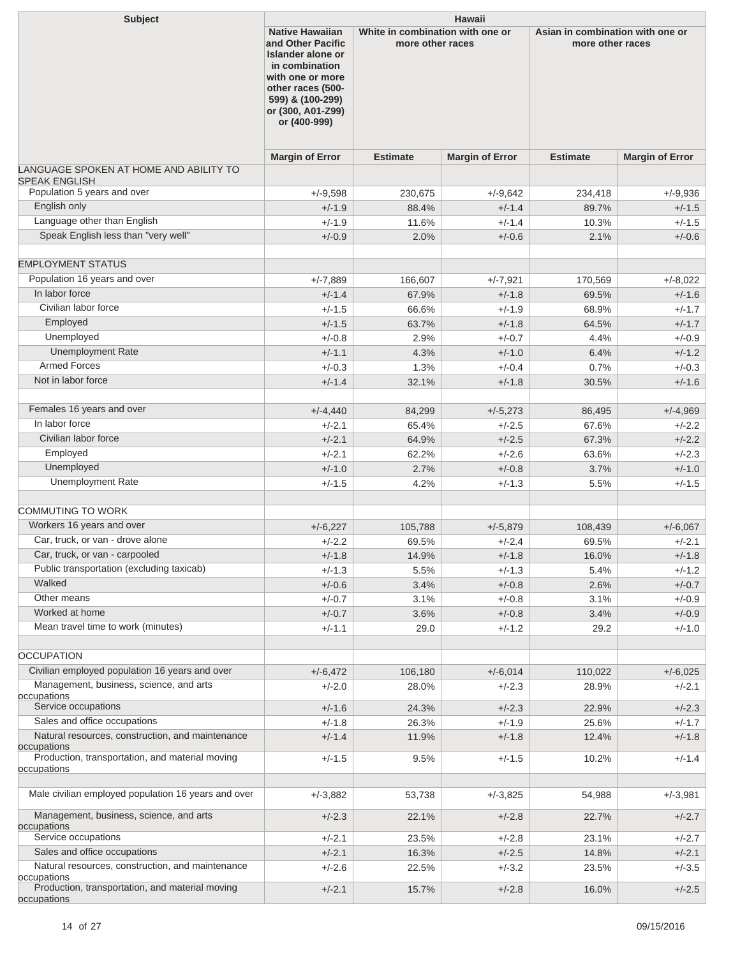| Subject                                                         | <b>Hawaii</b>                                                                                                                                                                        |                                                      |                        |                                                      |                        |
|-----------------------------------------------------------------|--------------------------------------------------------------------------------------------------------------------------------------------------------------------------------------|------------------------------------------------------|------------------------|------------------------------------------------------|------------------------|
|                                                                 | <b>Native Hawaiian</b><br>and Other Pacific<br>Islander alone or<br>in combination<br>with one or more<br>other races (500-<br>599) & (100-299)<br>or (300, A01-Z99)<br>or (400-999) | White in combination with one or<br>more other races |                        | Asian in combination with one or<br>more other races |                        |
|                                                                 | <b>Margin of Error</b>                                                                                                                                                               | <b>Estimate</b>                                      | <b>Margin of Error</b> | <b>Estimate</b>                                      | <b>Margin of Error</b> |
| LANGUAGE SPOKEN AT HOME AND ABILITY TO                          |                                                                                                                                                                                      |                                                      |                        |                                                      |                        |
| <b>SPEAK ENGLISH</b>                                            |                                                                                                                                                                                      |                                                      |                        |                                                      |                        |
| Population 5 years and over<br>English only                     | $+/-9.598$                                                                                                                                                                           | 230,675                                              | $+/-9.642$             | 234,418                                              | $+/-9,936$             |
| Language other than English                                     | $+/-1.9$                                                                                                                                                                             | 88.4%                                                | $+/-1.4$<br>$+/-1.4$   | 89.7%                                                | $+/-1.5$               |
| Speak English less than "very well"                             | $+/-1.9$                                                                                                                                                                             | 11.6%                                                |                        | 10.3%                                                | $+/-1.5$<br>$+/-0.6$   |
|                                                                 | $+/-0.9$                                                                                                                                                                             | 2.0%                                                 | $+/-0.6$               | 2.1%                                                 |                        |
| <b>EMPLOYMENT STATUS</b>                                        |                                                                                                                                                                                      |                                                      |                        |                                                      |                        |
| Population 16 years and over                                    | $+/-7.889$                                                                                                                                                                           | 166,607                                              | $+/-7,921$             | 170,569                                              | $+/-8.022$             |
| In labor force                                                  | $+/-1.4$                                                                                                                                                                             | 67.9%                                                | $+/-1.8$               | 69.5%                                                | $+/-1.6$               |
| Civilian labor force                                            | $+/-1.5$                                                                                                                                                                             | 66.6%                                                | $+/-1.9$               | 68.9%                                                | $+/-1.7$               |
| Employed                                                        | $+/-1.5$                                                                                                                                                                             | 63.7%                                                | $+/-1.8$               | 64.5%                                                | $+/-1.7$               |
| Unemployed                                                      | $+/-0.8$                                                                                                                                                                             | 2.9%                                                 | $+/-0.7$               | 4.4%                                                 | $+/-0.9$               |
| <b>Unemployment Rate</b>                                        | $+/-1.1$                                                                                                                                                                             | 4.3%                                                 | $+/-1.0$               | 6.4%                                                 | $+/-1.2$               |
| <b>Armed Forces</b>                                             | $+/-0.3$                                                                                                                                                                             | 1.3%                                                 | $+/-0.4$               | 0.7%                                                 | $+/-0.3$               |
| Not in labor force                                              | $+/-1.4$                                                                                                                                                                             | 32.1%                                                | $+/-1.8$               | 30.5%                                                | $+/-1.6$               |
|                                                                 |                                                                                                                                                                                      |                                                      |                        |                                                      |                        |
| Females 16 years and over                                       | $+/-4,440$                                                                                                                                                                           | 84,299                                               | $+/-5,273$             | 86,495                                               | $+/-4,969$             |
| In labor force                                                  | $+/-2.1$                                                                                                                                                                             | 65.4%                                                | $+/-2.5$               | 67.6%                                                | $+/-2.2$               |
| Civilian labor force                                            | $+/-2.1$                                                                                                                                                                             | 64.9%                                                | $+/-2.5$               | 67.3%                                                | $+/-2.2$               |
| Employed                                                        | $+/-2.1$                                                                                                                                                                             | 62.2%                                                | $+/-2.6$               | 63.6%                                                | $+/-2.3$               |
| Unemployed                                                      | $+/-1.0$                                                                                                                                                                             | 2.7%                                                 | $+/-0.8$               | 3.7%                                                 | $+/-1.0$               |
| <b>Unemployment Rate</b>                                        | $+/-1.5$                                                                                                                                                                             | 4.2%                                                 | $+/-1.3$               | 5.5%                                                 | $+/-1.5$               |
|                                                                 |                                                                                                                                                                                      |                                                      |                        |                                                      |                        |
| <b>COMMUTING TO WORK</b>                                        |                                                                                                                                                                                      |                                                      |                        |                                                      |                        |
| Workers 16 years and over                                       | $+/-6,227$                                                                                                                                                                           | 105,788                                              | $+/-5,879$             | 108,439                                              | $+/-6,067$             |
| Car, truck, or van - drove alone                                | $+/-2.2$                                                                                                                                                                             | 69.5%                                                | $+/-2.4$               | 69.5%                                                | $+/-2.1$               |
| Car, truck, or van - carpooled                                  | $+/-1.8$                                                                                                                                                                             | 14.9%                                                | $+/-1.8$               | 16.0%                                                | $+/-1.8$               |
| Public transportation (excluding taxicab)                       | $+/-1.3$                                                                                                                                                                             | 5.5%                                                 | $+/-1.3$               | 5.4%                                                 | $+/-1.2$               |
| Walked                                                          | $+/-0.6$                                                                                                                                                                             | 3.4%                                                 | $+/-0.8$               | 2.6%                                                 | $+/-0.7$               |
| Other means                                                     | $+/-0.7$                                                                                                                                                                             | 3.1%                                                 | $+/-0.8$               | 3.1%                                                 | $+/-0.9$               |
| Worked at home                                                  | $+/-0.7$                                                                                                                                                                             | 3.6%                                                 | $+/-0.8$               | 3.4%                                                 | $+/-0.9$               |
| Mean travel time to work (minutes)                              | $+/-1.1$                                                                                                                                                                             | 29.0                                                 | $+/-1.2$               | 29.2                                                 | $+/-1.0$               |
|                                                                 |                                                                                                                                                                                      |                                                      |                        |                                                      |                        |
| <b>OCCUPATION</b>                                               |                                                                                                                                                                                      |                                                      |                        |                                                      |                        |
| Civilian employed population 16 years and over                  | $+/-6,472$                                                                                                                                                                           | 106,180                                              | $+/-6,014$             | 110,022                                              | $+/-6,025$             |
| Management, business, science, and arts<br>occupations          | $+/-2.0$                                                                                                                                                                             | 28.0%                                                | $+/-2.3$               | 28.9%                                                | $+/-2.1$               |
| Service occupations                                             | $+/-1.6$                                                                                                                                                                             | 24.3%                                                | $+/-2.3$               | 22.9%                                                | $+/-2.3$               |
| Sales and office occupations                                    | $+/-1.8$                                                                                                                                                                             | 26.3%                                                | $+/-1.9$               | 25.6%                                                | $+/-1.7$               |
| Natural resources, construction, and maintenance<br>occupations | $+/-1.4$                                                                                                                                                                             | 11.9%                                                | $+/-1.8$               | 12.4%                                                | $+/-1.8$               |
| Production, transportation, and material moving<br>occupations  | $+/-1.5$                                                                                                                                                                             | 9.5%                                                 | $+/-1.5$               | 10.2%                                                | $+/-1.4$               |
| Male civilian employed population 16 years and over             | $+/-3,882$                                                                                                                                                                           | 53,738                                               | $+/-3,825$             | 54,988                                               | $+/-3,981$             |
| Management, business, science, and arts                         | $+/-2.3$                                                                                                                                                                             | 22.1%                                                | $+/-2.8$               | 22.7%                                                | $+/-2.7$               |
| occupations<br>Service occupations                              | $+/-2.1$                                                                                                                                                                             | 23.5%                                                | $+/-2.8$               | 23.1%                                                | $+/-2.7$               |
| Sales and office occupations                                    | $+/-2.1$                                                                                                                                                                             | 16.3%                                                | $+/-2.5$               | 14.8%                                                | $+/-2.1$               |
| Natural resources, construction, and maintenance                | $+/-2.6$                                                                                                                                                                             | 22.5%                                                | $+/-3.2$               | 23.5%                                                | $+/-3.5$               |
| occupations<br>Production, transportation, and material moving  | $+/-2.1$                                                                                                                                                                             | 15.7%                                                | $+/-2.8$               | 16.0%                                                | $+/-2.5$               |
| occupations                                                     |                                                                                                                                                                                      |                                                      |                        |                                                      |                        |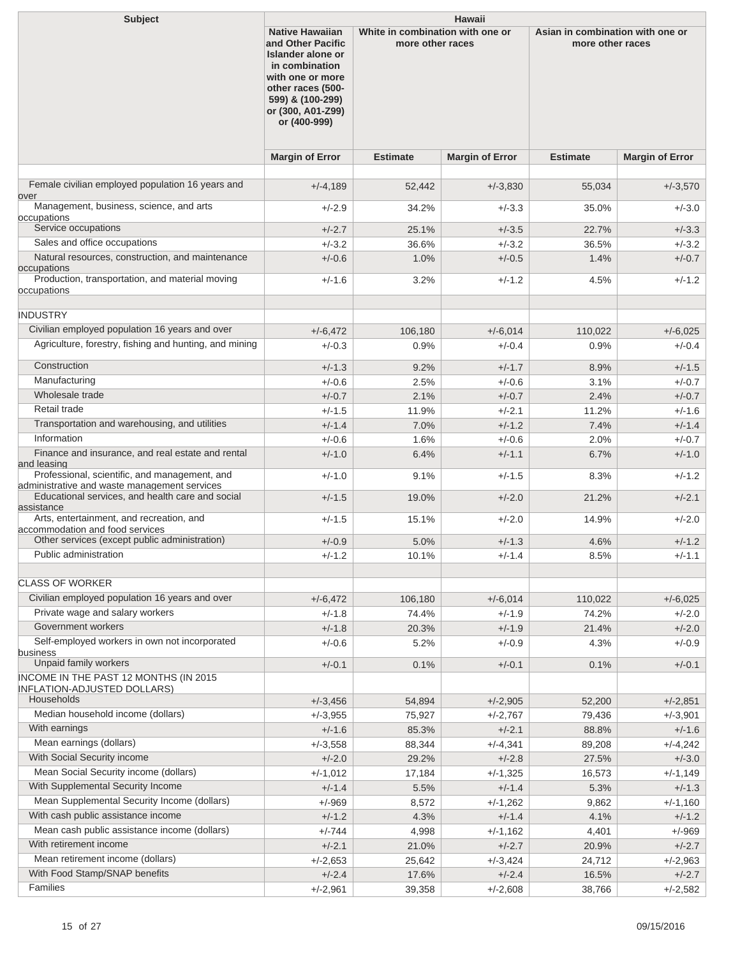| <b>Subject</b>                                                                                | <b>Hawaii</b>                                                                                                                                                                               |                                                                                                              |                        |                 |                        |
|-----------------------------------------------------------------------------------------------|---------------------------------------------------------------------------------------------------------------------------------------------------------------------------------------------|--------------------------------------------------------------------------------------------------------------|------------------------|-----------------|------------------------|
|                                                                                               | <b>Native Hawaiian</b><br>and Other Pacific<br><b>Islander alone or</b><br>in combination<br>with one or more<br>other races (500-<br>599) & (100-299)<br>or (300, A01-Z99)<br>or (400-999) | White in combination with one or<br>Asian in combination with one or<br>more other races<br>more other races |                        |                 |                        |
|                                                                                               | <b>Margin of Error</b>                                                                                                                                                                      | <b>Estimate</b>                                                                                              | <b>Margin of Error</b> | <b>Estimate</b> | <b>Margin of Error</b> |
| Female civilian employed population 16 years and                                              | $+/-4,189$                                                                                                                                                                                  | 52,442                                                                                                       | $+/-3,830$             | 55,034          | $+/-3,570$             |
| over                                                                                          |                                                                                                                                                                                             |                                                                                                              |                        |                 |                        |
| Management, business, science, and arts<br>occupations                                        | $+/-2.9$                                                                                                                                                                                    | 34.2%                                                                                                        | $+/-3.3$               | 35.0%           | $+/-3.0$               |
| Service occupations                                                                           | $+/-2.7$                                                                                                                                                                                    | 25.1%                                                                                                        | $+/-3.5$               | 22.7%           | $+/-3.3$               |
| Sales and office occupations                                                                  | $+/-3.2$                                                                                                                                                                                    | 36.6%                                                                                                        | $+/-3.2$               | 36.5%           | $+/-3.2$               |
| Natural resources, construction, and maintenance                                              | $+/-0.6$                                                                                                                                                                                    | 1.0%                                                                                                         | $+/-0.5$               | 1.4%            | $+/-0.7$               |
| occupations<br>Production, transportation, and material moving                                | $+/-1.6$                                                                                                                                                                                    | 3.2%                                                                                                         | $+/-1.2$               | 4.5%            | $+/-1.2$               |
| occupations                                                                                   |                                                                                                                                                                                             |                                                                                                              |                        |                 |                        |
| <b>INDUSTRY</b>                                                                               |                                                                                                                                                                                             |                                                                                                              |                        |                 |                        |
| Civilian employed population 16 years and over                                                | $+/-6,472$                                                                                                                                                                                  | 106,180                                                                                                      | $+/-6,014$             | 110,022         | $+/-6,025$             |
| Agriculture, forestry, fishing and hunting, and mining                                        | $+/-0.3$                                                                                                                                                                                    | 0.9%                                                                                                         | $+/-0.4$               | 0.9%            | $+/-0.4$               |
|                                                                                               |                                                                                                                                                                                             |                                                                                                              |                        |                 |                        |
| Construction<br>Manufacturing                                                                 | $+/-1.3$                                                                                                                                                                                    | 9.2%                                                                                                         | $+/-1.7$               | 8.9%            | $+/-1.5$               |
| Wholesale trade                                                                               | $+/-0.6$                                                                                                                                                                                    | 2.5%                                                                                                         | $+/-0.6$               | 3.1%            | $+/-0.7$               |
| Retail trade                                                                                  | $+/-0.7$                                                                                                                                                                                    | 2.1%                                                                                                         | $+/-0.7$               | 2.4%            | $+/-0.7$               |
| Transportation and warehousing, and utilities                                                 | $+/-1.5$<br>$+/-1.4$                                                                                                                                                                        | 11.9%<br>7.0%                                                                                                | $+/-2.1$<br>$+/-1.2$   | 11.2%<br>7.4%   | $+/-1.6$<br>$+/-1.4$   |
| Information                                                                                   | $+/-0.6$                                                                                                                                                                                    | 1.6%                                                                                                         | $+/-0.6$               | 2.0%            | $+/-0.7$               |
| Finance and insurance, and real estate and rental                                             | $+/-1.0$                                                                                                                                                                                    | 6.4%                                                                                                         | $+/-1.1$               | 6.7%            | $+/-1.0$               |
| and leasing                                                                                   |                                                                                                                                                                                             |                                                                                                              |                        |                 |                        |
| Professional, scientific, and management, and<br>administrative and waste management services | $+/-1.0$                                                                                                                                                                                    | 9.1%                                                                                                         | $+/-1.5$               | 8.3%            | $+/-1.2$               |
| Educational services, and health care and social                                              | $+/-1.5$                                                                                                                                                                                    | 19.0%                                                                                                        | $+/-2.0$               | 21.2%           | $+/-2.1$               |
| assistance                                                                                    |                                                                                                                                                                                             |                                                                                                              |                        |                 |                        |
| Arts, entertainment, and recreation, and<br>accommodation and food services                   | $+/-1.5$                                                                                                                                                                                    | 15.1%                                                                                                        | $+/-2.0$               | 14.9%           | $+/-2.0$               |
| Other services (except public administration)                                                 | $+/-0.9$                                                                                                                                                                                    | 5.0%                                                                                                         | $+/-1.3$               | 4.6%            | $+/-1.2$               |
| Public administration                                                                         | $+/-1.2$                                                                                                                                                                                    | 10.1%                                                                                                        | $+/-1.4$               | 8.5%            | $+/-1.1$               |
|                                                                                               |                                                                                                                                                                                             |                                                                                                              |                        |                 |                        |
| <b>CLASS OF WORKER</b>                                                                        |                                                                                                                                                                                             |                                                                                                              |                        |                 |                        |
| Civilian employed population 16 years and over                                                | $+/-6,472$                                                                                                                                                                                  | 106,180                                                                                                      | $+/-6,014$             | 110,022         | $+/-6,025$             |
| Private wage and salary workers                                                               | $+/-1.8$                                                                                                                                                                                    | 74.4%                                                                                                        | $+/-1.9$               | 74.2%           | $+/-2.0$               |
| Government workers                                                                            | $+/-1.8$                                                                                                                                                                                    | 20.3%                                                                                                        | $+/-1.9$               | 21.4%           | $+/-2.0$               |
| Self-employed workers in own not incorporated<br>business                                     | $+/-0.6$                                                                                                                                                                                    | 5.2%                                                                                                         | $+/-0.9$               | 4.3%            | $+/-0.9$               |
| Unpaid family workers                                                                         | $+/-0.1$                                                                                                                                                                                    | 0.1%                                                                                                         | $+/-0.1$               | 0.1%            | $+/-0.1$               |
| INCOME IN THE PAST 12 MONTHS (IN 2015                                                         |                                                                                                                                                                                             |                                                                                                              |                        |                 |                        |
| <b>INFLATION-ADJUSTED DOLLARS)</b><br>Households                                              | $+/-3,456$                                                                                                                                                                                  | 54,894                                                                                                       | $+/-2,905$             | 52,200          | $+/-2,851$             |
| Median household income (dollars)                                                             | $+/-3,955$                                                                                                                                                                                  | 75,927                                                                                                       | $+/-2,767$             | 79,436          | $+/-3,901$             |
| With earnings                                                                                 | $+/-1.6$                                                                                                                                                                                    | 85.3%                                                                                                        | $+/-2.1$               | 88.8%           | $+/-1.6$               |
| Mean earnings (dollars)                                                                       | $+/-3,558$                                                                                                                                                                                  | 88,344                                                                                                       | $+/-4,341$             | 89,208          | $+/-4,242$             |
| With Social Security income                                                                   | $+/-2.0$                                                                                                                                                                                    | 29.2%                                                                                                        | $+/-2.8$               | 27.5%           | $+/-3.0$               |
| Mean Social Security income (dollars)                                                         | $+/-1,012$                                                                                                                                                                                  | 17,184                                                                                                       | $+/-1,325$             | 16,573          | $+/-1,149$             |
| With Supplemental Security Income                                                             | $+/-1.4$                                                                                                                                                                                    | 5.5%                                                                                                         | $+/-1.4$               | 5.3%            | $+/-1.3$               |
| Mean Supplemental Security Income (dollars)                                                   | $+/-969$                                                                                                                                                                                    | 8,572                                                                                                        | $+/-1,262$             | 9,862           | $+/-1,160$             |
| With cash public assistance income                                                            | $+/-1.2$                                                                                                                                                                                    | 4.3%                                                                                                         | $+/-1.4$               | 4.1%            | $+/-1.2$               |
| Mean cash public assistance income (dollars)                                                  | $+/-744$                                                                                                                                                                                    | 4,998                                                                                                        | $+/-1,162$             | 4,401           | $+/-969$               |
| With retirement income                                                                        | $+/-2.1$                                                                                                                                                                                    | 21.0%                                                                                                        | $+/-2.7$               | 20.9%           | $+/-2.7$               |
| Mean retirement income (dollars)                                                              | $+/-2,653$                                                                                                                                                                                  | 25,642                                                                                                       | $+/-3,424$             | 24,712          | $+/-2,963$             |
| With Food Stamp/SNAP benefits                                                                 | $+/-2.4$                                                                                                                                                                                    | 17.6%                                                                                                        | $+/-2.4$               | 16.5%           | $+/-2.7$               |
| Families                                                                                      | $+/-2,961$                                                                                                                                                                                  | 39,358                                                                                                       | $+/-2,608$             | 38,766          | $+/-2,582$             |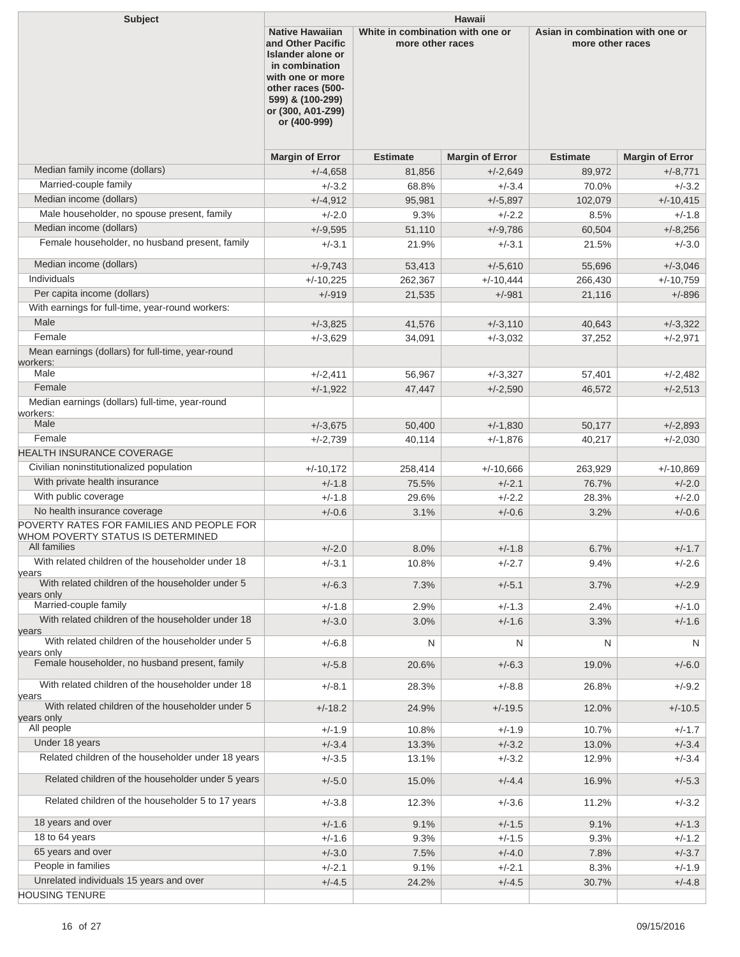| <b>Subject</b>                                                                                                 | <b>Hawaii</b>                                                                                                                                                                        |                                                      |                        |                 |                                                      |  |
|----------------------------------------------------------------------------------------------------------------|--------------------------------------------------------------------------------------------------------------------------------------------------------------------------------------|------------------------------------------------------|------------------------|-----------------|------------------------------------------------------|--|
|                                                                                                                | <b>Native Hawaiian</b><br>and Other Pacific<br>Islander alone or<br>in combination<br>with one or more<br>other races (500-<br>599) & (100-299)<br>or (300, A01-Z99)<br>or (400-999) | White in combination with one or<br>more other races |                        |                 | Asian in combination with one or<br>more other races |  |
|                                                                                                                | <b>Margin of Error</b>                                                                                                                                                               | <b>Estimate</b>                                      | <b>Margin of Error</b> | <b>Estimate</b> | <b>Margin of Error</b>                               |  |
| Median family income (dollars)                                                                                 | $+/-4.658$                                                                                                                                                                           | 81,856                                               | $+/-2,649$             | 89,972          | $+/-8,771$                                           |  |
| Married-couple family                                                                                          | $+/-3.2$                                                                                                                                                                             | 68.8%                                                | $+/-3.4$               | 70.0%           | $+/-3.2$                                             |  |
| Median income (dollars)                                                                                        | $+/-4,912$                                                                                                                                                                           | 95,981                                               | $+/-5,897$             | 102,079         | $+/-10,415$                                          |  |
| Male householder, no spouse present, family                                                                    | $+/-2.0$                                                                                                                                                                             | 9.3%                                                 | $+/-2.2$               | 8.5%            | $+/-1.8$                                             |  |
| Median income (dollars)                                                                                        | $+/-9,595$                                                                                                                                                                           | 51,110                                               | $+/-9,786$             | 60,504          | $+/-8,256$                                           |  |
| Female householder, no husband present, family                                                                 | $+/-3.1$                                                                                                                                                                             | 21.9%                                                | $+/-3.1$               | 21.5%           | $+/-3.0$                                             |  |
| Median income (dollars)                                                                                        | $+/-9,743$                                                                                                                                                                           | 53,413                                               | $+/-5,610$             | 55,696          | $+/-3,046$                                           |  |
| Individuals                                                                                                    | $+/-10,225$                                                                                                                                                                          | 262,367                                              | $+/-10,444$            | 266,430         | $+/-10,759$                                          |  |
| Per capita income (dollars)                                                                                    | $+/-919$                                                                                                                                                                             | 21,535                                               | $+/-981$               | 21,116          | $+/-896$                                             |  |
| With earnings for full-time, year-round workers:                                                               |                                                                                                                                                                                      |                                                      |                        |                 |                                                      |  |
| Male                                                                                                           | $+/-3,825$                                                                                                                                                                           | 41,576                                               | $+/-3,110$             | 40,643          | $+/-3,322$                                           |  |
| Female                                                                                                         | $+/-3.629$                                                                                                                                                                           | 34,091                                               | $+/-3,032$             | 37,252          | $+/-2,971$                                           |  |
| Mean earnings (dollars) for full-time, year-round<br>workers:                                                  |                                                                                                                                                                                      |                                                      |                        |                 |                                                      |  |
| Male                                                                                                           | $+/-2,411$                                                                                                                                                                           | 56,967                                               | $+/-3,327$             | 57,401          | $+/-2,482$                                           |  |
| Female                                                                                                         | $+/-1,922$                                                                                                                                                                           | 47,447                                               | $+/-2,590$             | 46,572          | $+/-2,513$                                           |  |
| Median earnings (dollars) full-time, year-round                                                                |                                                                                                                                                                                      |                                                      |                        |                 |                                                      |  |
| workers:<br>Male                                                                                               | $+/-3,675$                                                                                                                                                                           | 50,400                                               | $+/-1,830$             | 50,177          | $+/-2,893$                                           |  |
| Female                                                                                                         | $+/-2,739$                                                                                                                                                                           | 40,114                                               | $+/-1,876$             | 40,217          | $+/-2,030$                                           |  |
| HEALTH INSURANCE COVERAGE                                                                                      |                                                                                                                                                                                      |                                                      |                        |                 |                                                      |  |
| Civilian noninstitutionalized population                                                                       | $+/-10,172$                                                                                                                                                                          | 258,414                                              | $+/-10,666$            | 263,929         | $+/-10,869$                                          |  |
| With private health insurance                                                                                  | $+/-1.8$                                                                                                                                                                             | 75.5%                                                | $+/-2.1$               | 76.7%           | $+/-2.0$                                             |  |
| With public coverage                                                                                           | $+/-1.8$                                                                                                                                                                             | 29.6%                                                | $+/-2.2$               | 28.3%           | $+/-2.0$                                             |  |
| No health insurance coverage                                                                                   | $+/-0.6$                                                                                                                                                                             | 3.1%                                                 | $+/-0.6$               | 3.2%            | $+/-0.6$                                             |  |
| POVERTY RATES FOR FAMILIES AND PEOPLE FOR<br>WHOM POVERTY STATUS IS DETERMINED                                 |                                                                                                                                                                                      |                                                      |                        |                 |                                                      |  |
| All families                                                                                                   | $+/-2.0$                                                                                                                                                                             | 8.0%                                                 | $+/-1.8$               | 6.7%            | $+/-1.7$                                             |  |
| With related children of the householder under 18<br>years<br>With related children of the householder under 5 | $+/-3.1$                                                                                                                                                                             | 10.8%                                                | $+/-2.7$               | 9.4%            | $+/-2.6$                                             |  |
| years only                                                                                                     | $+/-6.3$                                                                                                                                                                             | 7.3%                                                 | $+/-5.1$               | 3.7%            | $+/-2.9$                                             |  |
| Married-couple family                                                                                          | $+/-1.8$                                                                                                                                                                             | 2.9%                                                 | $+/-1.3$               | 2.4%            | $+/-1.0$                                             |  |
| With related children of the householder under 18<br>years                                                     | $+/-3.0$                                                                                                                                                                             | 3.0%                                                 | $+/-1.6$               | 3.3%            | $+/-1.6$                                             |  |
| With related children of the householder under 5<br>years only                                                 | $+/-6.8$                                                                                                                                                                             | N                                                    | N                      | N               | N                                                    |  |
| Female householder, no husband present, family                                                                 | $+/-5.8$                                                                                                                                                                             | 20.6%                                                | $+/-6.3$               | 19.0%           | $+/-6.0$                                             |  |
| With related children of the householder under 18<br>years                                                     | $+/-8.1$                                                                                                                                                                             | 28.3%                                                | $+/-8.8$               | 26.8%           | $+/-9.2$                                             |  |
| With related children of the householder under 5                                                               | $+/-18.2$                                                                                                                                                                            | 24.9%                                                | $+/-19.5$              | 12.0%           | $+/-10.5$                                            |  |
| years only<br>All people                                                                                       | $+/-1.9$                                                                                                                                                                             | 10.8%                                                | $+/-1.9$               | 10.7%           | $+/-1.7$                                             |  |
| Under 18 years                                                                                                 | $+/-3.4$                                                                                                                                                                             | 13.3%                                                | $+/-3.2$               | 13.0%           | $+/-3.4$                                             |  |
| Related children of the householder under 18 years                                                             | $+/-3.5$                                                                                                                                                                             | 13.1%                                                | $+/-3.2$               | 12.9%           | $+/-3.4$                                             |  |
| Related children of the householder under 5 years                                                              | $+/-5.0$                                                                                                                                                                             | 15.0%                                                | $+/-4.4$               | 16.9%           | $+/-5.3$                                             |  |
| Related children of the householder 5 to 17 years                                                              | $+/-3.8$                                                                                                                                                                             | 12.3%                                                | $+/-3.6$               | 11.2%           | $+/-3.2$                                             |  |
| 18 years and over                                                                                              | $+/-1.6$                                                                                                                                                                             | 9.1%                                                 | $+/-1.5$               | 9.1%            | $+/-1.3$                                             |  |
| 18 to 64 years                                                                                                 | $+/-1.6$                                                                                                                                                                             | 9.3%                                                 | $+/-1.5$               | 9.3%            | $+/-1.2$                                             |  |
| 65 years and over                                                                                              | $+/-3.0$                                                                                                                                                                             | 7.5%                                                 | $+/-4.0$               | 7.8%            | $+/-3.7$                                             |  |
| People in families                                                                                             | $+/-2.1$                                                                                                                                                                             | 9.1%                                                 | $+/-2.1$               | 8.3%            | $+/-1.9$                                             |  |
| Unrelated individuals 15 years and over                                                                        | $+/-4.5$                                                                                                                                                                             | 24.2%                                                | $+/-4.5$               | 30.7%           | $+/-4.8$                                             |  |
| <b>HOUSING TENURE</b>                                                                                          |                                                                                                                                                                                      |                                                      |                        |                 |                                                      |  |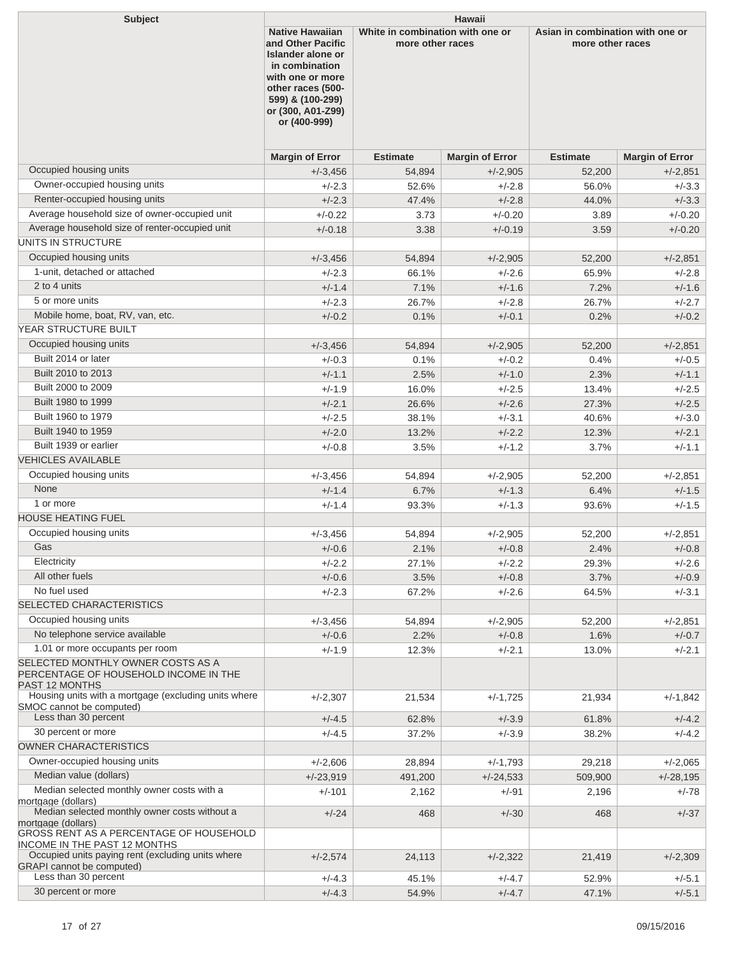| <b>Subject</b><br><b>Hawaii</b><br><b>Native Hawaiian</b>                                                     |                                                                                                                                                            |                                                      |                        |                 |                                                      |  |
|---------------------------------------------------------------------------------------------------------------|------------------------------------------------------------------------------------------------------------------------------------------------------------|------------------------------------------------------|------------------------|-----------------|------------------------------------------------------|--|
|                                                                                                               | and Other Pacific<br>Islander alone or<br>in combination<br>with one or more<br>other races (500-<br>599) & (100-299)<br>or (300, A01-Z99)<br>or (400-999) | White in combination with one or<br>more other races |                        |                 | Asian in combination with one or<br>more other races |  |
|                                                                                                               | <b>Margin of Error</b>                                                                                                                                     | <b>Estimate</b>                                      | <b>Margin of Error</b> | <b>Estimate</b> | <b>Margin of Error</b>                               |  |
| Occupied housing units                                                                                        | $+/-3,456$                                                                                                                                                 | 54,894                                               | $+/-2,905$             | 52,200          | $+/-2,851$                                           |  |
| Owner-occupied housing units                                                                                  | $+/-2.3$                                                                                                                                                   | 52.6%                                                | $+/-2.8$               | 56.0%           | $+/-3.3$                                             |  |
| Renter-occupied housing units                                                                                 | $+/-2.3$                                                                                                                                                   | 47.4%                                                | $+/-2.8$               | 44.0%           | $+/-3.3$                                             |  |
| Average household size of owner-occupied unit                                                                 | $+/-0.22$                                                                                                                                                  | 3.73                                                 | $+/-0.20$              | 3.89            | $+/-0.20$                                            |  |
| Average household size of renter-occupied unit                                                                | $+/-0.18$                                                                                                                                                  | 3.38                                                 | $+/-0.19$              | 3.59            | $+/-0.20$                                            |  |
| UNITS IN STRUCTURE                                                                                            |                                                                                                                                                            |                                                      |                        |                 |                                                      |  |
| Occupied housing units                                                                                        | $+/-3,456$                                                                                                                                                 | 54,894                                               | $+/-2,905$             | 52,200          | $+/-2,851$                                           |  |
| 1-unit, detached or attached                                                                                  | $+/-2.3$                                                                                                                                                   | 66.1%                                                | $+/-2.6$               | 65.9%           | $+/-2.8$                                             |  |
| 2 to 4 units                                                                                                  | $+/-1.4$                                                                                                                                                   | 7.1%                                                 | $+/-1.6$               | 7.2%            | $+/-1.6$                                             |  |
| 5 or more units                                                                                               | $+/-2.3$                                                                                                                                                   | 26.7%                                                | $+/-2.8$               | 26.7%           | $+/-2.7$                                             |  |
| Mobile home, boat, RV, van, etc.                                                                              | $+/-0.2$                                                                                                                                                   | 0.1%                                                 | $+/-0.1$               | 0.2%            | $+/-0.2$                                             |  |
| YEAR STRUCTURE BUILT                                                                                          |                                                                                                                                                            |                                                      |                        |                 |                                                      |  |
| Occupied housing units                                                                                        | $+/-3,456$                                                                                                                                                 | 54,894                                               | $+/-2,905$             | 52,200          | $+/-2.851$                                           |  |
| Built 2014 or later                                                                                           | $+/-0.3$                                                                                                                                                   | 0.1%                                                 | $+/-0.2$               | 0.4%            | $+/-0.5$                                             |  |
| Built 2010 to 2013                                                                                            | $+/-1.1$                                                                                                                                                   | 2.5%                                                 | $+/-1.0$               | 2.3%            | $+/-1.1$                                             |  |
| Built 2000 to 2009                                                                                            | $+/-1.9$                                                                                                                                                   | 16.0%                                                | $+/-2.5$               | 13.4%           | $+/-2.5$                                             |  |
| Built 1980 to 1999                                                                                            | $+/-2.1$                                                                                                                                                   | 26.6%                                                | $+/-2.6$               | 27.3%           | $+/-2.5$                                             |  |
| Built 1960 to 1979                                                                                            | $+/-2.5$                                                                                                                                                   | 38.1%                                                | $+/-3.1$               | 40.6%           | $+/-3.0$                                             |  |
| Built 1940 to 1959                                                                                            | $+/-2.0$                                                                                                                                                   | 13.2%                                                | $+/-2.2$               | 12.3%           | $+/-2.1$                                             |  |
| Built 1939 or earlier<br><b>VEHICLES AVAILABLE</b>                                                            | $+/-0.8$                                                                                                                                                   | 3.5%                                                 | $+/-1.2$               | 3.7%            | $+/-1.1$                                             |  |
|                                                                                                               |                                                                                                                                                            |                                                      |                        |                 |                                                      |  |
| Occupied housing units<br>None                                                                                | $+/-3.456$                                                                                                                                                 | 54,894                                               | $+/-2,905$             | 52,200          | $+/-2,851$                                           |  |
| 1 or more                                                                                                     | $+/-1.4$                                                                                                                                                   | 6.7%                                                 | $+/-1.3$               | 6.4%            | $+/-1.5$                                             |  |
| <b>HOUSE HEATING FUEL</b>                                                                                     | $+/-1.4$                                                                                                                                                   | 93.3%                                                | $+/-1.3$               | 93.6%           | $+/-1.5$                                             |  |
| Occupied housing units                                                                                        |                                                                                                                                                            |                                                      |                        |                 |                                                      |  |
| Gas                                                                                                           | $+/-3,456$                                                                                                                                                 | 54,894                                               | $+/-2,905$             | 52,200          | $+/-2,851$                                           |  |
| Electricity                                                                                                   | $+/-0.6$                                                                                                                                                   | 2.1%                                                 | $+/-0.8$<br>$+/-2.2$   | 2.4%            | $+/-0.8$                                             |  |
| All other fuels                                                                                               | $+/-2.2$<br>$+/-0.6$                                                                                                                                       | 27.1%<br>3.5%                                        |                        | 29.3%<br>3.7%   | $+/-2.6$<br>$+/-0.9$                                 |  |
| No fuel used                                                                                                  | $+/-2.3$                                                                                                                                                   | 67.2%                                                | $+/-0.8$<br>$+/-2.6$   | 64.5%           | $+/-3.1$                                             |  |
| SELECTED CHARACTERISTICS                                                                                      |                                                                                                                                                            |                                                      |                        |                 |                                                      |  |
| Occupied housing units                                                                                        | $+/-3,456$                                                                                                                                                 | 54,894                                               | $+/-2,905$             | 52,200          | $+/-2,851$                                           |  |
| No telephone service available                                                                                | $+/-0.6$                                                                                                                                                   | 2.2%                                                 | $+/-0.8$               | 1.6%            | $+/-0.7$                                             |  |
| 1.01 or more occupants per room                                                                               | $+/-1.9$                                                                                                                                                   | 12.3%                                                | $+/-2.1$               | 13.0%           | $+/-2.1$                                             |  |
| SELECTED MONTHLY OWNER COSTS AS A<br>PERCENTAGE OF HOUSEHOLD INCOME IN THE<br>PAST 12 MONTHS                  |                                                                                                                                                            |                                                      |                        |                 |                                                      |  |
| Housing units with a mortgage (excluding units where<br>SMOC cannot be computed)                              | $+/-2,307$                                                                                                                                                 | 21,534                                               | $+/-1,725$             | 21,934          | $+/-1,842$                                           |  |
| Less than 30 percent<br>30 percent or more                                                                    | $+/-4.5$                                                                                                                                                   | 62.8%                                                | $+/-3.9$               | 61.8%           | $+/-4.2$                                             |  |
| OWNER CHARACTERISTICS                                                                                         | $+/-4.5$                                                                                                                                                   | 37.2%                                                | $+/-3.9$               | 38.2%           | $+/-4.2$                                             |  |
| Owner-occupied housing units                                                                                  |                                                                                                                                                            |                                                      |                        |                 |                                                      |  |
|                                                                                                               | $+/-2,606$                                                                                                                                                 | 28,894                                               | $+/-1,793$             | 29,218          | $+/-2,065$                                           |  |
| Median value (dollars)<br>Median selected monthly owner costs with a                                          | $+/-23,919$                                                                                                                                                | 491,200                                              | $+/-24,533$            | 509,900         | $+/-28,195$                                          |  |
| mortgage (dollars)<br>Median selected monthly owner costs without a                                           | $+/-101$<br>$+/-24$                                                                                                                                        | 2,162<br>468                                         | +/-91<br>$+/-30$       | 2,196<br>468    | +/-78<br>$+/-37$                                     |  |
| mortgage (dollars)                                                                                            |                                                                                                                                                            |                                                      |                        |                 |                                                      |  |
| GROSS RENT AS A PERCENTAGE OF HOUSEHOLD<br><b>INCOME IN THE PAST 12 MONTHS</b>                                |                                                                                                                                                            |                                                      |                        |                 |                                                      |  |
| Occupied units paying rent (excluding units where<br><b>GRAPI</b> cannot be computed)<br>Less than 30 percent | $+/-2,574$                                                                                                                                                 | 24,113                                               | $+/-2,322$             | 21,419          | $+/-2,309$                                           |  |
| 30 percent or more                                                                                            | $+/-4.3$                                                                                                                                                   | 45.1%                                                | $+/-4.7$               | 52.9%           | $+/-5.1$                                             |  |
|                                                                                                               | $+/-4.3$                                                                                                                                                   | 54.9%                                                | $+/-4.7$               | 47.1%           | $+/-5.1$                                             |  |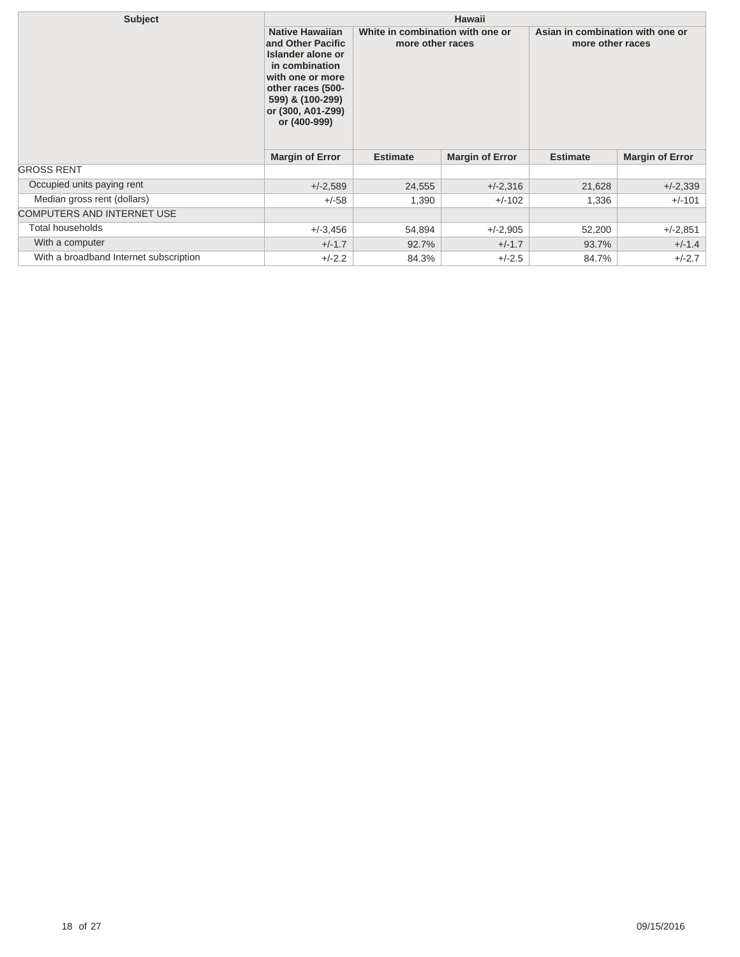| <b>Subject</b>                         | <b>Hawaii</b>                                                                                                                                                                        |                                                      |            |                                                      |                        |
|----------------------------------------|--------------------------------------------------------------------------------------------------------------------------------------------------------------------------------------|------------------------------------------------------|------------|------------------------------------------------------|------------------------|
|                                        | <b>Native Hawaiian</b><br>and Other Pacific<br>Islander alone or<br>in combination<br>with one or more<br>other races (500-<br>599) & (100-299)<br>or (300, A01-Z99)<br>or (400-999) | White in combination with one or<br>more other races |            | Asian in combination with one or<br>more other races |                        |
|                                        | <b>Margin of Error</b>                                                                                                                                                               | <b>Margin of Error</b><br><b>Estimate</b>            |            | <b>Estimate</b>                                      | <b>Margin of Error</b> |
| <b>GROSS RENT</b>                      |                                                                                                                                                                                      |                                                      |            |                                                      |                        |
| Occupied units paying rent             | $+/-2,589$                                                                                                                                                                           | 24,555                                               | $+/-2,316$ | 21,628                                               | $+/-2,339$             |
| Median gross rent (dollars)            | $+/-58$                                                                                                                                                                              | 1,390                                                | $+/-102$   | 1,336                                                | $+/-101$               |
| <b>COMPUTERS AND INTERNET USE</b>      |                                                                                                                                                                                      |                                                      |            |                                                      |                        |
| Total households                       | $+/-3.456$                                                                                                                                                                           | 54,894                                               | $+/-2,905$ | 52,200                                               | $+/-2,851$             |
| With a computer                        | $+/-1.7$                                                                                                                                                                             | 92.7%                                                | $+/-1.7$   | 93.7%                                                | $+/-1.4$               |
| With a broadband Internet subscription | $+/-2.2$                                                                                                                                                                             | 84.3%                                                | $+/-2.5$   | 84.7%                                                | $+/-2.7$               |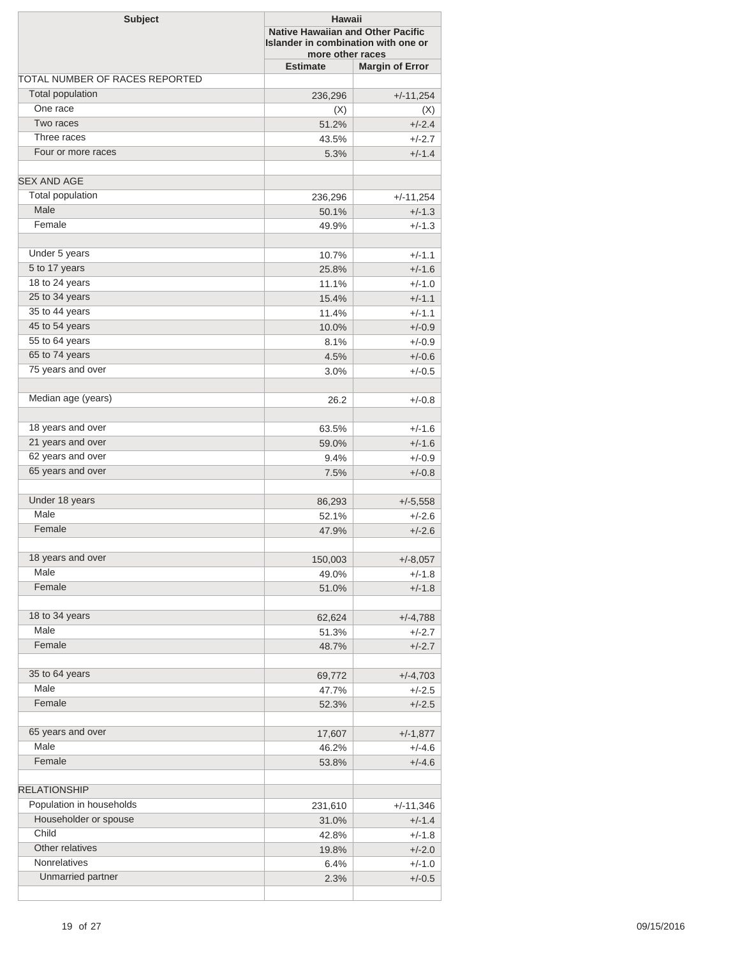| <b>Subject</b>                 |                 | Hawaii<br><b>Native Hawaiian and Other Pacific</b><br>Islander in combination with one or<br>more other races |  |  |
|--------------------------------|-----------------|---------------------------------------------------------------------------------------------------------------|--|--|
|                                | <b>Estimate</b> | <b>Margin of Error</b>                                                                                        |  |  |
| TOTAL NUMBER OF RACES REPORTED |                 |                                                                                                               |  |  |
| <b>Total population</b>        | 236,296         | $+/-11,254$                                                                                                   |  |  |
| One race                       | (X)             | (X)                                                                                                           |  |  |
| Two races                      | 51.2%           | $+/-2.4$                                                                                                      |  |  |
| Three races                    | 43.5%           | $+/-2.7$                                                                                                      |  |  |
| Four or more races             | 5.3%            | $+/-1.4$                                                                                                      |  |  |
| <b>SEX AND AGE</b>             |                 |                                                                                                               |  |  |
| <b>Total population</b>        | 236,296         | $+/-11,254$                                                                                                   |  |  |
| Male                           | 50.1%           | $+/-1.3$                                                                                                      |  |  |
| Female                         | 49.9%           | $+/-1.3$                                                                                                      |  |  |
| Under 5 years                  | 10.7%           | $+/-1.1$                                                                                                      |  |  |
| 5 to 17 years                  | 25.8%           | $+/-1.6$                                                                                                      |  |  |
| 18 to 24 years                 | 11.1%           | $+/-1.0$                                                                                                      |  |  |
| 25 to 34 years                 | 15.4%           | $+/-1.1$                                                                                                      |  |  |
| 35 to 44 years                 | 11.4%           | $+/-1.1$                                                                                                      |  |  |
| 45 to 54 years                 | 10.0%           | $+/-0.9$                                                                                                      |  |  |
| 55 to 64 years                 | 8.1%            | $+/-0.9$                                                                                                      |  |  |
| 65 to 74 years                 | 4.5%            | $+/-0.6$                                                                                                      |  |  |
| 75 years and over              | 3.0%            | $+/-0.5$                                                                                                      |  |  |
|                                |                 |                                                                                                               |  |  |
| Median age (years)             | 26.2            | $+/-0.8$                                                                                                      |  |  |
| 18 years and over              | 63.5%           | $+/-1.6$                                                                                                      |  |  |
| 21 years and over              | 59.0%           | $+/-1.6$                                                                                                      |  |  |
| 62 years and over              | 9.4%            | $+/-0.9$                                                                                                      |  |  |
| 65 years and over              | 7.5%            | $+/-0.8$                                                                                                      |  |  |
| Under 18 years                 | 86,293          | $+/-5,558$                                                                                                    |  |  |
| Male                           | 52.1%           | $+/-2.6$                                                                                                      |  |  |
| Female                         |                 | $+/-2.6$                                                                                                      |  |  |
|                                | 47.9%           |                                                                                                               |  |  |
| 18 years and over              | 150,003         | $+/-8,057$                                                                                                    |  |  |
| Male                           | 49.0%           | $+/-1.8$                                                                                                      |  |  |
| Female                         | 51.0%           | $+/-1.8$                                                                                                      |  |  |
| 18 to 34 years                 | 62,624          | $+/-4,788$                                                                                                    |  |  |
| Male                           | 51.3%           | $+/-2.7$                                                                                                      |  |  |
| Female                         | 48.7%           | $+/-2.7$                                                                                                      |  |  |
| 35 to 64 years                 | 69,772          | $+/-4,703$                                                                                                    |  |  |
| Male                           | 47.7%           | $+/-2.5$                                                                                                      |  |  |
| Female                         | 52.3%           | $+/-2.5$                                                                                                      |  |  |
|                                |                 |                                                                                                               |  |  |
| 65 years and over<br>Male      | 17,607          | $+/-1,877$                                                                                                    |  |  |
|                                | 46.2%           | $+/-4.6$                                                                                                      |  |  |
| Female                         | 53.8%           | $+/-4.6$                                                                                                      |  |  |
| <b>RELATIONSHIP</b>            |                 |                                                                                                               |  |  |
| Population in households       | 231,610         | $+/-11,346$                                                                                                   |  |  |
| Householder or spouse          | 31.0%           | $+/-1.4$                                                                                                      |  |  |
| Child                          | 42.8%           | $+/-1.8$                                                                                                      |  |  |
| Other relatives                | 19.8%           | $+/-2.0$                                                                                                      |  |  |
| Nonrelatives                   | 6.4%            | $+/-1.0$                                                                                                      |  |  |
| Unmarried partner              | 2.3%            | $+/-0.5$                                                                                                      |  |  |
|                                |                 |                                                                                                               |  |  |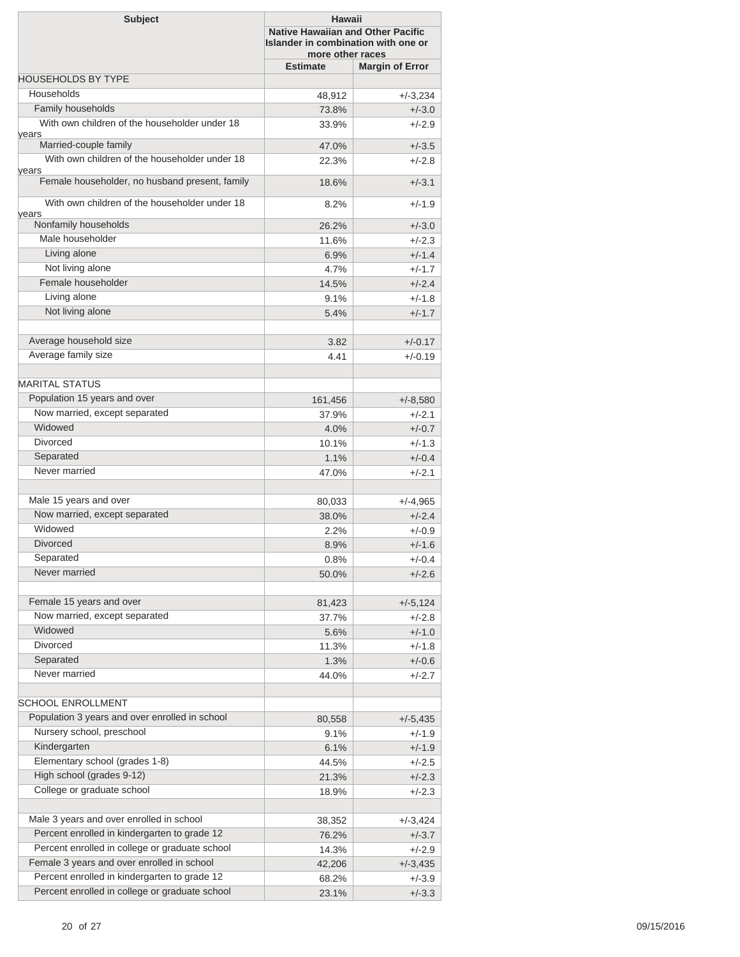| <b>Subject</b>                                          | Hawaii<br><b>Native Hawaiian and Other Pacific</b><br>Islander in combination with one or<br>more other races |                        |  |
|---------------------------------------------------------|---------------------------------------------------------------------------------------------------------------|------------------------|--|
|                                                         | <b>Estimate</b>                                                                                               | <b>Margin of Error</b> |  |
| <b>HOUSEHOLDS BY TYPE</b>                               |                                                                                                               |                        |  |
| Households                                              | 48,912                                                                                                        | $+/-3,234$             |  |
| Family households                                       | 73.8%                                                                                                         | $+/-3.0$               |  |
| With own children of the householder under 18<br>years  | 33.9%                                                                                                         | $+/-2.9$               |  |
| Married-couple family                                   | 47.0%                                                                                                         | $+/-3.5$               |  |
| With own children of the householder under 18           | 22.3%                                                                                                         | $+/-2.8$               |  |
| vears<br>Female householder, no husband present, family | 18.6%                                                                                                         | $+/-3.1$               |  |
| With own children of the householder under 18           | 8.2%                                                                                                          | $+/-1.9$               |  |
| vears<br>Nonfamily households                           | 26.2%                                                                                                         | $+/-3.0$               |  |
| Male householder                                        | 11.6%                                                                                                         | $+/-2.3$               |  |
| Living alone                                            | 6.9%                                                                                                          | $+/-1.4$               |  |
| Not living alone                                        | 4.7%                                                                                                          | $+/-1.7$               |  |
| Female householder                                      | 14.5%                                                                                                         | $+/-2.4$               |  |
| Living alone                                            | 9.1%                                                                                                          | $+/-1.8$               |  |
| Not living alone                                        | 5.4%                                                                                                          | $+/-1.7$               |  |
|                                                         |                                                                                                               |                        |  |
| Average household size                                  | 3.82                                                                                                          | $+/-0.17$              |  |
| Average family size                                     | 4.41                                                                                                          | $+/-0.19$              |  |
| <b>MARITAL STATUS</b>                                   |                                                                                                               |                        |  |
| Population 15 years and over                            |                                                                                                               |                        |  |
| Now married, except separated                           | 161,456                                                                                                       | $+/-8,580$             |  |
| Widowed                                                 | 37.9%                                                                                                         | $+/-2.1$               |  |
| <b>Divorced</b>                                         | 4.0%                                                                                                          | $+/-0.7$               |  |
|                                                         | 10.1%                                                                                                         | $+/-1.3$               |  |
| Separated<br>Never married                              | 1.1%                                                                                                          | $+/-0.4$               |  |
|                                                         | 47.0%                                                                                                         | $+/-2.1$               |  |
| Male 15 years and over                                  | 80,033                                                                                                        | $+/-4,965$             |  |
| Now married, except separated                           | 38.0%                                                                                                         | $+/-2.4$               |  |
| Widowed                                                 | 2.2%                                                                                                          | $+/-0.9$               |  |
| <b>Divorced</b>                                         | 8.9%                                                                                                          | $+/-1.6$               |  |
| Separated                                               | 0.8%                                                                                                          | $+/-0.4$               |  |
| Never married                                           | 50.0%                                                                                                         | $+/-2.6$               |  |
|                                                         |                                                                                                               |                        |  |
| Female 15 years and over                                | 81,423                                                                                                        | $+/-5,124$             |  |
| Now married, except separated                           | 37.7%                                                                                                         | $+/-2.8$               |  |
| Widowed                                                 | 5.6%                                                                                                          | $+/-1.0$               |  |
| <b>Divorced</b>                                         | 11.3%                                                                                                         | $+/-1.8$               |  |
| Separated                                               | 1.3%                                                                                                          | $+/-0.6$               |  |
| Never married                                           | 44.0%                                                                                                         | $+/-2.7$               |  |
| <b>SCHOOL ENROLLMENT</b>                                |                                                                                                               |                        |  |
| Population 3 years and over enrolled in school          | 80,558                                                                                                        | $+/-5,435$             |  |
| Nursery school, preschool                               | 9.1%                                                                                                          | $+/-1.9$               |  |
| Kindergarten                                            | 6.1%                                                                                                          | $+/-1.9$               |  |
| Elementary school (grades 1-8)                          | 44.5%                                                                                                         | $+/-2.5$               |  |
| High school (grades 9-12)                               | 21.3%                                                                                                         | $+/-2.3$               |  |
| College or graduate school                              | 18.9%                                                                                                         | $+/-2.3$               |  |
|                                                         |                                                                                                               |                        |  |
| Male 3 years and over enrolled in school                | 38,352                                                                                                        | $+/-3,424$             |  |
| Percent enrolled in kindergarten to grade 12            | 76.2%                                                                                                         | $+/-3.7$               |  |
| Percent enrolled in college or graduate school          | 14.3%                                                                                                         | $+/-2.9$               |  |
| Female 3 years and over enrolled in school              | 42,206                                                                                                        | $+/-3,435$             |  |
| Percent enrolled in kindergarten to grade 12            | 68.2%                                                                                                         | $+/-3.9$               |  |
| Percent enrolled in college or graduate school          | 23.1%                                                                                                         | $+/-3.3$               |  |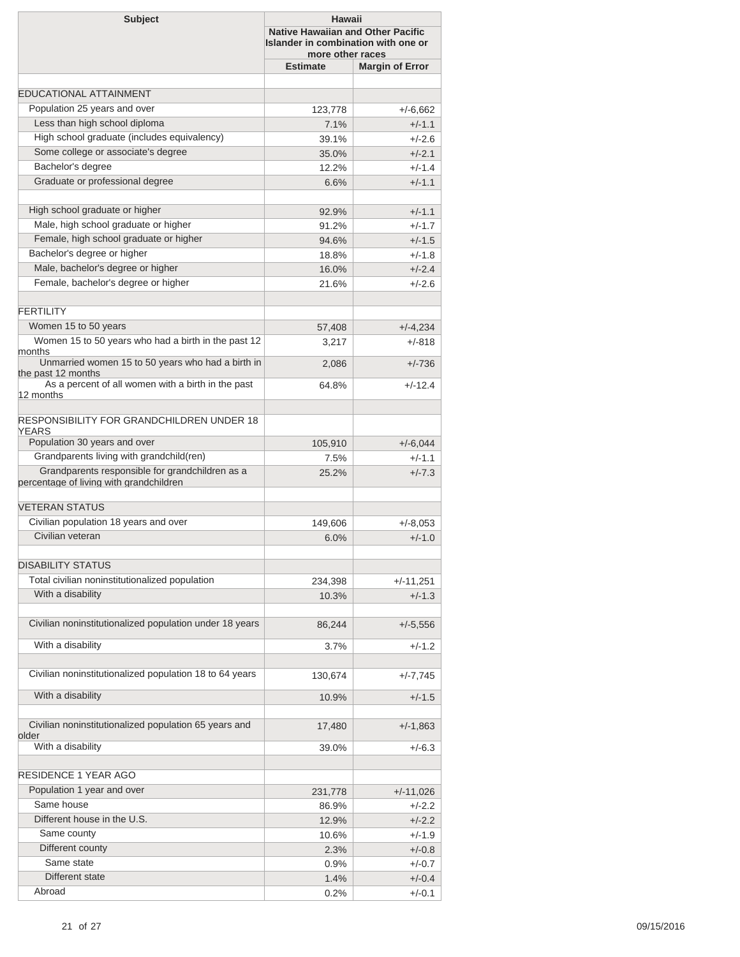| <b>Subject</b>                                                                             | Hawaii<br><b>Native Hawaiian and Other Pacific</b><br>Islander in combination with one or<br>more other races |                        |  |
|--------------------------------------------------------------------------------------------|---------------------------------------------------------------------------------------------------------------|------------------------|--|
|                                                                                            | <b>Estimate</b>                                                                                               | <b>Margin of Error</b> |  |
|                                                                                            |                                                                                                               |                        |  |
| <b>EDUCATIONAL ATTAINMENT</b>                                                              |                                                                                                               |                        |  |
| Population 25 years and over                                                               | 123,778                                                                                                       | $+/-6,662$             |  |
| Less than high school diploma                                                              | 7.1%                                                                                                          | $+/-1.1$               |  |
| High school graduate (includes equivalency)                                                | 39.1%                                                                                                         | $+/-2.6$               |  |
| Some college or associate's degree                                                         | 35.0%                                                                                                         | $+/-2.1$               |  |
| Bachelor's degree<br>Graduate or professional degree                                       | 12.2%                                                                                                         | $+/-1.4$               |  |
|                                                                                            | 6.6%                                                                                                          | $+/-1.1$               |  |
| High school graduate or higher                                                             | 92.9%                                                                                                         | $+/-1.1$               |  |
| Male, high school graduate or higher                                                       | 91.2%                                                                                                         | $+/-1.7$               |  |
| Female, high school graduate or higher                                                     | 94.6%                                                                                                         | $+/-1.5$               |  |
| Bachelor's degree or higher                                                                | 18.8%                                                                                                         | $+/-1.8$               |  |
| Male, bachelor's degree or higher                                                          | 16.0%                                                                                                         | $+/-2.4$               |  |
| Female, bachelor's degree or higher                                                        | 21.6%                                                                                                         | $+/-2.6$               |  |
| <b>FFRTILITY</b>                                                                           |                                                                                                               |                        |  |
| Women 15 to 50 years                                                                       | 57,408                                                                                                        | $+/-4,234$             |  |
| Women 15 to 50 years who had a birth in the past 12<br>months                              | 3,217                                                                                                         | $+/-818$               |  |
| Unmarried women 15 to 50 years who had a birth in<br>the past 12 months                    | 2,086                                                                                                         | $+/-736$               |  |
| As a percent of all women with a birth in the past<br>12 months                            | 64.8%                                                                                                         | $+/-12.4$              |  |
| <b>RESPONSIBILITY FOR GRANDCHILDREN UNDER 18</b><br>YEARS                                  |                                                                                                               |                        |  |
| Population 30 years and over                                                               | 105,910                                                                                                       | $+/-6,044$             |  |
| Grandparents living with grandchild(ren)                                                   | 7.5%                                                                                                          | $+/-1.1$               |  |
| Grandparents responsible for grandchildren as a<br>percentage of living with grandchildren | 25.2%                                                                                                         | $+/-7.3$               |  |
| <b>VETERAN STATUS</b>                                                                      |                                                                                                               |                        |  |
| Civilian population 18 years and over                                                      | 149,606                                                                                                       | $+/-8,053$             |  |
| Civilian veteran                                                                           | 6.0%                                                                                                          | $+/-1.0$               |  |
|                                                                                            |                                                                                                               |                        |  |
| <b>DISABILITY STATUS</b>                                                                   |                                                                                                               |                        |  |
| Total civilian noninstitutionalized population                                             | 234,398                                                                                                       | $+/-11,251$            |  |
| With a disability                                                                          | 10.3%                                                                                                         | $+/-1.3$               |  |
| Civilian noninstitutionalized population under 18 years                                    | 86,244                                                                                                        | $+/-5,556$             |  |
| With a disability                                                                          | 3.7%                                                                                                          | $+/-1.2$               |  |
| Civilian noninstitutionalized population 18 to 64 years                                    | 130,674                                                                                                       | $+/-7,745$             |  |
| With a disability                                                                          | 10.9%                                                                                                         | $+/-1.5$               |  |
| Civilian noninstitutionalized population 65 years and<br>older                             | 17,480                                                                                                        | $+/-1,863$             |  |
| With a disability                                                                          | 39.0%                                                                                                         | +/-6.3                 |  |
| RESIDENCE 1 YEAR AGO                                                                       |                                                                                                               |                        |  |
| Population 1 year and over                                                                 | 231,778                                                                                                       | $+/-11,026$            |  |
| Same house                                                                                 | 86.9%                                                                                                         | $+/-2.2$               |  |
| Different house in the U.S.                                                                | 12.9%                                                                                                         | $+/-2.2$               |  |
| Same county                                                                                | 10.6%                                                                                                         | $+/-1.9$               |  |
| Different county                                                                           | 2.3%                                                                                                          | $+/-0.8$               |  |
| Same state                                                                                 | 0.9%                                                                                                          | $+/-0.7$               |  |
| Different state                                                                            | 1.4%                                                                                                          | $+/-0.4$               |  |
| Abroad                                                                                     | 0.2%                                                                                                          | $+/-0.1$               |  |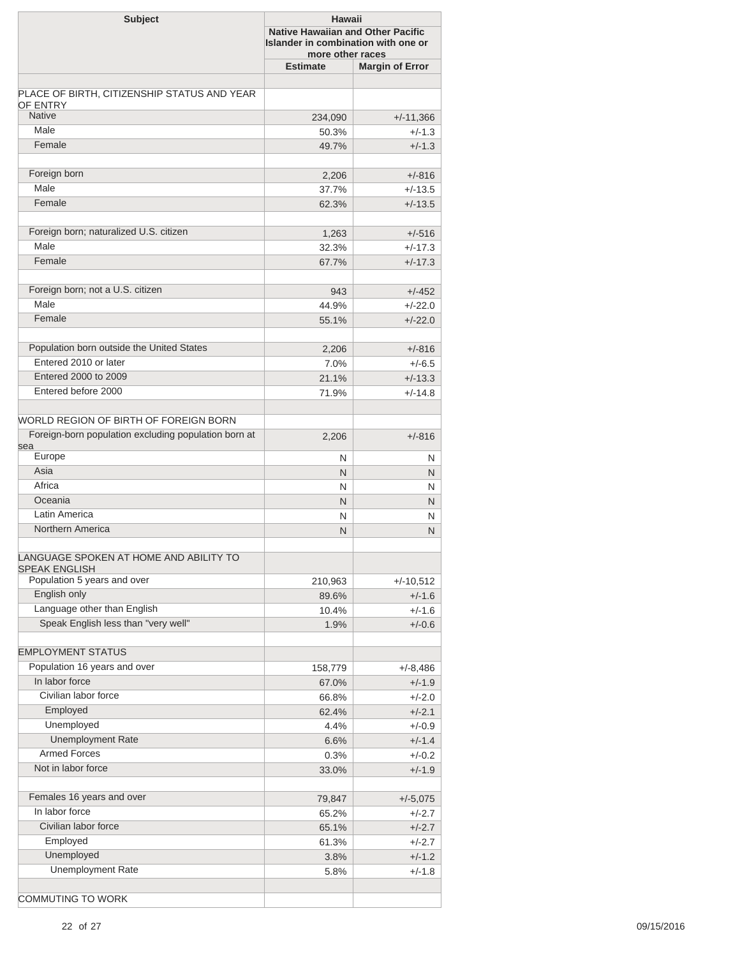| <b>Subject</b>                                                 |                 | Hawaii<br><b>Native Hawaiian and Other Pacific</b><br>Islander in combination with one or<br>more other races |  |  |
|----------------------------------------------------------------|-----------------|---------------------------------------------------------------------------------------------------------------|--|--|
|                                                                | <b>Estimate</b> | <b>Margin of Error</b>                                                                                        |  |  |
|                                                                |                 |                                                                                                               |  |  |
| PLACE OF BIRTH, CITIZENSHIP STATUS AND YEAR<br><b>OF ENTRY</b> |                 |                                                                                                               |  |  |
| <b>Native</b>                                                  | 234,090         | $+/-11,366$                                                                                                   |  |  |
| Male                                                           | 50.3%           | $+/-1.3$                                                                                                      |  |  |
| Female                                                         | 49.7%           | $+/-1.3$                                                                                                      |  |  |
|                                                                |                 |                                                                                                               |  |  |
| Foreign born                                                   | 2,206           | $+/-816$                                                                                                      |  |  |
| Male                                                           | 37.7%           | $+/-13.5$                                                                                                     |  |  |
| Female                                                         | 62.3%           | $+/-13.5$                                                                                                     |  |  |
|                                                                |                 |                                                                                                               |  |  |
| Foreign born; naturalized U.S. citizen                         | 1,263           | $+/-516$                                                                                                      |  |  |
| Male                                                           | 32.3%           | $+/-17.3$                                                                                                     |  |  |
| Female                                                         | 67.7%           | $+/-17.3$                                                                                                     |  |  |
|                                                                |                 |                                                                                                               |  |  |
| Foreign born; not a U.S. citizen                               | 943             | $+/-452$                                                                                                      |  |  |
| Male                                                           | 44.9%           | $+/-22.0$                                                                                                     |  |  |
| Female                                                         | 55.1%           | $+/-22.0$                                                                                                     |  |  |
|                                                                |                 |                                                                                                               |  |  |
| Population born outside the United States                      | 2,206           | $+/-816$                                                                                                      |  |  |
| Entered 2010 or later                                          | 7.0%            | $+/-6.5$                                                                                                      |  |  |
| Entered 2000 to 2009                                           | 21.1%           | $+/-13.3$                                                                                                     |  |  |
| Entered before 2000                                            | 71.9%           | $+/-14.8$                                                                                                     |  |  |
|                                                                |                 |                                                                                                               |  |  |
| WORLD REGION OF BIRTH OF FOREIGN BORN                          |                 |                                                                                                               |  |  |
| Foreign-born population excluding population born at           | 2,206           | $+/-816$                                                                                                      |  |  |
| sea                                                            |                 |                                                                                                               |  |  |
| Europe<br>Asia                                                 | N               | N                                                                                                             |  |  |
| Africa                                                         | $\mathsf{N}$    | N                                                                                                             |  |  |
| Oceania                                                        | N               | N                                                                                                             |  |  |
| Latin America                                                  | N.              | N                                                                                                             |  |  |
| Northern America                                               | N               | N                                                                                                             |  |  |
|                                                                | N               | N                                                                                                             |  |  |
| LANGUAGE SPOKEN AT HOME AND ABILITY TO                         |                 |                                                                                                               |  |  |
| <b>SPEAK ENGLISH</b>                                           |                 |                                                                                                               |  |  |
| Population 5 years and over                                    | 210,963         | $+/-10,512$                                                                                                   |  |  |
| English only                                                   | 89.6%           | $+/-1.6$                                                                                                      |  |  |
| Language other than English                                    | 10.4%           | $+/-1.6$                                                                                                      |  |  |
| Speak English less than "very well"                            | 1.9%            | $+/-0.6$                                                                                                      |  |  |
|                                                                |                 |                                                                                                               |  |  |
| <b>EMPLOYMENT STATUS</b>                                       |                 |                                                                                                               |  |  |
| Population 16 years and over                                   | 158,779         | +/-8,486                                                                                                      |  |  |
| In labor force                                                 | 67.0%           | $+/-1.9$                                                                                                      |  |  |
| Civilian labor force                                           | 66.8%           | $+/-2.0$                                                                                                      |  |  |
| Employed                                                       | 62.4%           | $+/-2.1$                                                                                                      |  |  |
| Unemployed                                                     | 4.4%            | $+/-0.9$                                                                                                      |  |  |
| <b>Unemployment Rate</b>                                       | 6.6%            | $+/-1.4$                                                                                                      |  |  |
| <b>Armed Forces</b>                                            | 0.3%            | $+/-0.2$                                                                                                      |  |  |
| Not in labor force                                             | 33.0%           | $+/-1.9$                                                                                                      |  |  |
|                                                                |                 |                                                                                                               |  |  |
| Females 16 years and over                                      | 79,847          | $+/-5,075$                                                                                                    |  |  |
| In labor force                                                 | 65.2%           | $+/-2.7$                                                                                                      |  |  |
| Civilian labor force                                           | 65.1%           | $+/-2.7$                                                                                                      |  |  |
| Employed                                                       | 61.3%           | $+/-2.7$                                                                                                      |  |  |
| Unemployed                                                     | 3.8%            | $+/-1.2$                                                                                                      |  |  |
| <b>Unemployment Rate</b>                                       | 5.8%            | $+/-1.8$                                                                                                      |  |  |
| <b>COMMUTING TO WORK</b>                                       |                 |                                                                                                               |  |  |
|                                                                |                 |                                                                                                               |  |  |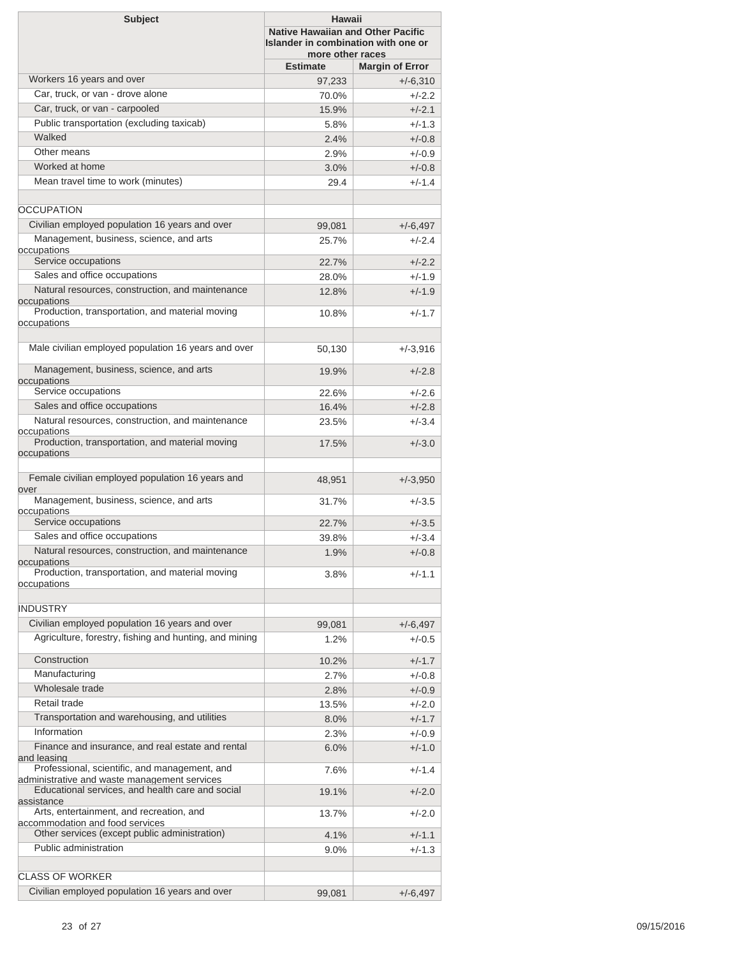| <b>Subject</b>                                                                                               | Hawaii<br><b>Native Hawaiian and Other Pacific</b><br>Islander in combination with one or<br>more other races |                        |  |
|--------------------------------------------------------------------------------------------------------------|---------------------------------------------------------------------------------------------------------------|------------------------|--|
|                                                                                                              | <b>Estimate</b>                                                                                               | <b>Margin of Error</b> |  |
| Workers 16 years and over                                                                                    | 97,233                                                                                                        | $+/-6,310$             |  |
| Car, truck, or van - drove alone                                                                             | 70.0%                                                                                                         | $+/-2.2$               |  |
| Car, truck, or van - carpooled                                                                               | 15.9%                                                                                                         | $+/-2.1$               |  |
| Public transportation (excluding taxicab)                                                                    | 5.8%                                                                                                          | $+/-1.3$               |  |
| Walked                                                                                                       | 2.4%                                                                                                          | $+/-0.8$               |  |
| Other means                                                                                                  | 2.9%                                                                                                          | $+/-0.9$               |  |
| Worked at home                                                                                               | 3.0%                                                                                                          | $+/-0.8$               |  |
| Mean travel time to work (minutes)                                                                           | 29.4                                                                                                          | $+/-1.4$               |  |
|                                                                                                              |                                                                                                               |                        |  |
| <b>OCCUPATION</b>                                                                                            |                                                                                                               |                        |  |
| Civilian employed population 16 years and over                                                               |                                                                                                               |                        |  |
| Management, business, science, and arts                                                                      | 99,081                                                                                                        | $+/-6,497$             |  |
| occupations                                                                                                  | 25.7%                                                                                                         | $+/-2.4$               |  |
| Service occupations                                                                                          | 22.7%                                                                                                         | $+/-2.2$               |  |
| Sales and office occupations                                                                                 | 28.0%                                                                                                         | $+/-1.9$               |  |
| Natural resources, construction, and maintenance                                                             | 12.8%                                                                                                         | $+/-1.9$               |  |
| occupations                                                                                                  |                                                                                                               |                        |  |
| Production, transportation, and material moving<br>occupations                                               | 10.8%                                                                                                         | $+/-1.7$               |  |
|                                                                                                              |                                                                                                               |                        |  |
| Male civilian employed population 16 years and over                                                          | 50,130                                                                                                        | $+/-3,916$             |  |
| Management, business, science, and arts                                                                      | 19.9%                                                                                                         | $+/-2.8$               |  |
| occupations<br>Service occupations                                                                           |                                                                                                               |                        |  |
|                                                                                                              | 22.6%                                                                                                         | $+/-2.6$               |  |
| Sales and office occupations                                                                                 | 16.4%                                                                                                         | $+/-2.8$               |  |
| Natural resources, construction, and maintenance<br>occupations                                              | 23.5%                                                                                                         | $+/-3.4$               |  |
| Production, transportation, and material moving                                                              | 17.5%                                                                                                         | $+/-3.0$               |  |
| occupations                                                                                                  |                                                                                                               |                        |  |
| Female civilian employed population 16 years and<br>over                                                     | 48,951                                                                                                        | $+/-3,950$             |  |
| Management, business, science, and arts                                                                      | 31.7%                                                                                                         | $+/-3.5$               |  |
| occupations                                                                                                  |                                                                                                               |                        |  |
| Service occupations                                                                                          | 22.7%                                                                                                         | $+/-3.5$               |  |
| Sales and office occupations                                                                                 | 39.8%                                                                                                         | $+/-3.4$               |  |
| Natural resources, construction, and maintenance                                                             | 1.9%                                                                                                          | $+/-0.8$               |  |
| occupations<br>Production, transportation, and material moving                                               | 3.8%                                                                                                          | $+/-1.1$               |  |
| occupations                                                                                                  |                                                                                                               |                        |  |
|                                                                                                              |                                                                                                               |                        |  |
| <b>INDUSTRY</b>                                                                                              |                                                                                                               |                        |  |
| Civilian employed population 16 years and over                                                               | 99,081                                                                                                        | $+/-6,497$             |  |
| Agriculture, forestry, fishing and hunting, and mining                                                       | 1.2%                                                                                                          | $+/-0.5$               |  |
| Construction                                                                                                 |                                                                                                               |                        |  |
|                                                                                                              | 10.2%                                                                                                         | $+/-1.7$               |  |
| Manufacturing                                                                                                | 2.7%                                                                                                          | $+/-0.8$               |  |
| Wholesale trade                                                                                              | 2.8%                                                                                                          | $+/-0.9$               |  |
| Retail trade                                                                                                 | 13.5%                                                                                                         | $+/-2.0$               |  |
| Transportation and warehousing, and utilities                                                                | 8.0%                                                                                                          | $+/-1.7$               |  |
| Information                                                                                                  | 2.3%                                                                                                          | $+/-0.9$               |  |
| Finance and insurance, and real estate and rental                                                            | 6.0%                                                                                                          | $+/-1.0$               |  |
| and leasing<br>Professional, scientific, and management, and<br>administrative and waste management services | 7.6%                                                                                                          | $+/-1.4$               |  |
| Educational services, and health care and social<br>assistance                                               | 19.1%                                                                                                         | $+/-2.0$               |  |
| Arts, entertainment, and recreation, and                                                                     | 13.7%                                                                                                         | $+/-2.0$               |  |
| accommodation and food services                                                                              |                                                                                                               |                        |  |
| Other services (except public administration)                                                                | 4.1%                                                                                                          | $+/-1.1$               |  |
| Public administration                                                                                        | $9.0\%$                                                                                                       | $+/-1.3$               |  |
|                                                                                                              |                                                                                                               |                        |  |
| <b>CLASS OF WORKER</b>                                                                                       |                                                                                                               |                        |  |
| Civilian employed population 16 years and over                                                               | 99,081                                                                                                        | $+/-6,497$             |  |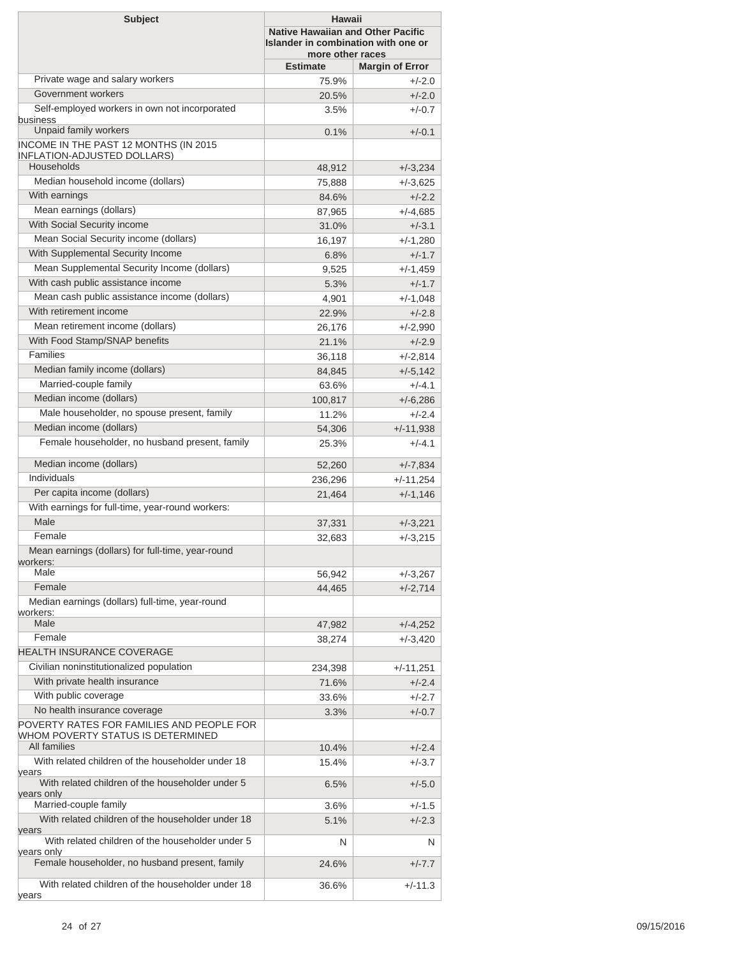| <b>Subject</b>                                                                     | Hawaii<br><b>Native Hawaiian and Other Pacific</b><br>Islander in combination with one or<br>more other races |                        |  |
|------------------------------------------------------------------------------------|---------------------------------------------------------------------------------------------------------------|------------------------|--|
|                                                                                    | <b>Estimate</b>                                                                                               | <b>Margin of Error</b> |  |
| Private wage and salary workers                                                    | 75.9%                                                                                                         | $+/-2.0$               |  |
| Government workers                                                                 | 20.5%                                                                                                         | $+/-2.0$               |  |
| Self-employed workers in own not incorporated<br>business                          | 3.5%                                                                                                          | $+/-0.7$               |  |
| Unpaid family workers                                                              | 0.1%                                                                                                          | $+/-0.1$               |  |
| <b>INCOME IN THE PAST 12 MONTHS (IN 2015</b><br><b>INFLATION-ADJUSTED DOLLARS)</b> |                                                                                                               |                        |  |
| Households                                                                         | 48,912                                                                                                        | $+/-3,234$             |  |
| Median household income (dollars)                                                  | 75,888                                                                                                        | $+/-3,625$             |  |
| With earnings                                                                      | 84.6%                                                                                                         | $+/-2.2$               |  |
| Mean earnings (dollars)                                                            | 87,965                                                                                                        | $+/-4,685$             |  |
| With Social Security income                                                        | 31.0%                                                                                                         | $+/-3.1$               |  |
| Mean Social Security income (dollars)                                              | 16,197                                                                                                        | $+/-1,280$             |  |
| With Supplemental Security Income                                                  | 6.8%                                                                                                          | $+/-1.7$               |  |
| Mean Supplemental Security Income (dollars)                                        | 9,525                                                                                                         | $+/-1,459$             |  |
| With cash public assistance income                                                 | 5.3%                                                                                                          | $+/-1.7$               |  |
| Mean cash public assistance income (dollars)                                       | 4,901                                                                                                         | $+/-1,048$             |  |
| With retirement income                                                             | 22.9%                                                                                                         | $+/-2.8$               |  |
| Mean retirement income (dollars)                                                   | 26,176                                                                                                        | $+/-2,990$             |  |
| With Food Stamp/SNAP benefits                                                      | 21.1%                                                                                                         | $+/-2.9$               |  |
| Families                                                                           | 36,118                                                                                                        | $+/-2,814$             |  |
| Median family income (dollars)                                                     | 84,845                                                                                                        | $+/-5,142$             |  |
| Married-couple family                                                              | 63.6%                                                                                                         | $+/-4.1$               |  |
| Median income (dollars)                                                            | 100,817                                                                                                       | $+/-6,286$             |  |
| Male householder, no spouse present, family                                        | 11.2%                                                                                                         | $+/-2.4$               |  |
| Median income (dollars)                                                            | 54,306                                                                                                        | $+/-11,938$            |  |
| Female householder, no husband present, family                                     | 25.3%                                                                                                         | $+/-4.1$               |  |
| Median income (dollars)                                                            | 52,260                                                                                                        | $+/-7,834$             |  |
| Individuals                                                                        | 236,296                                                                                                       | +/-11,254              |  |
| Per capita income (dollars)                                                        |                                                                                                               |                        |  |
| With earnings for full-time, year-round workers:                                   | 21,464                                                                                                        | $+/-1,146$             |  |
| Male                                                                               |                                                                                                               |                        |  |
| Female                                                                             | 37,331                                                                                                        | $+/-3,221$             |  |
| Mean earnings (dollars) for full-time, year-round                                  | 32,683                                                                                                        | $+/-3,215$             |  |
| workers:<br>Male                                                                   |                                                                                                               |                        |  |
| Female                                                                             | 56,942                                                                                                        | $+/-3,267$             |  |
| Median earnings (dollars) full-time, year-round                                    | 44,465                                                                                                        | $+/-2,714$             |  |
| workers:<br>Male                                                                   | 47,982                                                                                                        | $+/-4,252$             |  |
| Female                                                                             | 38,274                                                                                                        | $+/-3,420$             |  |
| <b>HEALTH INSURANCE COVERAGE</b>                                                   |                                                                                                               |                        |  |
| Civilian noninstitutionalized population                                           |                                                                                                               |                        |  |
| With private health insurance                                                      | 234,398                                                                                                       | +/-11,251              |  |
| With public coverage                                                               | 71.6%                                                                                                         | $+/-2.4$<br>$+/-2.7$   |  |
| No health insurance coverage                                                       | 33.6%                                                                                                         |                        |  |
| POVERTY RATES FOR FAMILIES AND PEOPLE FOR                                          | 3.3%                                                                                                          | $+/-0.7$               |  |
| WHOM POVERTY STATUS IS DETERMINED<br>All families                                  |                                                                                                               |                        |  |
| With related children of the householder under 18                                  | 10.4%<br>15.4%                                                                                                | $+/-2.4$<br>$+/-3.7$   |  |
| years<br>With related children of the householder under 5                          |                                                                                                               |                        |  |
| years only                                                                         | 6.5%                                                                                                          | $+/-5.0$               |  |
| Married-couple family                                                              | 3.6%                                                                                                          | $+/-1.5$               |  |
| With related children of the householder under 18<br>years                         | 5.1%                                                                                                          | $+/-2.3$               |  |
| With related children of the householder under 5<br>years only                     | N                                                                                                             | N                      |  |
| Female householder, no husband present, family                                     | 24.6%                                                                                                         | $+/-7.7$               |  |
| With related children of the householder under 18<br>years                         | 36.6%                                                                                                         | $+/-11.3$              |  |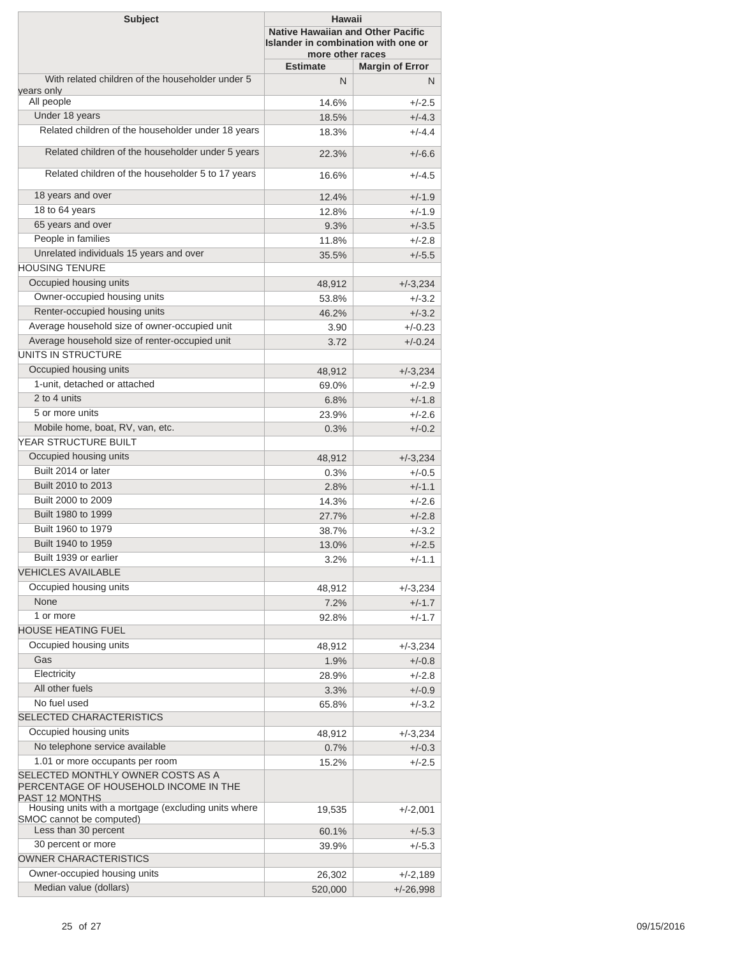| <b>Subject</b>                                                                               | <b>Hawaii</b><br><b>Native Hawaiian and Other Pacific</b><br>Islander in combination with one or<br>more other races |                        |
|----------------------------------------------------------------------------------------------|----------------------------------------------------------------------------------------------------------------------|------------------------|
|                                                                                              | <b>Estimate</b>                                                                                                      | <b>Margin of Error</b> |
| With related children of the householder under 5                                             | N                                                                                                                    | N                      |
| years only<br>All people                                                                     |                                                                                                                      |                        |
| Under 18 years                                                                               | 14.6%                                                                                                                | $+/-2.5$               |
| Related children of the householder under 18 years                                           | 18.5%                                                                                                                | $+/-4.3$               |
|                                                                                              | 18.3%                                                                                                                | $+/-4.4$               |
| Related children of the householder under 5 years                                            | 22.3%                                                                                                                | $+/-6.6$               |
| Related children of the householder 5 to 17 years                                            | 16.6%                                                                                                                | $+/-4.5$               |
| 18 years and over                                                                            | 12.4%                                                                                                                | $+/-1.9$               |
| 18 to 64 years                                                                               | 12.8%                                                                                                                | $+/-1.9$               |
| 65 years and over                                                                            | 9.3%                                                                                                                 | $+/-3.5$               |
| People in families                                                                           | 11.8%                                                                                                                | $+/-2.8$               |
| Unrelated individuals 15 years and over                                                      | 35.5%                                                                                                                | $+/-5.5$               |
| <b>HOUSING TENURE</b>                                                                        |                                                                                                                      |                        |
| Occupied housing units                                                                       | 48,912                                                                                                               | $+/-3,234$             |
| Owner-occupied housing units                                                                 | 53.8%                                                                                                                | $+/-3.2$               |
| Renter-occupied housing units                                                                | 46.2%                                                                                                                | $+/-3.2$               |
| Average household size of owner-occupied unit                                                | 3.90                                                                                                                 | $+/-0.23$              |
| Average household size of renter-occupied unit                                               | 3.72                                                                                                                 | $+/-0.24$              |
| UNITS IN STRUCTURE                                                                           |                                                                                                                      |                        |
| Occupied housing units                                                                       | 48,912                                                                                                               | $+/-3,234$             |
| 1-unit, detached or attached                                                                 | 69.0%                                                                                                                | $+/-2.9$               |
| 2 to 4 units                                                                                 | 6.8%                                                                                                                 | $+/-1.8$               |
| 5 or more units                                                                              | 23.9%                                                                                                                | $+/-2.6$               |
| Mobile home, boat, RV, van, etc.                                                             |                                                                                                                      |                        |
| YEAR STRUCTURE BUILT                                                                         | 0.3%                                                                                                                 | $+/-0.2$               |
| Occupied housing units                                                                       |                                                                                                                      |                        |
|                                                                                              | 48,912                                                                                                               | $+/-3,234$             |
| Built 2014 or later                                                                          | 0.3%                                                                                                                 | $+/-0.5$               |
| Built 2010 to 2013                                                                           | 2.8%                                                                                                                 | $+/-1.1$               |
| Built 2000 to 2009                                                                           | 14.3%                                                                                                                | $+/-2.6$               |
| Built 1980 to 1999                                                                           | 27.7%                                                                                                                | $+/-2.8$               |
| Built 1960 to 1979                                                                           | 38.7%                                                                                                                | $+/-3.2$               |
| Built 1940 to 1959                                                                           | 13.0%                                                                                                                | $+/-2.5$               |
| Built 1939 or earlier                                                                        | 3.2%                                                                                                                 | $+/-1.1$               |
| <b>VEHICLES AVAILABLE</b>                                                                    |                                                                                                                      |                        |
| Occupied housing units                                                                       | 48,912                                                                                                               | $+/-3,234$             |
| None                                                                                         | 7.2%                                                                                                                 | $+/-1.7$               |
| 1 or more                                                                                    | 92.8%                                                                                                                | $+/-1.7$               |
| <b>HOUSE HEATING FUEL</b>                                                                    |                                                                                                                      |                        |
| Occupied housing units                                                                       | 48,912                                                                                                               | $+/-3,234$             |
| Gas                                                                                          | 1.9%                                                                                                                 | $+/-0.8$               |
| Electricity                                                                                  | 28.9%                                                                                                                | $+/-2.8$               |
| All other fuels                                                                              | 3.3%                                                                                                                 | $+/-0.9$               |
| No fuel used                                                                                 | 65.8%                                                                                                                | $+/-3.2$               |
| SELECTED CHARACTERISTICS                                                                     |                                                                                                                      |                        |
| Occupied housing units                                                                       | 48,912                                                                                                               | $+/-3,234$             |
| No telephone service available                                                               | 0.7%                                                                                                                 | $+/-0.3$               |
| 1.01 or more occupants per room                                                              | 15.2%                                                                                                                | $+/-2.5$               |
| SELECTED MONTHLY OWNER COSTS AS A<br>PERCENTAGE OF HOUSEHOLD INCOME IN THE<br>PAST 12 MONTHS |                                                                                                                      |                        |
| Housing units with a mortgage (excluding units where                                         | 19,535                                                                                                               | $+/-2,001$             |
| SMOC cannot be computed)                                                                     |                                                                                                                      |                        |
| Less than 30 percent                                                                         | 60.1%                                                                                                                | $+/-5.3$               |
| 30 percent or more                                                                           | 39.9%                                                                                                                | $+/-5.3$               |
| <b>OWNER CHARACTERISTICS</b>                                                                 |                                                                                                                      |                        |
| Owner-occupied housing units                                                                 | 26,302                                                                                                               | $+/-2,189$             |
| Median value (dollars)                                                                       | 520,000                                                                                                              | $+/-26,998$            |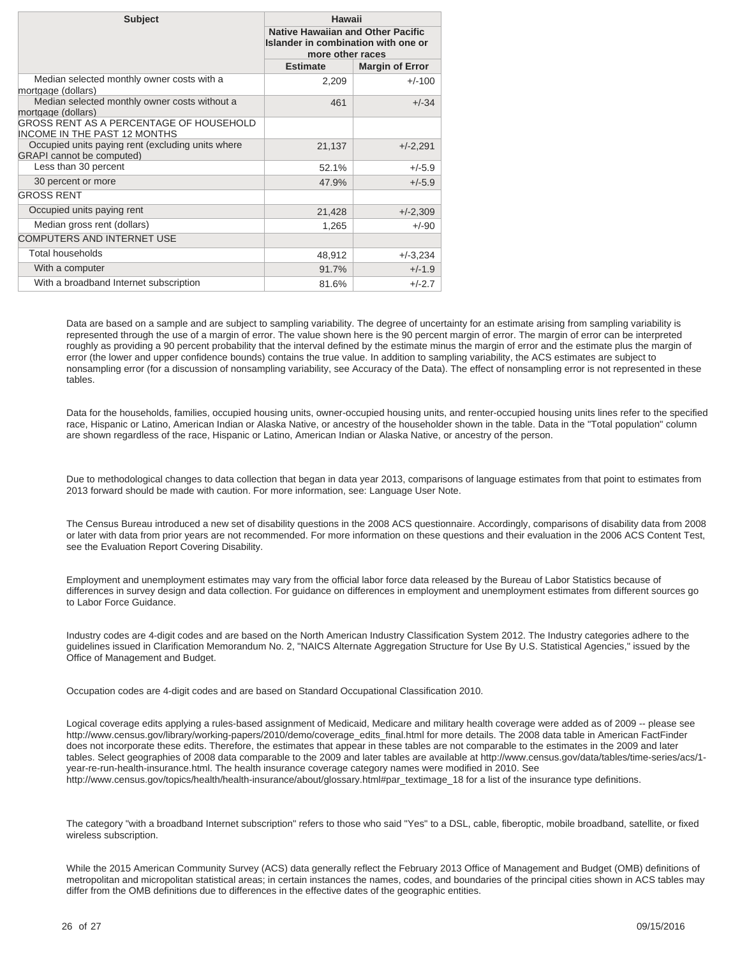| <b>Subject</b>                                                                        | Hawaii<br><b>Native Hawaiian and Other Pacific</b><br>Islander in combination with one or<br>more other races |                        |
|---------------------------------------------------------------------------------------|---------------------------------------------------------------------------------------------------------------|------------------------|
|                                                                                       |                                                                                                               |                        |
|                                                                                       | <b>Estimate</b>                                                                                               | <b>Margin of Error</b> |
| Median selected monthly owner costs with a<br>mortgage (dollars)                      | 2,209                                                                                                         | $+/-100$               |
| Median selected monthly owner costs without a<br>mortgage (dollars)                   | 461                                                                                                           | $+/-34$                |
| GROSS RENT AS A PERCENTAGE OF HOUSEHOLD<br><b>INCOME IN THE PAST 12 MONTHS</b>        |                                                                                                               |                        |
| Occupied units paying rent (excluding units where<br><b>GRAPI</b> cannot be computed) | 21,137                                                                                                        | $+/-2,291$             |
| Less than 30 percent                                                                  | 52.1%                                                                                                         | $+/-5.9$               |
| 30 percent or more                                                                    | 47.9%                                                                                                         | $+/-5.9$               |
| <b>GROSS RENT</b>                                                                     |                                                                                                               |                        |
| Occupied units paying rent                                                            | 21,428                                                                                                        | $+/-2,309$             |
| Median gross rent (dollars)                                                           | 1,265                                                                                                         | $+/-90$                |
| <b>COMPUTERS AND INTERNET USE</b>                                                     |                                                                                                               |                        |
| Total households                                                                      | 48,912                                                                                                        | $+/-3,234$             |
| With a computer                                                                       | 91.7%                                                                                                         | $+/-1.9$               |
| With a broadband Internet subscription                                                | 81.6%                                                                                                         | $+/-2.7$               |

Data are based on a sample and are subject to sampling variability. The degree of uncertainty for an estimate arising from sampling variability is represented through the use of a margin of error. The value shown here is the 90 percent margin of error. The margin of error can be interpreted roughly as providing a 90 percent probability that the interval defined by the estimate minus the margin of error and the estimate plus the margin of error (the lower and upper confidence bounds) contains the true value. In addition to sampling variability, the ACS estimates are subject to nonsampling error (for a discussion of nonsampling variability, see Accuracy of the Data). The effect of nonsampling error is not represented in these tables.

Data for the households, families, occupied housing units, owner-occupied housing units, and renter-occupied housing units lines refer to the specified race, Hispanic or Latino, American Indian or Alaska Native, or ancestry of the householder shown in the table. Data in the "Total population" column are shown regardless of the race, Hispanic or Latino, American Indian or Alaska Native, or ancestry of the person.

Due to methodological changes to data collection that began in data year 2013, comparisons of language estimates from that point to estimates from 2013 forward should be made with caution. For more information, see: Language User Note.

The Census Bureau introduced a new set of disability questions in the 2008 ACS questionnaire. Accordingly, comparisons of disability data from 2008 or later with data from prior years are not recommended. For more information on these questions and their evaluation in the 2006 ACS Content Test, see the Evaluation Report Covering Disability.

Employment and unemployment estimates may vary from the official labor force data released by the Bureau of Labor Statistics because of differences in survey design and data collection. For guidance on differences in employment and unemployment estimates from different sources go to Labor Force Guidance.

Industry codes are 4-digit codes and are based on the North American Industry Classification System 2012. The Industry categories adhere to the guidelines issued in Clarification Memorandum No. 2, "NAICS Alternate Aggregation Structure for Use By U.S. Statistical Agencies," issued by the Office of Management and Budget.

Occupation codes are 4-digit codes and are based on Standard Occupational Classification 2010.

Logical coverage edits applying a rules-based assignment of Medicaid, Medicare and military health coverage were added as of 2009 -- please see http://www.census.gov/library/working-papers/2010/demo/coverage\_edits\_final.html for more details. The 2008 data table in American FactFinder does not incorporate these edits. Therefore, the estimates that appear in these tables are not comparable to the estimates in the 2009 and later tables. Select geographies of 2008 data comparable to the 2009 and later tables are available at http://www.census.gov/data/tables/time-series/acs/1 year-re-run-health-insurance.html. The health insurance coverage category names were modified in 2010. See http://www.census.gov/topics/health/health-insurance/about/glossary.html#par\_textimage\_18 for a list of the insurance type definitions.

The category "with a broadband Internet subscription" refers to those who said "Yes" to a DSL, cable, fiberoptic, mobile broadband, satellite, or fixed wireless subscription.

While the 2015 American Community Survey (ACS) data generally reflect the February 2013 Office of Management and Budget (OMB) definitions of metropolitan and micropolitan statistical areas; in certain instances the names, codes, and boundaries of the principal cities shown in ACS tables may differ from the OMB definitions due to differences in the effective dates of the geographic entities.